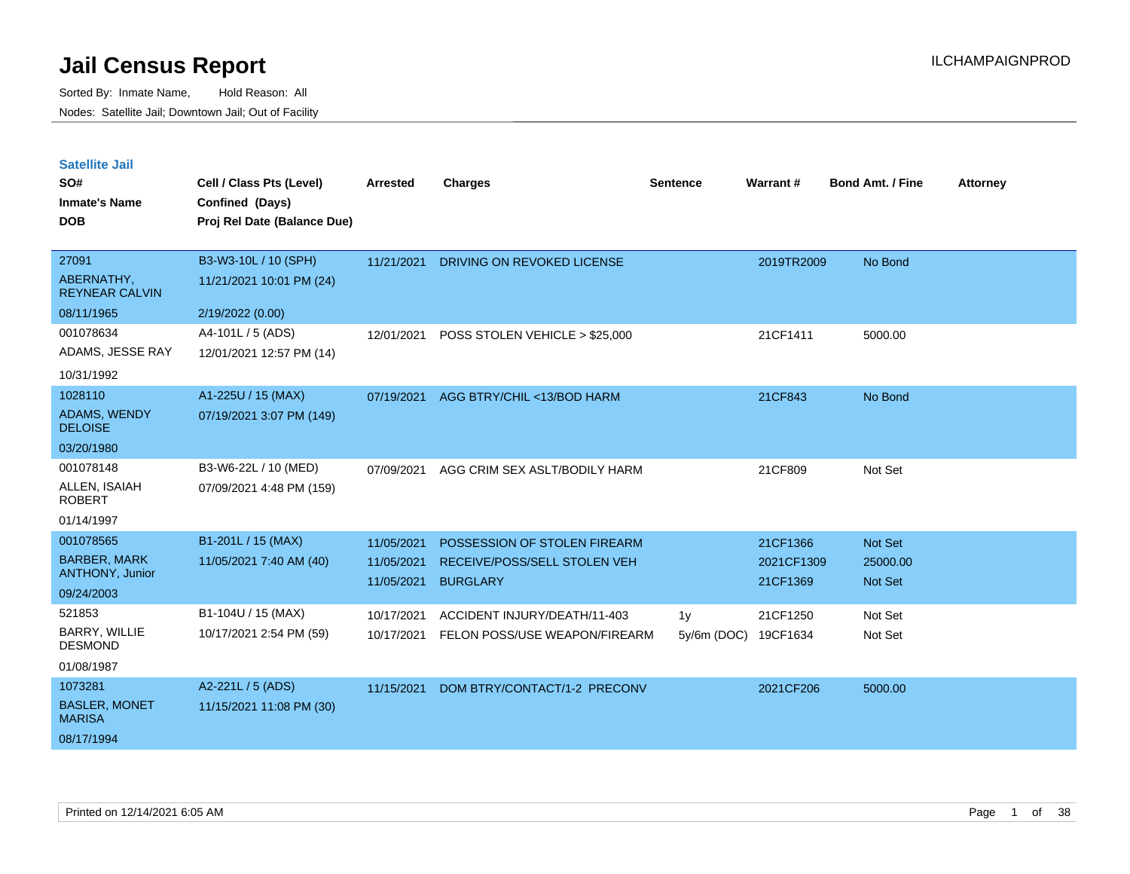| <b>Satellite Jail</b> |  |
|-----------------------|--|
|                       |  |

| SO#<br><b>Inmate's Name</b><br><b>DOB</b>                         | Cell / Class Pts (Level)<br>Confined (Days)<br>Proj Rel Date (Balance Due) | <b>Arrested</b>                        | <b>Charges</b>                                                                  | <b>Sentence</b>   | Warrant#                           | <b>Bond Amt. / Fine</b>        | <b>Attorney</b> |
|-------------------------------------------------------------------|----------------------------------------------------------------------------|----------------------------------------|---------------------------------------------------------------------------------|-------------------|------------------------------------|--------------------------------|-----------------|
| 27091<br>ABERNATHY,<br><b>REYNEAR CALVIN</b>                      | B3-W3-10L / 10 (SPH)<br>11/21/2021 10:01 PM (24)                           | 11/21/2021                             | DRIVING ON REVOKED LICENSE                                                      |                   | 2019TR2009                         | No Bond                        |                 |
| 08/11/1965<br>001078634<br>ADAMS, JESSE RAY<br>10/31/1992         | 2/19/2022 (0.00)<br>A4-101L / 5 (ADS)<br>12/01/2021 12:57 PM (14)          | 12/01/2021                             | POSS STOLEN VEHICLE > \$25,000                                                  |                   | 21CF1411                           | 5000.00                        |                 |
| 1028110<br><b>ADAMS, WENDY</b><br><b>DELOISE</b><br>03/20/1980    | A1-225U / 15 (MAX)<br>07/19/2021 3:07 PM (149)                             | 07/19/2021                             | AGG BTRY/CHIL <13/BOD HARM                                                      |                   | 21CF843                            | No Bond                        |                 |
| 001078148<br>ALLEN, ISAIAH<br><b>ROBERT</b><br>01/14/1997         | B3-W6-22L / 10 (MED)<br>07/09/2021 4:48 PM (159)                           | 07/09/2021                             | AGG CRIM SEX ASLT/BODILY HARM                                                   |                   | 21CF809                            | Not Set                        |                 |
| 001078565<br><b>BARBER, MARK</b><br>ANTHONY, Junior<br>09/24/2003 | B1-201L / 15 (MAX)<br>11/05/2021 7:40 AM (40)                              | 11/05/2021<br>11/05/2021<br>11/05/2021 | POSSESSION OF STOLEN FIREARM<br>RECEIVE/POSS/SELL STOLEN VEH<br><b>BURGLARY</b> |                   | 21CF1366<br>2021CF1309<br>21CF1369 | Not Set<br>25000.00<br>Not Set |                 |
| 521853<br>BARRY, WILLIE<br><b>DESMOND</b><br>01/08/1987           | B1-104U / 15 (MAX)<br>10/17/2021 2:54 PM (59)                              | 10/17/2021<br>10/17/2021               | ACCIDENT INJURY/DEATH/11-403<br>FELON POSS/USE WEAPON/FIREARM                   | 1y<br>5y/6m (DOC) | 21CF1250<br>19CF1634               | Not Set<br>Not Set             |                 |
| 1073281<br><b>BASLER, MONET</b><br><b>MARISA</b><br>08/17/1994    | A2-221L / 5 (ADS)<br>11/15/2021 11:08 PM (30)                              | 11/15/2021                             | DOM BTRY/CONTACT/1-2 PRECONV                                                    |                   | 2021CF206                          | 5000.00                        |                 |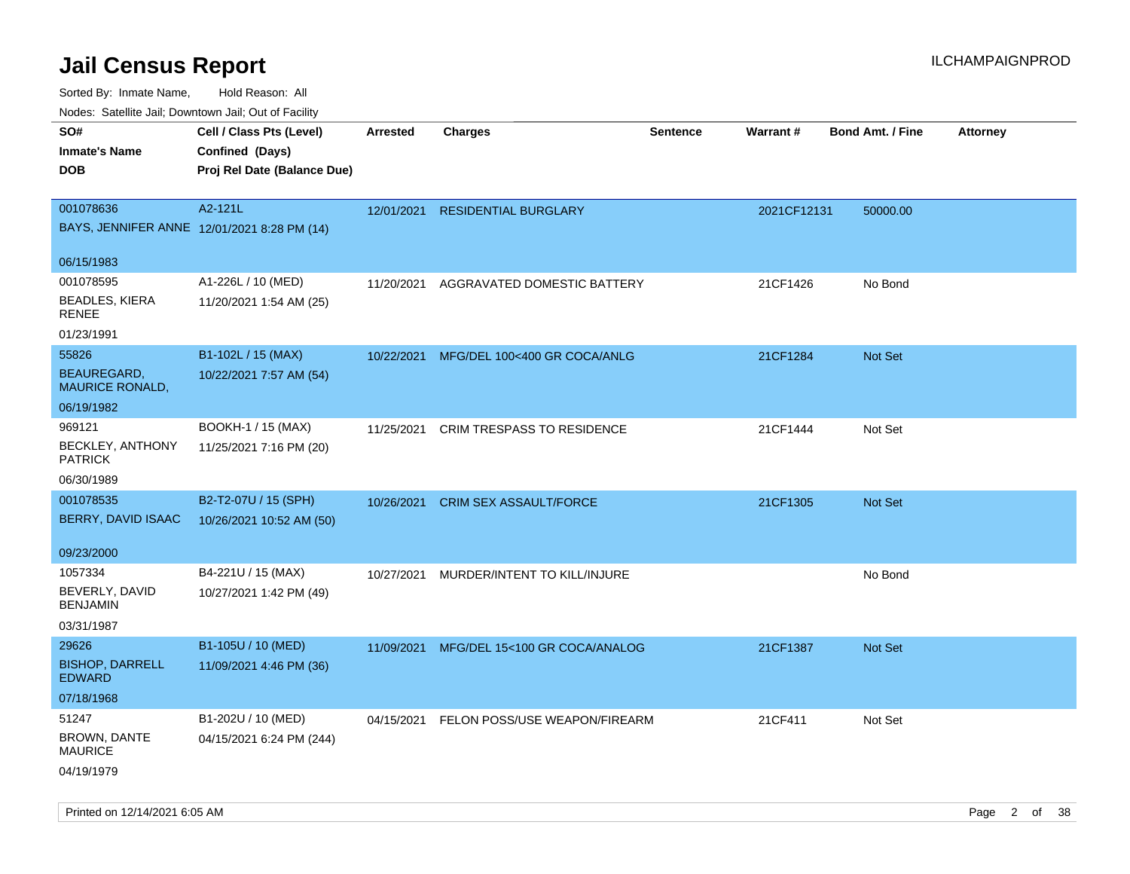| roaco. Odichile Jan, Downtown Jan, Out of Facility             |                                                                            |                 |                                          |                 |             |                         |                 |
|----------------------------------------------------------------|----------------------------------------------------------------------------|-----------------|------------------------------------------|-----------------|-------------|-------------------------|-----------------|
| SO#<br><b>Inmate's Name</b><br><b>DOB</b>                      | Cell / Class Pts (Level)<br>Confined (Days)<br>Proj Rel Date (Balance Due) | <b>Arrested</b> | <b>Charges</b>                           | <b>Sentence</b> | Warrant#    | <b>Bond Amt. / Fine</b> | <b>Attorney</b> |
| 001078636<br>BAYS, JENNIFER ANNE 12/01/2021 8:28 PM (14)       | A2-121L                                                                    | 12/01/2021      | <b>RESIDENTIAL BURGLARY</b>              |                 | 2021CF12131 | 50000.00                |                 |
| 06/15/1983                                                     |                                                                            |                 |                                          |                 |             |                         |                 |
| 001078595<br><b>BEADLES, KIERA</b><br>RENEE                    | A1-226L / 10 (MED)<br>11/20/2021 1:54 AM (25)                              | 11/20/2021      | AGGRAVATED DOMESTIC BATTERY              |                 | 21CF1426    | No Bond                 |                 |
| 01/23/1991                                                     |                                                                            |                 |                                          |                 |             |                         |                 |
| 55826<br>BEAUREGARD,<br><b>MAURICE RONALD,</b>                 | B1-102L / 15 (MAX)<br>10/22/2021 7:57 AM (54)                              | 10/22/2021      | MFG/DEL 100<400 GR COCA/ANLG             |                 | 21CF1284    | Not Set                 |                 |
| 06/19/1982                                                     |                                                                            |                 |                                          |                 |             |                         |                 |
| 969121<br>BECKLEY, ANTHONY<br><b>PATRICK</b>                   | BOOKH-1 / 15 (MAX)<br>11/25/2021 7:16 PM (20)                              | 11/25/2021      | <b>CRIM TRESPASS TO RESIDENCE</b>        |                 | 21CF1444    | Not Set                 |                 |
| 06/30/1989                                                     |                                                                            |                 |                                          |                 |             |                         |                 |
| 001078535<br>BERRY, DAVID ISAAC                                | B2-T2-07U / 15 (SPH)<br>10/26/2021 10:52 AM (50)                           | 10/26/2021      | <b>CRIM SEX ASSAULT/FORCE</b>            |                 | 21CF1305    | <b>Not Set</b>          |                 |
| 09/23/2000                                                     |                                                                            |                 |                                          |                 |             |                         |                 |
| 1057334<br>BEVERLY, DAVID<br><b>BENJAMIN</b><br>03/31/1987     | B4-221U / 15 (MAX)<br>10/27/2021 1:42 PM (49)                              | 10/27/2021      | MURDER/INTENT TO KILL/INJURE             |                 |             | No Bond                 |                 |
| 29626<br><b>BISHOP, DARRELL</b><br><b>EDWARD</b><br>07/18/1968 | B1-105U / 10 (MED)<br>11/09/2021 4:46 PM (36)                              | 11/09/2021      | MFG/DEL 15<100 GR COCA/ANALOG            |                 | 21CF1387    | Not Set                 |                 |
| 51247<br>BROWN, DANTE<br><b>MAURICE</b><br>04/19/1979          | B1-202U / 10 (MED)<br>04/15/2021 6:24 PM (244)                             |                 | 04/15/2021 FELON POSS/USE WEAPON/FIREARM |                 | 21CF411     | Not Set                 |                 |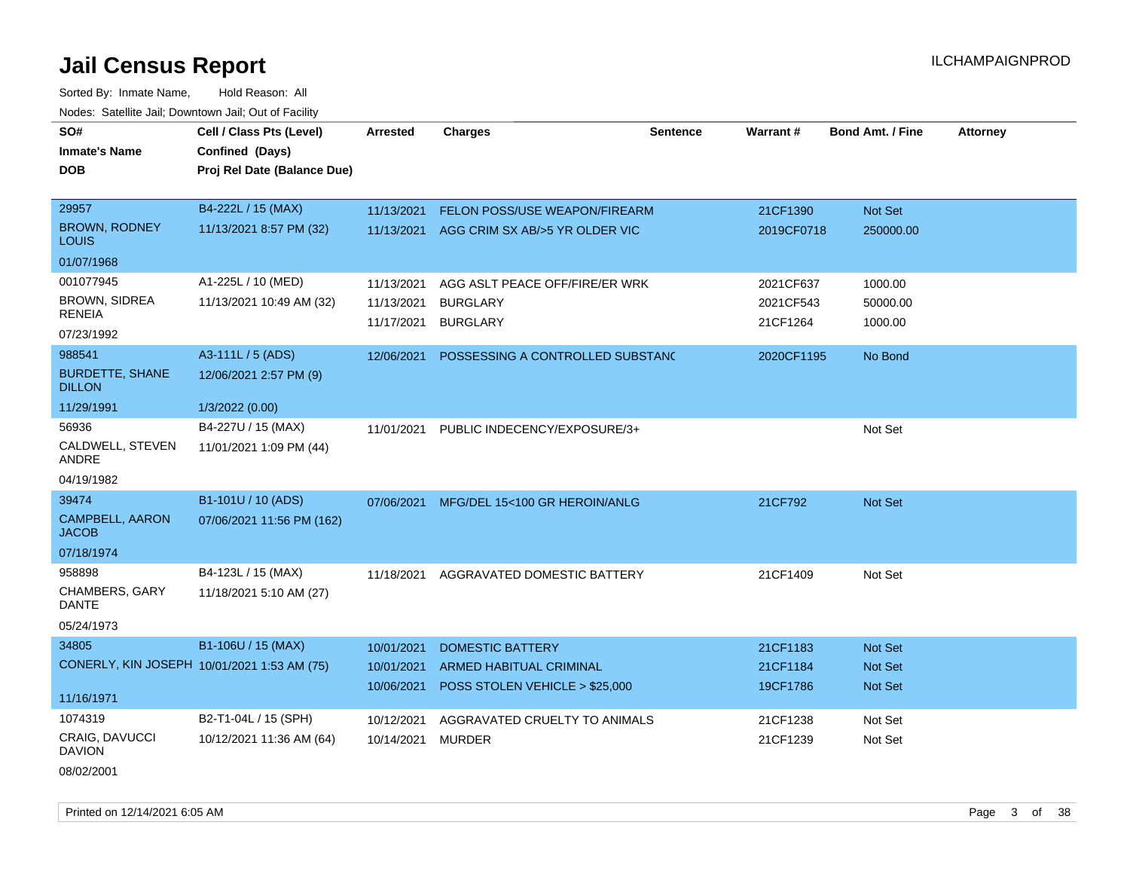Sorted By: Inmate Name, Hold Reason: All Nodes: Satellite Jail; Downtown Jail; Out of Facility

| SO#                                     | Cell / Class Pts (Level)                    | <b>Arrested</b> | <b>Charges</b>                            | <b>Sentence</b> | Warrant#   | <b>Bond Amt. / Fine</b> | <b>Attorney</b> |
|-----------------------------------------|---------------------------------------------|-----------------|-------------------------------------------|-----------------|------------|-------------------------|-----------------|
| <b>Inmate's Name</b>                    | Confined (Days)                             |                 |                                           |                 |            |                         |                 |
| <b>DOB</b>                              | Proj Rel Date (Balance Due)                 |                 |                                           |                 |            |                         |                 |
|                                         |                                             |                 |                                           |                 |            |                         |                 |
| 29957                                   | B4-222L / 15 (MAX)                          | 11/13/2021      | FELON POSS/USE WEAPON/FIREARM             |                 | 21CF1390   | Not Set                 |                 |
| <b>BROWN, RODNEY</b><br><b>LOUIS</b>    | 11/13/2021 8:57 PM (32)                     |                 | 11/13/2021 AGG CRIM SX AB/>5 YR OLDER VIC |                 | 2019CF0718 | 250000.00               |                 |
| 01/07/1968                              |                                             |                 |                                           |                 |            |                         |                 |
| 001077945                               | A1-225L / 10 (MED)                          | 11/13/2021      | AGG ASLT PEACE OFF/FIRE/ER WRK            |                 | 2021CF637  | 1000.00                 |                 |
| <b>BROWN, SIDREA</b>                    | 11/13/2021 10:49 AM (32)                    | 11/13/2021      | <b>BURGLARY</b>                           |                 | 2021CF543  | 50000.00                |                 |
| <b>RENEIA</b>                           |                                             | 11/17/2021      | <b>BURGLARY</b>                           |                 | 21CF1264   | 1000.00                 |                 |
| 07/23/1992                              |                                             |                 |                                           |                 |            |                         |                 |
| 988541                                  | A3-111L / 5 (ADS)                           | 12/06/2021      | POSSESSING A CONTROLLED SUBSTANC          |                 | 2020CF1195 | No Bond                 |                 |
| <b>BURDETTE, SHANE</b><br><b>DILLON</b> | 12/06/2021 2:57 PM (9)                      |                 |                                           |                 |            |                         |                 |
| 11/29/1991                              | 1/3/2022 (0.00)                             |                 |                                           |                 |            |                         |                 |
| 56936                                   | B4-227U / 15 (MAX)                          | 11/01/2021      | PUBLIC INDECENCY/EXPOSURE/3+              |                 |            | Not Set                 |                 |
| CALDWELL, STEVEN<br>ANDRE               | 11/01/2021 1:09 PM (44)                     |                 |                                           |                 |            |                         |                 |
| 04/19/1982                              |                                             |                 |                                           |                 |            |                         |                 |
| 39474                                   | B1-101U / 10 (ADS)                          | 07/06/2021      | MFG/DEL 15<100 GR HEROIN/ANLG             |                 | 21CF792    | Not Set                 |                 |
| <b>CAMPBELL, AARON</b><br><b>JACOB</b>  | 07/06/2021 11:56 PM (162)                   |                 |                                           |                 |            |                         |                 |
| 07/18/1974                              |                                             |                 |                                           |                 |            |                         |                 |
| 958898                                  | B4-123L / 15 (MAX)                          | 11/18/2021      | AGGRAVATED DOMESTIC BATTERY               |                 | 21CF1409   | Not Set                 |                 |
| <b>CHAMBERS, GARY</b><br><b>DANTE</b>   | 11/18/2021 5:10 AM (27)                     |                 |                                           |                 |            |                         |                 |
| 05/24/1973                              |                                             |                 |                                           |                 |            |                         |                 |
| 34805                                   | B1-106U / 15 (MAX)                          | 10/01/2021      | <b>DOMESTIC BATTERY</b>                   |                 | 21CF1183   | Not Set                 |                 |
|                                         | CONERLY, KIN JOSEPH 10/01/2021 1:53 AM (75) | 10/01/2021      | ARMED HABITUAL CRIMINAL                   |                 | 21CF1184   | Not Set                 |                 |
|                                         |                                             | 10/06/2021      | POSS STOLEN VEHICLE > \$25,000            |                 | 19CF1786   | Not Set                 |                 |
| 11/16/1971                              |                                             |                 |                                           |                 |            |                         |                 |
| 1074319                                 | B2-T1-04L / 15 (SPH)                        | 10/12/2021      | AGGRAVATED CRUELTY TO ANIMALS             |                 | 21CF1238   | Not Set                 |                 |
| <b>CRAIG, DAVUCCI</b><br><b>DAVION</b>  | 10/12/2021 11:36 AM (64)                    | 10/14/2021      | <b>MURDER</b>                             |                 | 21CF1239   | Not Set                 |                 |
| 08/02/2001                              |                                             |                 |                                           |                 |            |                         |                 |

Printed on  $12/14/2021$  6:05 AM Page 3 of 38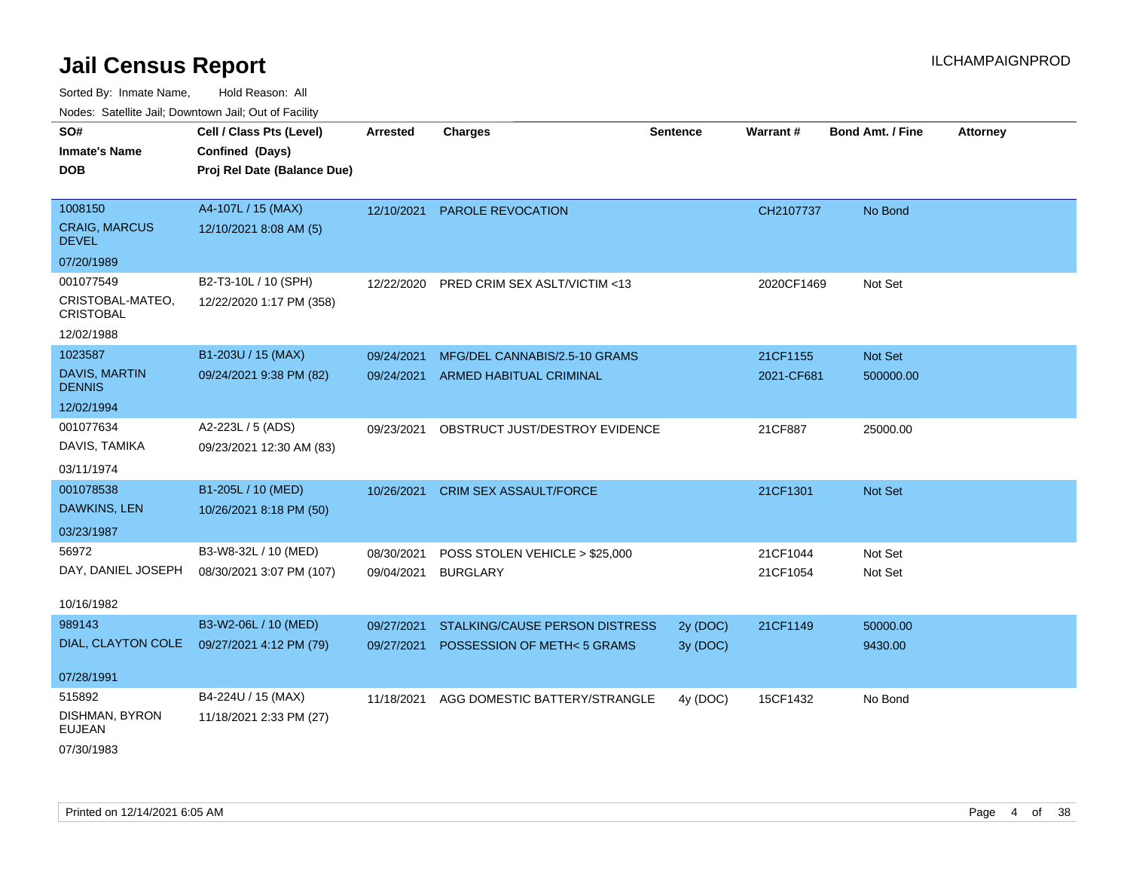| SO#                                  | Cell / Class Pts (Level)    | Arrested   | <b>Charges</b>                     | <b>Sentence</b> | Warrant#   | <b>Bond Amt. / Fine</b> | <b>Attorney</b> |
|--------------------------------------|-----------------------------|------------|------------------------------------|-----------------|------------|-------------------------|-----------------|
| <b>Inmate's Name</b>                 | Confined (Days)             |            |                                    |                 |            |                         |                 |
| <b>DOB</b>                           | Proj Rel Date (Balance Due) |            |                                    |                 |            |                         |                 |
|                                      |                             |            |                                    |                 |            |                         |                 |
| 1008150                              | A4-107L / 15 (MAX)          | 12/10/2021 | PAROLE REVOCATION                  |                 | CH2107737  | No Bond                 |                 |
| <b>CRAIG, MARCUS</b><br><b>DEVEL</b> | 12/10/2021 8:08 AM (5)      |            |                                    |                 |            |                         |                 |
| 07/20/1989                           |                             |            |                                    |                 |            |                         |                 |
| 001077549                            | B2-T3-10L / 10 (SPH)        | 12/22/2020 | PRED CRIM SEX ASLT/VICTIM <13      |                 | 2020CF1469 | Not Set                 |                 |
| CRISTOBAL-MATEO,<br><b>CRISTOBAL</b> | 12/22/2020 1:17 PM (358)    |            |                                    |                 |            |                         |                 |
| 12/02/1988                           |                             |            |                                    |                 |            |                         |                 |
| 1023587                              | B1-203U / 15 (MAX)          | 09/24/2021 | MFG/DEL CANNABIS/2.5-10 GRAMS      |                 | 21CF1155   | Not Set                 |                 |
| DAVIS, MARTIN<br><b>DENNIS</b>       | 09/24/2021 9:38 PM (82)     |            | 09/24/2021 ARMED HABITUAL CRIMINAL |                 | 2021-CF681 | 500000.00               |                 |
| 12/02/1994                           |                             |            |                                    |                 |            |                         |                 |
| 001077634                            | A2-223L / 5 (ADS)           | 09/23/2021 | OBSTRUCT JUST/DESTROY EVIDENCE     |                 | 21CF887    | 25000.00                |                 |
| DAVIS, TAMIKA                        | 09/23/2021 12:30 AM (83)    |            |                                    |                 |            |                         |                 |
| 03/11/1974                           |                             |            |                                    |                 |            |                         |                 |
| 001078538                            | B1-205L / 10 (MED)          | 10/26/2021 | <b>CRIM SEX ASSAULT/FORCE</b>      |                 | 21CF1301   | Not Set                 |                 |
| DAWKINS, LEN                         | 10/26/2021 8:18 PM (50)     |            |                                    |                 |            |                         |                 |
| 03/23/1987                           |                             |            |                                    |                 |            |                         |                 |
| 56972                                | B3-W8-32L / 10 (MED)        | 08/30/2021 | POSS STOLEN VEHICLE > \$25,000     |                 | 21CF1044   | Not Set                 |                 |
| DAY, DANIEL JOSEPH                   | 08/30/2021 3:07 PM (107)    | 09/04/2021 | <b>BURGLARY</b>                    |                 | 21CF1054   | Not Set                 |                 |
|                                      |                             |            |                                    |                 |            |                         |                 |
| 10/16/1982                           |                             |            |                                    |                 |            |                         |                 |
| 989143                               | B3-W2-06L / 10 (MED)        | 09/27/2021 | STALKING/CAUSE PERSON DISTRESS     | 2y (DOC)        | 21CF1149   | 50000.00                |                 |
| DIAL, CLAYTON COLE                   | 09/27/2021 4:12 PM (79)     | 09/27/2021 | POSSESSION OF METH<5 GRAMS         | 3y (DOC)        |            | 9430.00                 |                 |
| 07/28/1991                           |                             |            |                                    |                 |            |                         |                 |
| 515892                               | B4-224U / 15 (MAX)          | 11/18/2021 | AGG DOMESTIC BATTERY/STRANGLE      | 4y (DOC)        | 15CF1432   | No Bond                 |                 |
| DISHMAN, BYRON<br><b>EUJEAN</b>      | 11/18/2021 2:33 PM (27)     |            |                                    |                 |            |                         |                 |
| 07/30/1983                           |                             |            |                                    |                 |            |                         |                 |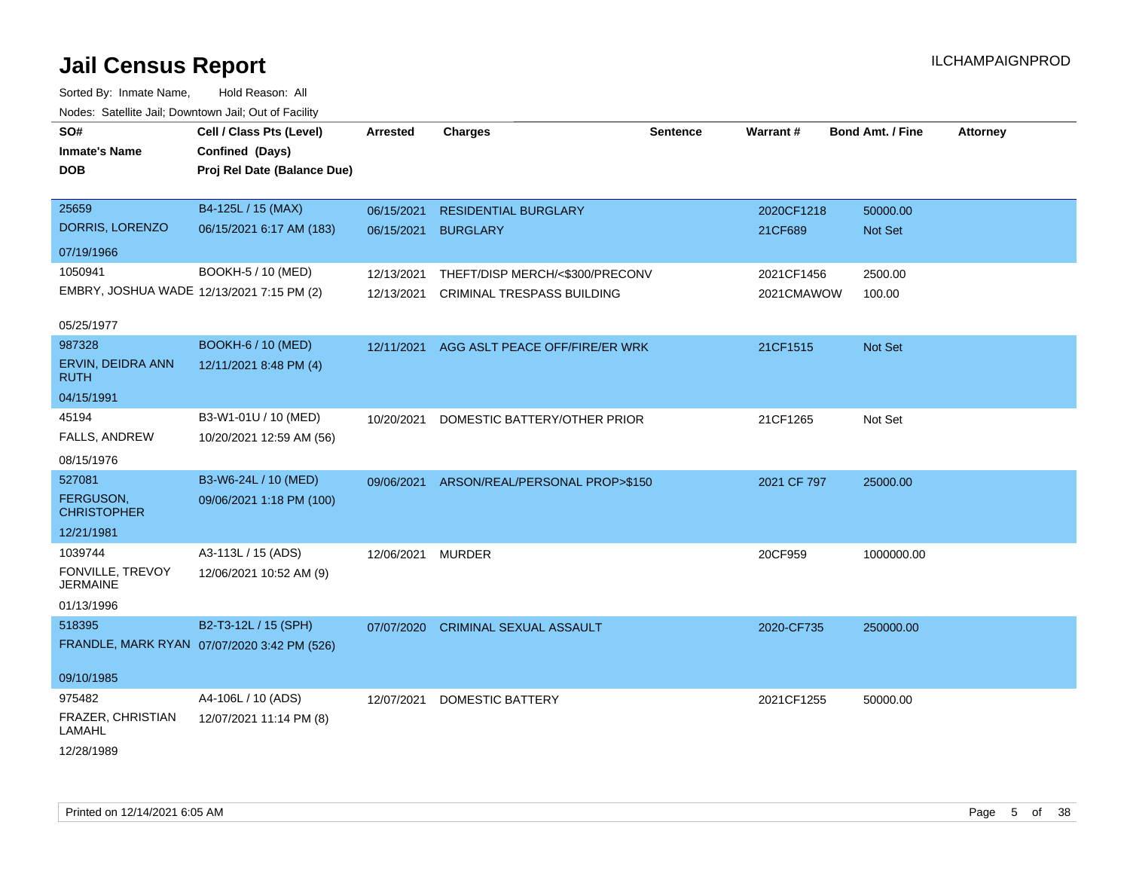| SO#<br><b>Inmate's Name</b><br><b>DOB</b> | Cell / Class Pts (Level)<br>Confined (Days)<br>Proj Rel Date (Balance Due) | <b>Arrested</b> | <b>Charges</b>                     | <b>Sentence</b> | <b>Warrant#</b> | <b>Bond Amt. / Fine</b> | <b>Attorney</b> |
|-------------------------------------------|----------------------------------------------------------------------------|-----------------|------------------------------------|-----------------|-----------------|-------------------------|-----------------|
| 25659                                     | B4-125L / 15 (MAX)                                                         | 06/15/2021      | <b>RESIDENTIAL BURGLARY</b>        |                 | 2020CF1218      | 50000.00                |                 |
| DORRIS, LORENZO                           | 06/15/2021 6:17 AM (183)                                                   | 06/15/2021      | <b>BURGLARY</b>                    |                 | 21CF689         | Not Set                 |                 |
| 07/19/1966                                |                                                                            |                 |                                    |                 |                 |                         |                 |
| 1050941                                   | BOOKH-5 / 10 (MED)                                                         | 12/13/2021      | THEFT/DISP MERCH/<\$300/PRECONV    |                 | 2021CF1456      | 2500.00                 |                 |
| EMBRY, JOSHUA WADE 12/13/2021 7:15 PM (2) |                                                                            | 12/13/2021      | <b>CRIMINAL TRESPASS BUILDING</b>  |                 | 2021CMAWOW      | 100.00                  |                 |
| 05/25/1977                                |                                                                            |                 |                                    |                 |                 |                         |                 |
| 987328                                    | <b>BOOKH-6 / 10 (MED)</b>                                                  | 12/11/2021      | AGG ASLT PEACE OFF/FIRE/ER WRK     |                 | 21CF1515        | Not Set                 |                 |
| ERVIN, DEIDRA ANN<br><b>RUTH</b>          | 12/11/2021 8:48 PM (4)                                                     |                 |                                    |                 |                 |                         |                 |
| 04/15/1991                                |                                                                            |                 |                                    |                 |                 |                         |                 |
| 45194                                     | B3-W1-01U / 10 (MED)                                                       | 10/20/2021      | DOMESTIC BATTERY/OTHER PRIOR       |                 | 21CF1265        | Not Set                 |                 |
| FALLS, ANDREW                             | 10/20/2021 12:59 AM (56)                                                   |                 |                                    |                 |                 |                         |                 |
| 08/15/1976                                |                                                                            |                 |                                    |                 |                 |                         |                 |
| 527081                                    | B3-W6-24L / 10 (MED)                                                       | 09/06/2021      | ARSON/REAL/PERSONAL PROP>\$150     |                 | 2021 CF 797     | 25000.00                |                 |
| FERGUSON,<br><b>CHRISTOPHER</b>           | 09/06/2021 1:18 PM (100)                                                   |                 |                                    |                 |                 |                         |                 |
| 12/21/1981                                |                                                                            |                 |                                    |                 |                 |                         |                 |
| 1039744                                   | A3-113L / 15 (ADS)                                                         | 12/06/2021      | <b>MURDER</b>                      |                 | 20CF959         | 1000000.00              |                 |
| FONVILLE, TREVOY<br><b>JERMAINE</b>       | 12/06/2021 10:52 AM (9)                                                    |                 |                                    |                 |                 |                         |                 |
| 01/13/1996                                |                                                                            |                 |                                    |                 |                 |                         |                 |
| 518395                                    | B2-T3-12L / 15 (SPH)                                                       |                 | 07/07/2020 CRIMINAL SEXUAL ASSAULT |                 | 2020-CF735      | 250000.00               |                 |
|                                           | FRANDLE, MARK RYAN 07/07/2020 3:42 PM (526)                                |                 |                                    |                 |                 |                         |                 |
| 09/10/1985                                |                                                                            |                 |                                    |                 |                 |                         |                 |
| 975482                                    | A4-106L / 10 (ADS)                                                         | 12/07/2021      | <b>DOMESTIC BATTERY</b>            |                 | 2021CF1255      | 50000.00                |                 |
| FRAZER, CHRISTIAN<br>LAMAHL               | 12/07/2021 11:14 PM (8)                                                    |                 |                                    |                 |                 |                         |                 |
| 12/28/1989                                |                                                                            |                 |                                    |                 |                 |                         |                 |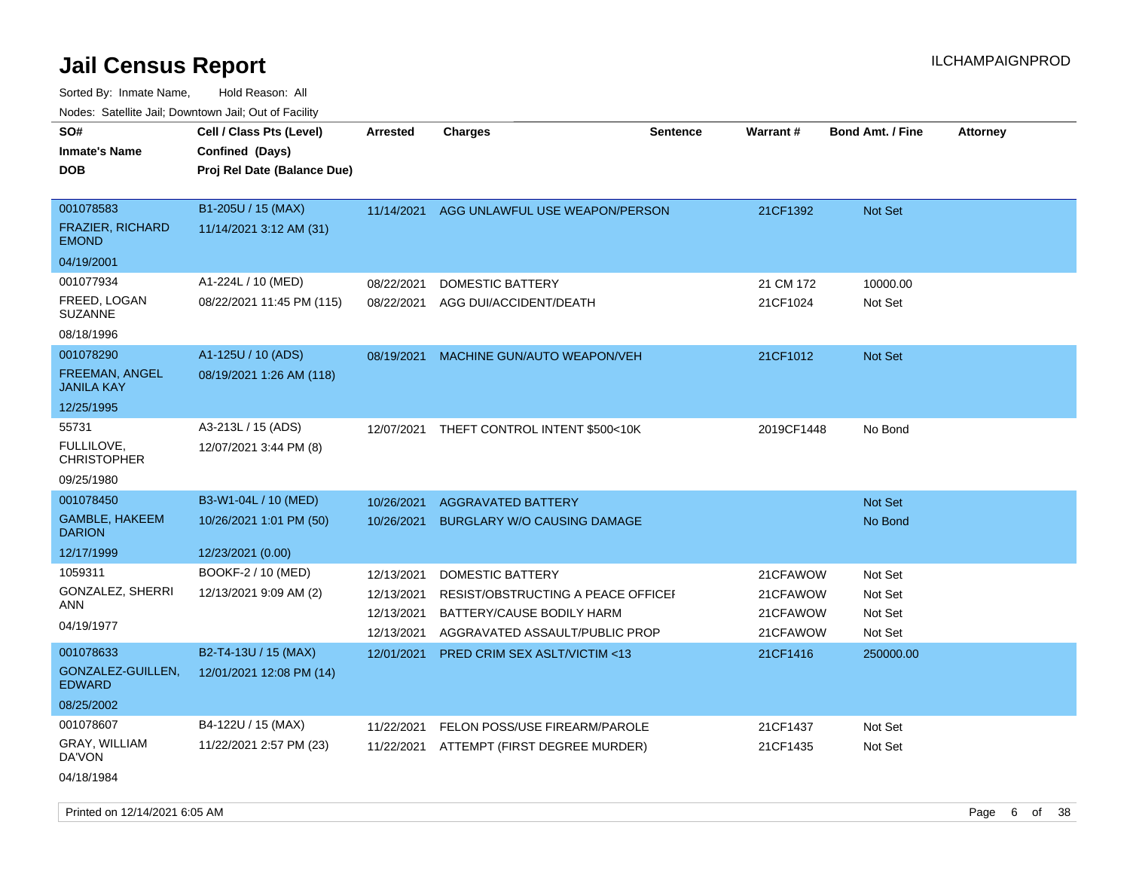Sorted By: Inmate Name, Hold Reason: All Nodes: Satellite Jail; Downtown Jail; Out of Facility

| roaco. Catolino cali, Domntonn cali, Out of Facility                  |                                                                            |                                                      |                                                                                                                              |                 |                                              |                                          |                 |
|-----------------------------------------------------------------------|----------------------------------------------------------------------------|------------------------------------------------------|------------------------------------------------------------------------------------------------------------------------------|-----------------|----------------------------------------------|------------------------------------------|-----------------|
| SO#<br><b>Inmate's Name</b><br><b>DOB</b>                             | Cell / Class Pts (Level)<br>Confined (Days)<br>Proj Rel Date (Balance Due) | <b>Arrested</b>                                      | <b>Charges</b>                                                                                                               | <b>Sentence</b> | Warrant#                                     | <b>Bond Amt. / Fine</b>                  | <b>Attorney</b> |
| 001078583<br><b>FRAZIER, RICHARD</b><br><b>EMOND</b><br>04/19/2001    | B1-205U / 15 (MAX)<br>11/14/2021 3:12 AM (31)                              | 11/14/2021                                           | AGG UNLAWFUL USE WEAPON/PERSON                                                                                               |                 | 21CF1392                                     | Not Set                                  |                 |
| 001077934<br>FREED, LOGAN<br><b>SUZANNE</b><br>08/18/1996             | A1-224L / 10 (MED)<br>08/22/2021 11:45 PM (115)                            | 08/22/2021<br>08/22/2021                             | <b>DOMESTIC BATTERY</b><br>AGG DUI/ACCIDENT/DEATH                                                                            |                 | 21 CM 172<br>21CF1024                        | 10000.00<br>Not Set                      |                 |
| 001078290<br><b>FREEMAN, ANGEL</b><br><b>JANILA KAY</b><br>12/25/1995 | A1-125U / 10 (ADS)<br>08/19/2021 1:26 AM (118)                             | 08/19/2021                                           | MACHINE GUN/AUTO WEAPON/VEH                                                                                                  |                 | 21CF1012                                     | <b>Not Set</b>                           |                 |
| 55731<br>FULLILOVE.<br><b>CHRISTOPHER</b><br>09/25/1980               | A3-213L / 15 (ADS)<br>12/07/2021 3:44 PM (8)                               | 12/07/2021                                           | THEFT CONTROL INTENT \$500<10K                                                                                               |                 | 2019CF1448                                   | No Bond                                  |                 |
| 001078450<br><b>GAMBLE, HAKEEM</b><br><b>DARION</b><br>12/17/1999     | B3-W1-04L / 10 (MED)<br>10/26/2021 1:01 PM (50)<br>12/23/2021 (0.00)       | 10/26/2021<br>10/26/2021                             | <b>AGGRAVATED BATTERY</b><br><b>BURGLARY W/O CAUSING DAMAGE</b>                                                              |                 |                                              | Not Set<br>No Bond                       |                 |
| 1059311<br>GONZALEZ, SHERRI<br>ANN<br>04/19/1977                      | BOOKF-2 / 10 (MED)<br>12/13/2021 9:09 AM (2)                               | 12/13/2021<br>12/13/2021<br>12/13/2021<br>12/13/2021 | <b>DOMESTIC BATTERY</b><br>RESIST/OBSTRUCTING A PEACE OFFICEF<br>BATTERY/CAUSE BODILY HARM<br>AGGRAVATED ASSAULT/PUBLIC PROP |                 | 21CFAWOW<br>21CFAWOW<br>21CFAWOW<br>21CFAWOW | Not Set<br>Not Set<br>Not Set<br>Not Set |                 |
| 001078633<br>GONZALEZ-GUILLEN,<br><b>EDWARD</b><br>08/25/2002         | B2-T4-13U / 15 (MAX)<br>12/01/2021 12:08 PM (14)                           | 12/01/2021                                           | PRED CRIM SEX ASLT/VICTIM <13                                                                                                |                 | 21CF1416                                     | 250000.00                                |                 |
| 001078607<br>GRAY, WILLIAM<br>DA'VON<br>04/18/1984                    | B4-122U / 15 (MAX)<br>11/22/2021 2:57 PM (23)                              | 11/22/2021<br>11/22/2021                             | FELON POSS/USE FIREARM/PAROLE<br>ATTEMPT (FIRST DEGREE MURDER)                                                               |                 | 21CF1437<br>21CF1435                         | Not Set<br>Not Set                       |                 |

Printed on 12/14/2021 6:05 AM **Page 6** of 38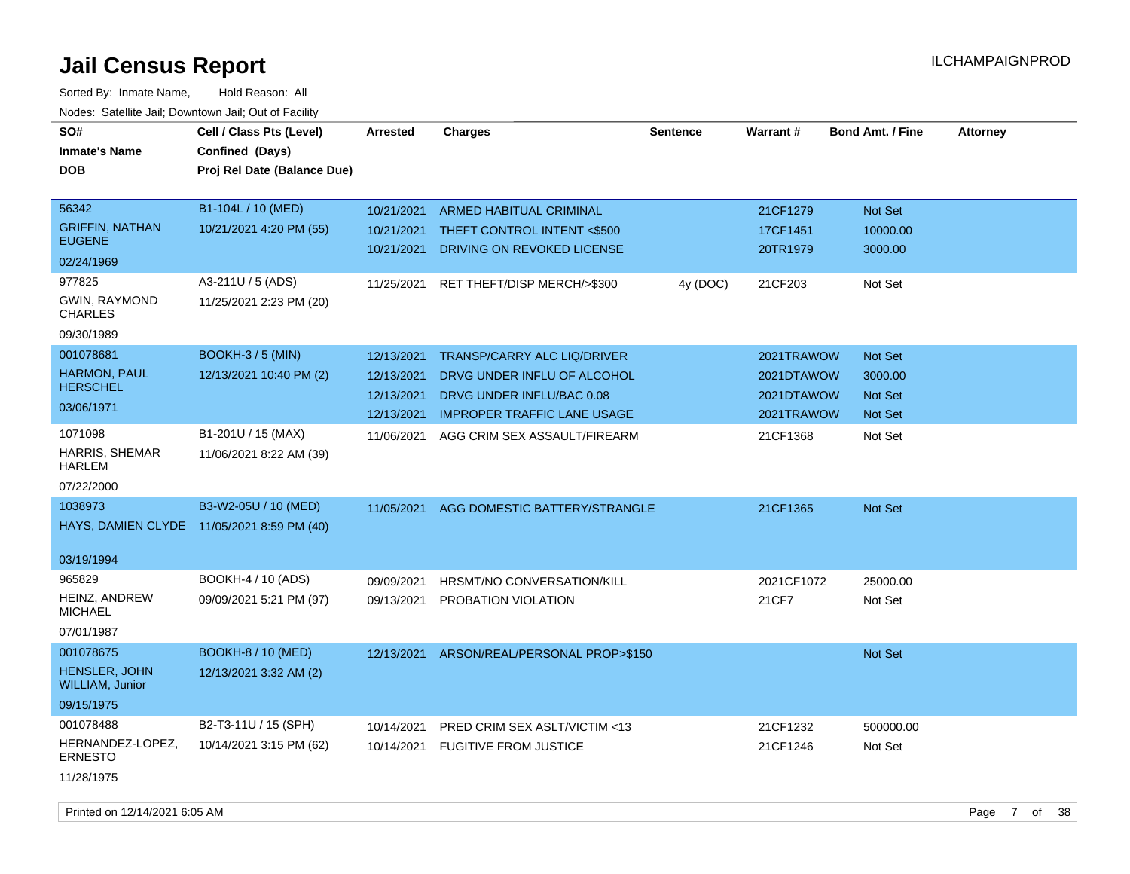| Noucs. Catchitic sail, Downtown sail, Out of Facility |                             |                 |                                    |                 |            |                         |                 |
|-------------------------------------------------------|-----------------------------|-----------------|------------------------------------|-----------------|------------|-------------------------|-----------------|
| SO#                                                   | Cell / Class Pts (Level)    | <b>Arrested</b> | <b>Charges</b>                     | <b>Sentence</b> | Warrant#   | <b>Bond Amt. / Fine</b> | <b>Attorney</b> |
| <b>Inmate's Name</b>                                  | Confined (Days)             |                 |                                    |                 |            |                         |                 |
| DOB                                                   | Proj Rel Date (Balance Due) |                 |                                    |                 |            |                         |                 |
|                                                       |                             |                 |                                    |                 |            |                         |                 |
| 56342                                                 | B1-104L / 10 (MED)          | 10/21/2021      | <b>ARMED HABITUAL CRIMINAL</b>     |                 | 21CF1279   | Not Set                 |                 |
| <b>GRIFFIN, NATHAN</b>                                | 10/21/2021 4:20 PM (55)     | 10/21/2021      | THEFT CONTROL INTENT <\$500        |                 | 17CF1451   | 10000.00                |                 |
| <b>EUGENE</b>                                         |                             | 10/21/2021      | DRIVING ON REVOKED LICENSE         |                 | 20TR1979   | 3000.00                 |                 |
| 02/24/1969                                            |                             |                 |                                    |                 |            |                         |                 |
| 977825                                                | A3-211U / 5 (ADS)           | 11/25/2021      | RET THEFT/DISP MERCH/>\$300        | 4y (DOC)        | 21CF203    | Not Set                 |                 |
| <b>GWIN, RAYMOND</b><br><b>CHARLES</b>                | 11/25/2021 2:23 PM (20)     |                 |                                    |                 |            |                         |                 |
| 09/30/1989                                            |                             |                 |                                    |                 |            |                         |                 |
| 001078681                                             | BOOKH-3/5 (MIN)             | 12/13/2021      | <b>TRANSP/CARRY ALC LIQ/DRIVER</b> |                 | 2021TRAWOW | Not Set                 |                 |
| HARMON, PAUL                                          | 12/13/2021 10:40 PM (2)     | 12/13/2021      | DRVG UNDER INFLU OF ALCOHOL        |                 | 2021DTAWOW | 3000.00                 |                 |
| <b>HERSCHEL</b>                                       |                             | 12/13/2021      | DRVG UNDER INFLU/BAC 0.08          |                 | 2021DTAWOW | Not Set                 |                 |
| 03/06/1971                                            |                             | 12/13/2021      | <b>IMPROPER TRAFFIC LANE USAGE</b> |                 | 2021TRAWOW | Not Set                 |                 |
| 1071098                                               | B1-201U / 15 (MAX)          | 11/06/2021      | AGG CRIM SEX ASSAULT/FIREARM       |                 | 21CF1368   | Not Set                 |                 |
| HARRIS, SHEMAR<br><b>HARLEM</b>                       | 11/06/2021 8:22 AM (39)     |                 |                                    |                 |            |                         |                 |
| 07/22/2000                                            |                             |                 |                                    |                 |            |                         |                 |
| 1038973                                               | B3-W2-05U / 10 (MED)        | 11/05/2021      | AGG DOMESTIC BATTERY/STRANGLE      |                 | 21CF1365   | <b>Not Set</b>          |                 |
| HAYS, DAMIEN CLYDE 11/05/2021 8:59 PM (40)            |                             |                 |                                    |                 |            |                         |                 |
|                                                       |                             |                 |                                    |                 |            |                         |                 |
| 03/19/1994                                            |                             |                 |                                    |                 |            |                         |                 |
| 965829                                                | BOOKH-4 / 10 (ADS)          | 09/09/2021      | HRSMT/NO CONVERSATION/KILL         |                 | 2021CF1072 | 25000.00                |                 |
| HEINZ, ANDREW                                         | 09/09/2021 5:21 PM (97)     | 09/13/2021      | PROBATION VIOLATION                |                 | 21CF7      | Not Set                 |                 |
| <b>MICHAEL</b>                                        |                             |                 |                                    |                 |            |                         |                 |
| 07/01/1987                                            |                             |                 |                                    |                 |            |                         |                 |
| 001078675                                             | <b>BOOKH-8 / 10 (MED)</b>   | 12/13/2021      | ARSON/REAL/PERSONAL PROP>\$150     |                 |            | Not Set                 |                 |
| <b>HENSLER, JOHN</b><br>WILLIAM, Junior               | 12/13/2021 3:32 AM (2)      |                 |                                    |                 |            |                         |                 |
| 09/15/1975                                            |                             |                 |                                    |                 |            |                         |                 |
| 001078488                                             | B2-T3-11U / 15 (SPH)        | 10/14/2021      | PRED CRIM SEX ASLT/VICTIM <13      |                 | 21CF1232   | 500000.00               |                 |
| HERNANDEZ-LOPEZ,<br><b>ERNESTO</b>                    | 10/14/2021 3:15 PM (62)     | 10/14/2021      | <b>FUGITIVE FROM JUSTICE</b>       |                 | 21CF1246   | Not Set                 |                 |
| 11/28/1975                                            |                             |                 |                                    |                 |            |                         |                 |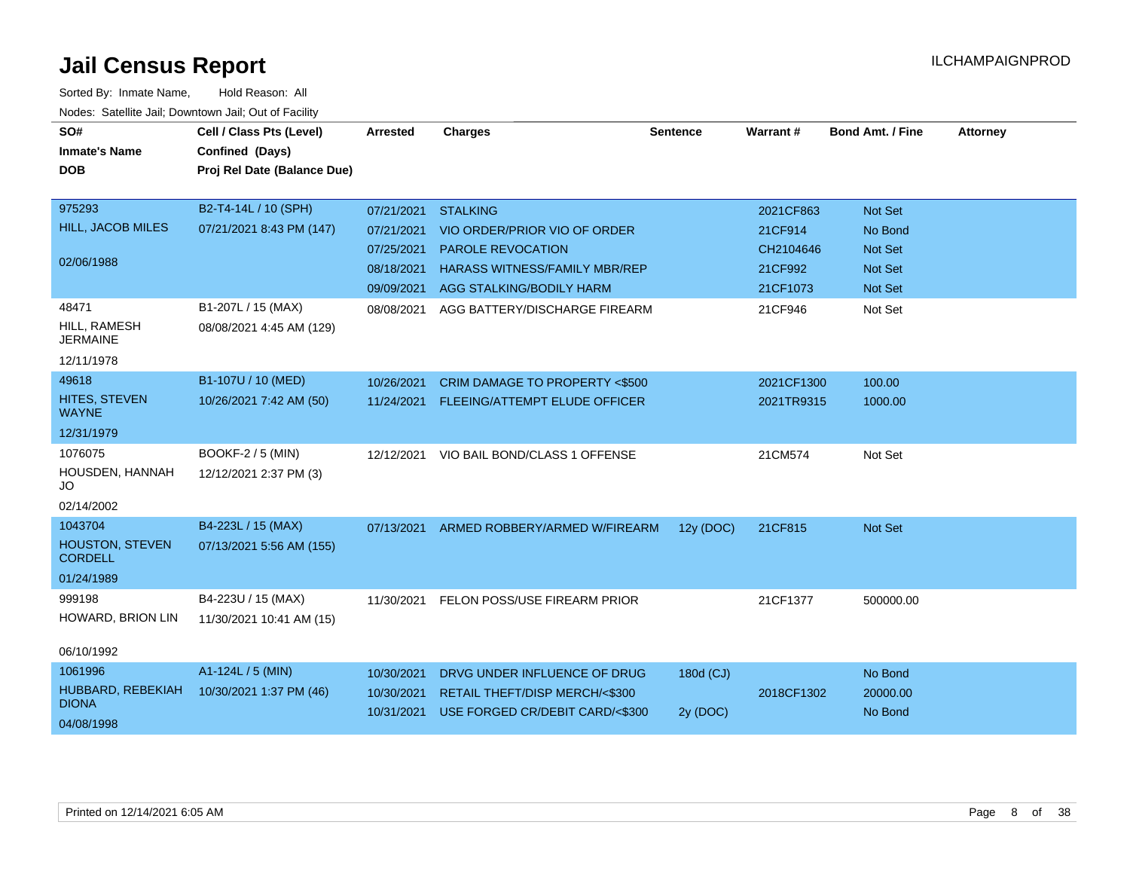| SO#                                      | Cell / Class Pts (Level)                       | Arrested   | <b>Charges</b>                           | <b>Sentence</b> | <b>Warrant#</b> | <b>Bond Amt. / Fine</b> | <b>Attorney</b> |
|------------------------------------------|------------------------------------------------|------------|------------------------------------------|-----------------|-----------------|-------------------------|-----------------|
| <b>Inmate's Name</b><br><b>DOB</b>       | Confined (Days)<br>Proj Rel Date (Balance Due) |            |                                          |                 |                 |                         |                 |
| 975293                                   | B2-T4-14L / 10 (SPH)                           | 07/21/2021 | <b>STALKING</b>                          |                 | 2021CF863       | Not Set                 |                 |
| <b>HILL, JACOB MILES</b>                 | 07/21/2021 8:43 PM (147)                       | 07/21/2021 | VIO ORDER/PRIOR VIO OF ORDER             |                 | 21CF914         | No Bond                 |                 |
|                                          |                                                | 07/25/2021 | <b>PAROLE REVOCATION</b>                 |                 | CH2104646       | Not Set                 |                 |
| 02/06/1988                               |                                                | 08/18/2021 | <b>HARASS WITNESS/FAMILY MBR/REP</b>     |                 | 21CF992         | <b>Not Set</b>          |                 |
|                                          |                                                |            | 09/09/2021 AGG STALKING/BODILY HARM      |                 | 21CF1073        | <b>Not Set</b>          |                 |
| 48471                                    | B1-207L / 15 (MAX)                             | 08/08/2021 | AGG BATTERY/DISCHARGE FIREARM            |                 | 21CF946         | Not Set                 |                 |
| HILL, RAMESH<br><b>JERMAINE</b>          | 08/08/2021 4:45 AM (129)                       |            |                                          |                 |                 |                         |                 |
| 12/11/1978                               |                                                |            |                                          |                 |                 |                         |                 |
| 49618                                    | B1-107U / 10 (MED)                             | 10/26/2021 | <b>CRIM DAMAGE TO PROPERTY &lt;\$500</b> |                 | 2021CF1300      | 100.00                  |                 |
| HITES, STEVEN<br><b>WAYNE</b>            | 10/26/2021 7:42 AM (50)                        | 11/24/2021 | FLEEING/ATTEMPT ELUDE OFFICER            |                 | 2021TR9315      | 1000.00                 |                 |
| 12/31/1979                               |                                                |            |                                          |                 |                 |                         |                 |
| 1076075                                  | BOOKF-2 / 5 (MIN)                              | 12/12/2021 | VIO BAIL BOND/CLASS 1 OFFENSE            |                 | 21CM574         | Not Set                 |                 |
| HOUSDEN, HANNAH<br>JO                    | 12/12/2021 2:37 PM (3)                         |            |                                          |                 |                 |                         |                 |
| 02/14/2002                               |                                                |            |                                          |                 |                 |                         |                 |
| 1043704                                  | B4-223L / 15 (MAX)                             |            | 07/13/2021 ARMED ROBBERY/ARMED W/FIREARM | 12y (DOC)       | 21CF815         | Not Set                 |                 |
| <b>HOUSTON, STEVEN</b><br><b>CORDELL</b> | 07/13/2021 5:56 AM (155)                       |            |                                          |                 |                 |                         |                 |
| 01/24/1989                               |                                                |            |                                          |                 |                 |                         |                 |
| 999198                                   | B4-223U / 15 (MAX)                             | 11/30/2021 | FELON POSS/USE FIREARM PRIOR             |                 | 21CF1377        | 500000.00               |                 |
| HOWARD, BRION LIN                        | 11/30/2021 10:41 AM (15)                       |            |                                          |                 |                 |                         |                 |
| 06/10/1992                               |                                                |            |                                          |                 |                 |                         |                 |
| 1061996                                  | A1-124L / 5 (MIN)                              | 10/30/2021 | DRVG UNDER INFLUENCE OF DRUG             | 180d (CJ)       |                 | No Bond                 |                 |
| HUBBARD, REBEKIAH<br><b>DIONA</b>        | 10/30/2021 1:37 PM (46)                        | 10/30/2021 | RETAIL THEFT/DISP MERCH/<\$300           |                 | 2018CF1302      | 20000.00                |                 |
|                                          |                                                | 10/31/2021 | USE FORGED CR/DEBIT CARD/<\$300          | 2y (DOC)        |                 | No Bond                 |                 |
| 04/08/1998                               |                                                |            |                                          |                 |                 |                         |                 |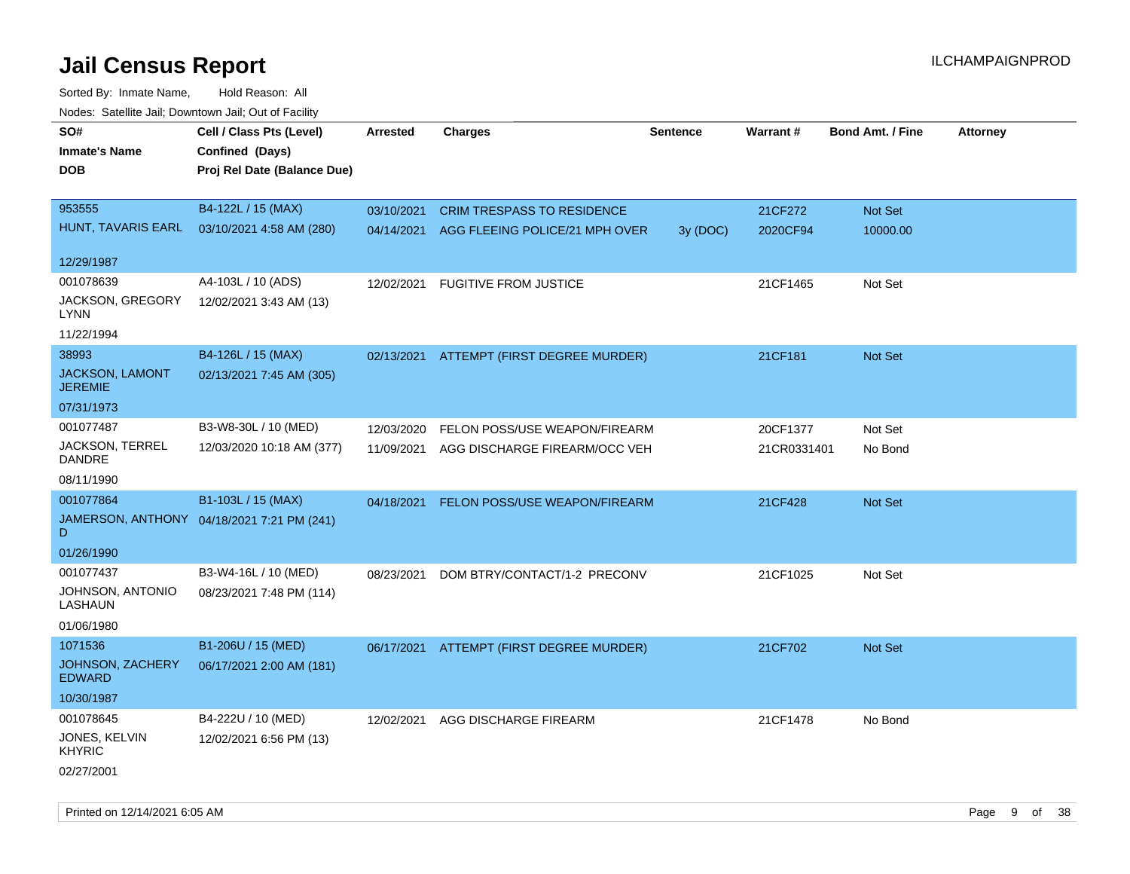| roaco. Catolino dall, Downtown dall, Out of Fability |                                            |                 |                                           |                 |             |                         |                 |
|------------------------------------------------------|--------------------------------------------|-----------------|-------------------------------------------|-----------------|-------------|-------------------------|-----------------|
| SO#                                                  | Cell / Class Pts (Level)                   | <b>Arrested</b> | <b>Charges</b>                            | <b>Sentence</b> | Warrant#    | <b>Bond Amt. / Fine</b> | <b>Attorney</b> |
| <b>Inmate's Name</b>                                 | Confined (Days)                            |                 |                                           |                 |             |                         |                 |
| <b>DOB</b>                                           | Proj Rel Date (Balance Due)                |                 |                                           |                 |             |                         |                 |
|                                                      |                                            |                 |                                           |                 |             |                         |                 |
| 953555                                               | B4-122L / 15 (MAX)                         | 03/10/2021      | <b>CRIM TRESPASS TO RESIDENCE</b>         |                 | 21CF272     | Not Set                 |                 |
| HUNT, TAVARIS EARL                                   | 03/10/2021 4:58 AM (280)                   |                 | 04/14/2021 AGG FLEEING POLICE/21 MPH OVER | 3y (DOC)        | 2020CF94    | 10000.00                |                 |
|                                                      |                                            |                 |                                           |                 |             |                         |                 |
| 12/29/1987                                           |                                            |                 |                                           |                 |             |                         |                 |
| 001078639                                            | A4-103L / 10 (ADS)                         | 12/02/2021      | <b>FUGITIVE FROM JUSTICE</b>              |                 | 21CF1465    | Not Set                 |                 |
| JACKSON, GREGORY<br>LYNN                             | 12/02/2021 3:43 AM (13)                    |                 |                                           |                 |             |                         |                 |
| 11/22/1994                                           |                                            |                 |                                           |                 |             |                         |                 |
| 38993                                                | B4-126L / 15 (MAX)                         |                 | 02/13/2021 ATTEMPT (FIRST DEGREE MURDER)  |                 | 21CF181     | Not Set                 |                 |
| JACKSON, LAMONT<br><b>JEREMIE</b>                    | 02/13/2021 7:45 AM (305)                   |                 |                                           |                 |             |                         |                 |
| 07/31/1973                                           |                                            |                 |                                           |                 |             |                         |                 |
| 001077487                                            | B3-W8-30L / 10 (MED)                       | 12/03/2020      | FELON POSS/USE WEAPON/FIREARM             |                 | 20CF1377    | Not Set                 |                 |
| JACKSON, TERREL<br><b>DANDRE</b>                     | 12/03/2020 10:18 AM (377)                  | 11/09/2021      | AGG DISCHARGE FIREARM/OCC VEH             |                 | 21CR0331401 | No Bond                 |                 |
| 08/11/1990                                           |                                            |                 |                                           |                 |             |                         |                 |
| 001077864                                            | B1-103L / 15 (MAX)                         | 04/18/2021      | FELON POSS/USE WEAPON/FIREARM             |                 | 21CF428     | Not Set                 |                 |
| D                                                    | JAMERSON, ANTHONY 04/18/2021 7:21 PM (241) |                 |                                           |                 |             |                         |                 |
| 01/26/1990                                           |                                            |                 |                                           |                 |             |                         |                 |
| 001077437                                            | B3-W4-16L / 10 (MED)                       | 08/23/2021      | DOM BTRY/CONTACT/1-2 PRECONV              |                 | 21CF1025    | Not Set                 |                 |
| JOHNSON, ANTONIO<br>LASHAUN                          | 08/23/2021 7:48 PM (114)                   |                 |                                           |                 |             |                         |                 |
| 01/06/1980                                           |                                            |                 |                                           |                 |             |                         |                 |
| 1071536                                              | B1-206U / 15 (MED)                         |                 | 06/17/2021 ATTEMPT (FIRST DEGREE MURDER)  |                 | 21CF702     | Not Set                 |                 |
| JOHNSON, ZACHERY<br><b>EDWARD</b>                    | 06/17/2021 2:00 AM (181)                   |                 |                                           |                 |             |                         |                 |
| 10/30/1987                                           |                                            |                 |                                           |                 |             |                         |                 |
| 001078645                                            | B4-222U / 10 (MED)                         | 12/02/2021      | AGG DISCHARGE FIREARM                     |                 | 21CF1478    | No Bond                 |                 |
| JONES, KELVIN<br><b>KHYRIC</b>                       | 12/02/2021 6:56 PM (13)                    |                 |                                           |                 |             |                         |                 |
| 02/27/2001                                           |                                            |                 |                                           |                 |             |                         |                 |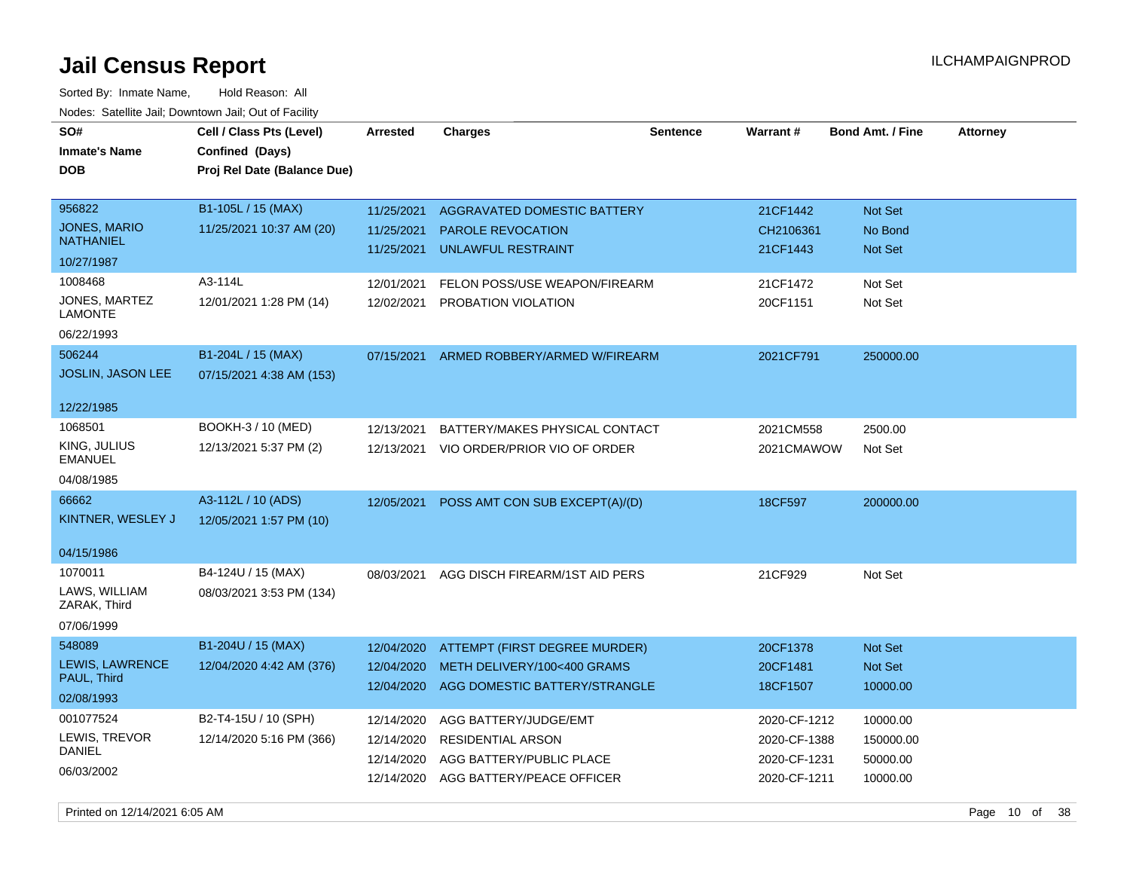| SO#<br><b>Inmate's Name</b><br><b>DOB</b>                       | Cell / Class Pts (Level)<br>Confined (Days)<br>Proj Rel Date (Balance Due) | <b>Arrested</b>                                      | <b>Charges</b>                                                                                      | <b>Sentence</b> | Warrant#                                                     | <b>Bond Amt. / Fine</b>                       | <b>Attorney</b> |
|-----------------------------------------------------------------|----------------------------------------------------------------------------|------------------------------------------------------|-----------------------------------------------------------------------------------------------------|-----------------|--------------------------------------------------------------|-----------------------------------------------|-----------------|
| 956822<br><b>JONES, MARIO</b><br><b>NATHANIEL</b><br>10/27/1987 | B1-105L / 15 (MAX)<br>11/25/2021 10:37 AM (20)                             | 11/25/2021<br>11/25/2021<br>11/25/2021               | AGGRAVATED DOMESTIC BATTERY<br><b>PAROLE REVOCATION</b><br><b>UNLAWFUL RESTRAINT</b>                |                 | 21CF1442<br>CH2106361<br>21CF1443                            | Not Set<br>No Bond<br>Not Set                 |                 |
| 1008468<br>JONES, MARTEZ<br><b>LAMONTE</b><br>06/22/1993        | A3-114L<br>12/01/2021 1:28 PM (14)                                         | 12/01/2021<br>12/02/2021                             | FELON POSS/USE WEAPON/FIREARM<br>PROBATION VIOLATION                                                |                 | 21CF1472<br>20CF1151                                         | Not Set<br>Not Set                            |                 |
| 506244<br>JOSLIN, JASON LEE<br>12/22/1985                       | B1-204L / 15 (MAX)<br>07/15/2021 4:38 AM (153)                             | 07/15/2021                                           | ARMED ROBBERY/ARMED W/FIREARM                                                                       |                 | 2021CF791                                                    | 250000.00                                     |                 |
| 1068501<br>KING, JULIUS<br><b>EMANUEL</b><br>04/08/1985         | BOOKH-3 / 10 (MED)<br>12/13/2021 5:37 PM (2)                               | 12/13/2021<br>12/13/2021                             | BATTERY/MAKES PHYSICAL CONTACT<br>VIO ORDER/PRIOR VIO OF ORDER                                      |                 | 2021CM558<br>2021CMAWOW                                      | 2500.00<br>Not Set                            |                 |
| 66662<br>KINTNER, WESLEY J<br>04/15/1986                        | A3-112L / 10 (ADS)<br>12/05/2021 1:57 PM (10)                              | 12/05/2021                                           | POSS AMT CON SUB EXCEPT(A)/(D)                                                                      |                 | 18CF597                                                      | 200000.00                                     |                 |
| 1070011<br>LAWS, WILLIAM<br>ZARAK, Third<br>07/06/1999          | B4-124U / 15 (MAX)<br>08/03/2021 3:53 PM (134)                             | 08/03/2021                                           | AGG DISCH FIREARM/1ST AID PERS                                                                      |                 | 21CF929                                                      | Not Set                                       |                 |
| 548089<br>LEWIS, LAWRENCE<br>PAUL, Third<br>02/08/1993          | B1-204U / 15 (MAX)<br>12/04/2020 4:42 AM (376)                             | 12/04/2020<br>12/04/2020<br>12/04/2020               | ATTEMPT (FIRST DEGREE MURDER)<br>METH DELIVERY/100<400 GRAMS<br>AGG DOMESTIC BATTERY/STRANGLE       |                 | 20CF1378<br>20CF1481<br>18CF1507                             | Not Set<br>Not Set<br>10000.00                |                 |
| 001077524<br>LEWIS, TREVOR<br>DANIEL<br>06/03/2002              | B2-T4-15U / 10 (SPH)<br>12/14/2020 5:16 PM (366)                           | 12/14/2020<br>12/14/2020<br>12/14/2020<br>12/14/2020 | AGG BATTERY/JUDGE/EMT<br>RESIDENTIAL ARSON<br>AGG BATTERY/PUBLIC PLACE<br>AGG BATTERY/PEACE OFFICER |                 | 2020-CF-1212<br>2020-CF-1388<br>2020-CF-1231<br>2020-CF-1211 | 10000.00<br>150000.00<br>50000.00<br>10000.00 |                 |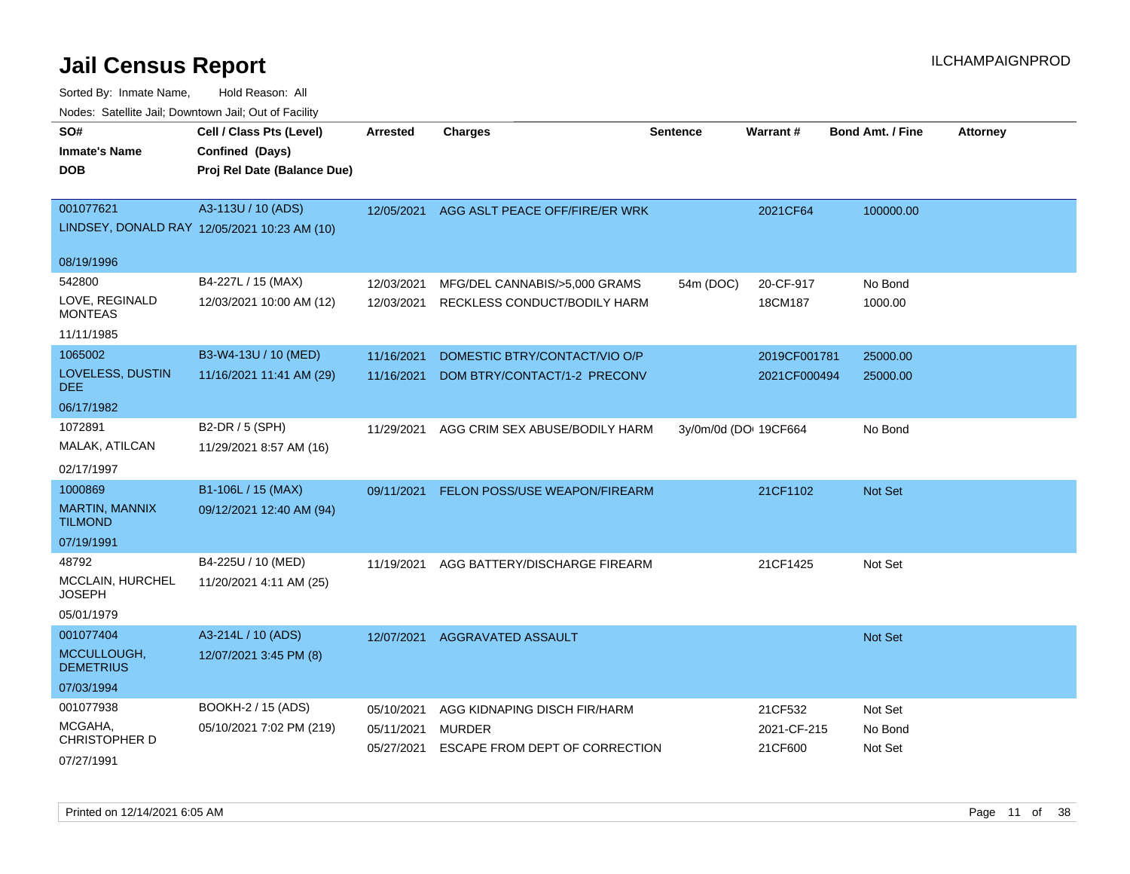| SO#<br><b>Inmate's Name</b><br><b>DOB</b> | Cell / Class Pts (Level)<br>Confined (Days)<br>Proj Rel Date (Balance Due) | Arrested                 | <b>Charges</b>                                  | <b>Sentence</b> | <b>Warrant#</b>        | <b>Bond Amt. / Fine</b> | <b>Attorney</b> |
|-------------------------------------------|----------------------------------------------------------------------------|--------------------------|-------------------------------------------------|-----------------|------------------------|-------------------------|-----------------|
| 001077621                                 | A3-113U / 10 (ADS)<br>LINDSEY, DONALD RAY 12/05/2021 10:23 AM (10)         | 12/05/2021               | AGG ASLT PEACE OFF/FIRE/ER WRK                  |                 | 2021CF64               | 100000.00               |                 |
| 08/19/1996                                |                                                                            |                          |                                                 |                 |                        |                         |                 |
| 542800                                    | B4-227L / 15 (MAX)                                                         | 12/03/2021               | MFG/DEL CANNABIS/>5,000 GRAMS                   | 54m (DOC)       | 20-CF-917              | No Bond                 |                 |
| LOVE, REGINALD<br><b>MONTEAS</b>          | 12/03/2021 10:00 AM (12)                                                   | 12/03/2021               | RECKLESS CONDUCT/BODILY HARM                    |                 | 18CM187                | 1000.00                 |                 |
| 11/11/1985                                |                                                                            |                          |                                                 |                 |                        |                         |                 |
| 1065002                                   | B3-W4-13U / 10 (MED)                                                       | 11/16/2021               | DOMESTIC BTRY/CONTACT/VIO O/P                   |                 | 2019CF001781           | 25000.00                |                 |
| LOVELESS, DUSTIN<br><b>DEE</b>            | 11/16/2021 11:41 AM (29)                                                   | 11/16/2021               | DOM BTRY/CONTACT/1-2 PRECONV                    |                 | 2021CF000494           | 25000.00                |                 |
| 06/17/1982                                |                                                                            |                          |                                                 |                 |                        |                         |                 |
| 1072891                                   | B2-DR / 5 (SPH)                                                            | 11/29/2021               | AGG CRIM SEX ABUSE/BODILY HARM                  |                 | 3y/0m/0d (DO: 19CF664  | No Bond                 |                 |
| MALAK, ATILCAN                            | 11/29/2021 8:57 AM (16)                                                    |                          |                                                 |                 |                        |                         |                 |
| 02/17/1997                                |                                                                            |                          |                                                 |                 |                        |                         |                 |
| 1000869                                   | B1-106L / 15 (MAX)                                                         | 09/11/2021               | FELON POSS/USE WEAPON/FIREARM                   |                 | 21CF1102               | Not Set                 |                 |
| MARTIN, MANNIX<br><b>TILMOND</b>          | 09/12/2021 12:40 AM (94)                                                   |                          |                                                 |                 |                        |                         |                 |
| 07/19/1991                                |                                                                            |                          |                                                 |                 |                        |                         |                 |
| 48792                                     | B4-225U / 10 (MED)                                                         | 11/19/2021               | AGG BATTERY/DISCHARGE FIREARM                   |                 | 21CF1425               | Not Set                 |                 |
| MCCLAIN, HURCHEL<br><b>JOSEPH</b>         | 11/20/2021 4:11 AM (25)                                                    |                          |                                                 |                 |                        |                         |                 |
| 05/01/1979                                |                                                                            |                          |                                                 |                 |                        |                         |                 |
| 001077404                                 | A3-214L / 10 (ADS)                                                         | 12/07/2021               | AGGRAVATED ASSAULT                              |                 |                        | Not Set                 |                 |
| MCCULLOUGH,<br><b>DEMETRIUS</b>           | 12/07/2021 3:45 PM (8)                                                     |                          |                                                 |                 |                        |                         |                 |
| 07/03/1994                                |                                                                            |                          |                                                 |                 |                        |                         |                 |
| 001077938                                 | BOOKH-2 / 15 (ADS)                                                         | 05/10/2021               | AGG KIDNAPING DISCH FIR/HARM                    |                 | 21CF532                | Not Set                 |                 |
| MCGAHA,<br><b>CHRISTOPHER D</b>           | 05/10/2021 7:02 PM (219)                                                   | 05/11/2021<br>05/27/2021 | <b>MURDER</b><br>ESCAPE FROM DEPT OF CORRECTION |                 | 2021-CF-215<br>21CF600 | No Bond<br>Not Set      |                 |
| 07/27/1991                                |                                                                            |                          |                                                 |                 |                        |                         |                 |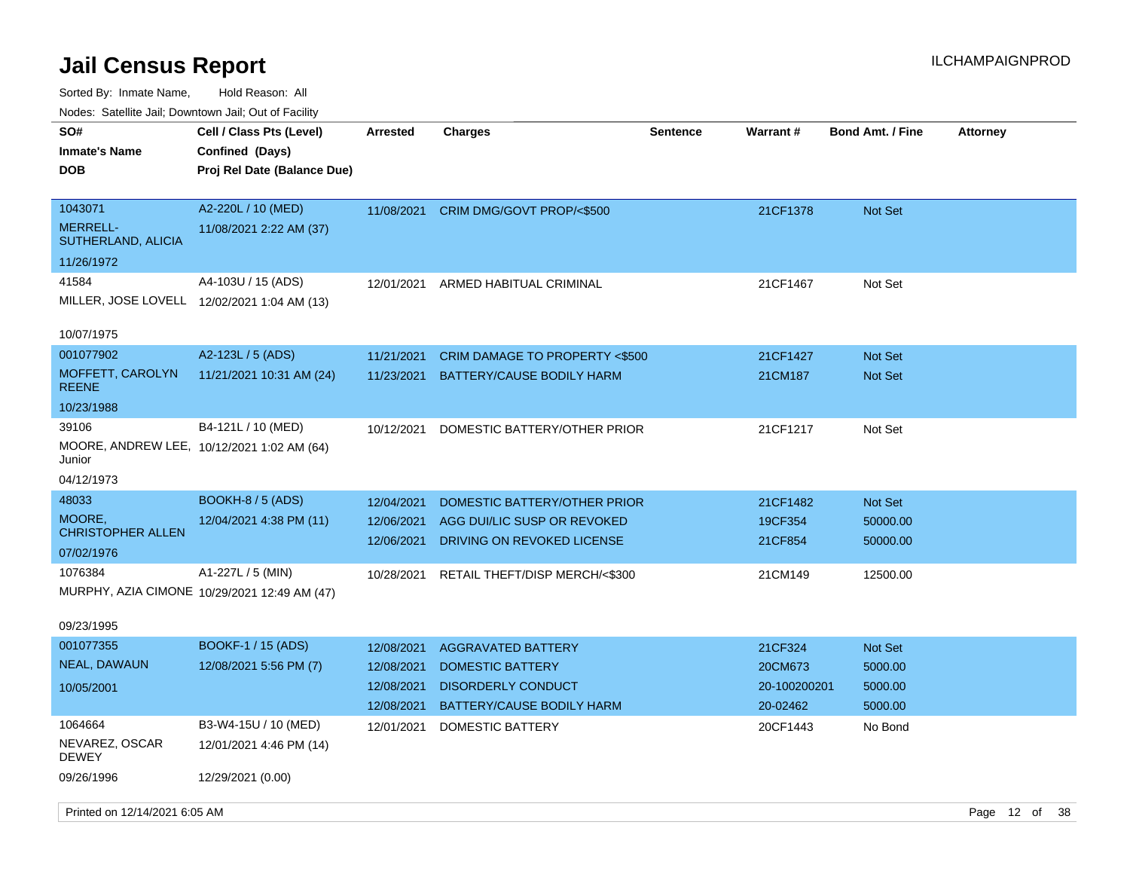| SO#<br><b>Inmate's Name</b><br><b>DOB</b>                 | Cell / Class Pts (Level)<br>Confined (Days)<br>Proj Rel Date (Balance Due) | Arrested                               | <b>Charges</b>                                                                            | <b>Sentence</b> | <b>Warrant#</b>                                | <b>Bond Amt. / Fine</b>         | <b>Attorney</b> |  |
|-----------------------------------------------------------|----------------------------------------------------------------------------|----------------------------------------|-------------------------------------------------------------------------------------------|-----------------|------------------------------------------------|---------------------------------|-----------------|--|
| 1043071<br><b>MERRELL-</b><br>SUTHERLAND, ALICIA          | A2-220L / 10 (MED)<br>11/08/2021 2:22 AM (37)                              | 11/08/2021                             | CRIM DMG/GOVT PROP/<\$500                                                                 |                 | 21CF1378                                       | Not Set                         |                 |  |
| 11/26/1972                                                |                                                                            |                                        |                                                                                           |                 |                                                |                                 |                 |  |
| 41584<br>MILLER, JOSE LOVELL 12/02/2021 1:04 AM (13)      | A4-103U / 15 (ADS)                                                         | 12/01/2021                             | ARMED HABITUAL CRIMINAL                                                                   |                 | 21CF1467                                       | Not Set                         |                 |  |
| 10/07/1975                                                |                                                                            |                                        |                                                                                           |                 |                                                |                                 |                 |  |
| 001077902<br>MOFFETT, CAROLYN<br><b>REENE</b>             | A2-123L / 5 (ADS)<br>11/21/2021 10:31 AM (24)                              | 11/21/2021<br>11/23/2021               | <b>CRIM DAMAGE TO PROPERTY &lt;\$500</b><br><b>BATTERY/CAUSE BODILY HARM</b>              |                 | 21CF1427<br>21CM187                            | Not Set<br>Not Set              |                 |  |
| 10/23/1988                                                |                                                                            |                                        |                                                                                           |                 |                                                |                                 |                 |  |
| 39106<br>Junior                                           | B4-121L / 10 (MED)<br>MOORE, ANDREW LEE, 10/12/2021 1:02 AM (64)           | 10/12/2021                             | DOMESTIC BATTERY/OTHER PRIOR                                                              |                 | 21CF1217                                       | Not Set                         |                 |  |
| 04/12/1973                                                |                                                                            |                                        |                                                                                           |                 |                                                |                                 |                 |  |
| 48033<br>MOORE,<br><b>CHRISTOPHER ALLEN</b><br>07/02/1976 | <b>BOOKH-8 / 5 (ADS)</b><br>12/04/2021 4:38 PM (11)                        | 12/04/2021<br>12/06/2021<br>12/06/2021 | DOMESTIC BATTERY/OTHER PRIOR<br>AGG DUI/LIC SUSP OR REVOKED<br>DRIVING ON REVOKED LICENSE |                 | 21CF1482<br>19CF354<br>21CF854                 | Not Set<br>50000.00<br>50000.00 |                 |  |
| 1076384                                                   | A1-227L / 5 (MIN)<br>MURPHY, AZIA CIMONE 10/29/2021 12:49 AM (47)          | 10/28/2021                             | RETAIL THEFT/DISP MERCH/<\$300                                                            |                 | 21CM149                                        | 12500.00                        |                 |  |
| 09/23/1995                                                |                                                                            |                                        |                                                                                           |                 |                                                |                                 |                 |  |
| 001077355<br><b>NEAL, DAWAUN</b><br>10/05/2001            | <b>BOOKF-1 / 15 (ADS)</b><br>12/08/2021 5:56 PM (7)                        | 12/08/2021<br>12/08/2021<br>12/08/2021 | <b>AGGRAVATED BATTERY</b><br><b>DOMESTIC BATTERY</b><br><b>DISORDERLY CONDUCT</b>         |                 | 21CF324<br>20CM673<br>20-100200201<br>20-02462 | Not Set<br>5000.00<br>5000.00   |                 |  |
| 1064664                                                   | B3-W4-15U / 10 (MED)                                                       | 12/08/2021                             | BATTERY/CAUSE BODILY HARM                                                                 |                 |                                                | 5000.00                         |                 |  |
| NEVAREZ, OSCAR<br><b>DEWEY</b>                            | 12/01/2021 4:46 PM (14)                                                    | 12/01/2021                             | DOMESTIC BATTERY                                                                          |                 | 20CF1443                                       | No Bond                         |                 |  |
| 09/26/1996                                                | 12/29/2021 (0.00)                                                          |                                        |                                                                                           |                 |                                                |                                 |                 |  |
| Printed on 12/14/2021 6:05 AM                             |                                                                            |                                        |                                                                                           |                 |                                                |                                 | Page 12 of 38   |  |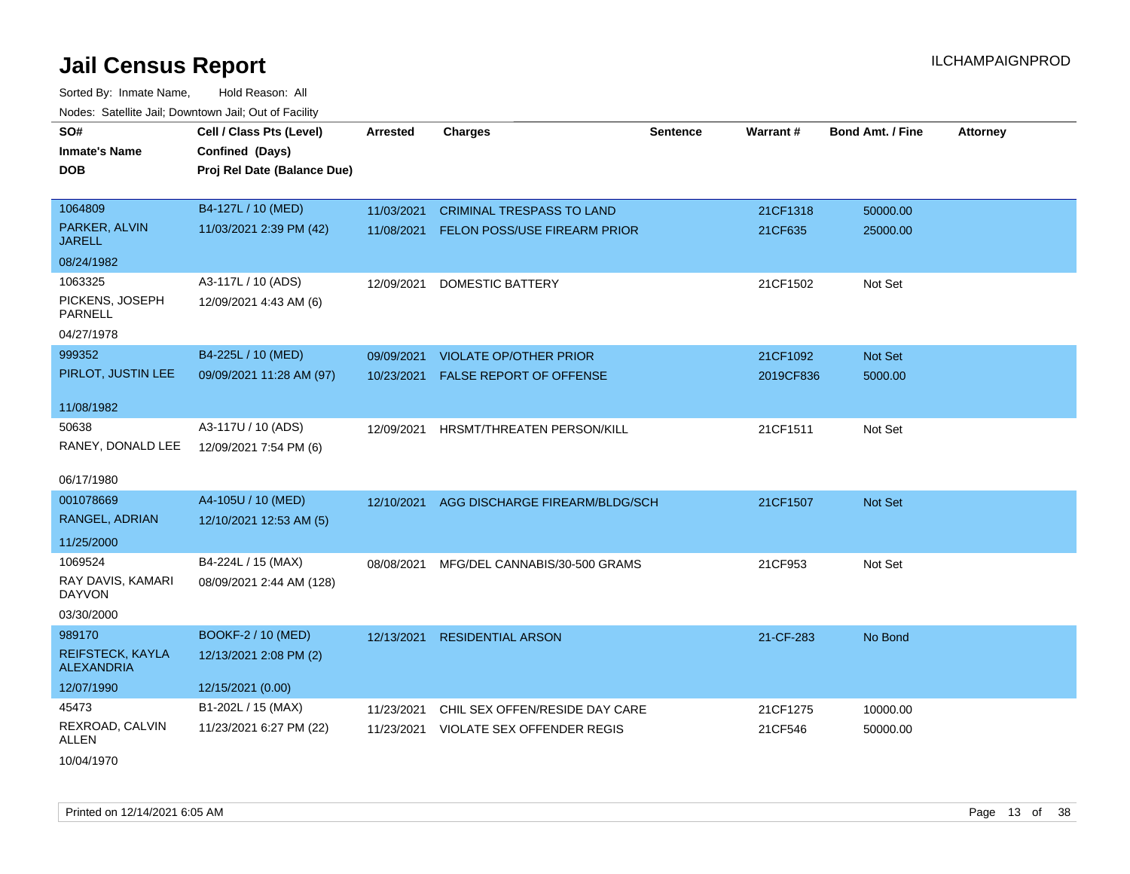| SO#                                          | Cell / Class Pts (Level)    | <b>Arrested</b> | <b>Charges</b>                      | <b>Sentence</b> | Warrant#  | <b>Bond Amt. / Fine</b> | <b>Attorney</b> |
|----------------------------------------------|-----------------------------|-----------------|-------------------------------------|-----------------|-----------|-------------------------|-----------------|
| <b>Inmate's Name</b>                         | Confined (Days)             |                 |                                     |                 |           |                         |                 |
| DOB                                          | Proj Rel Date (Balance Due) |                 |                                     |                 |           |                         |                 |
|                                              |                             |                 |                                     |                 |           |                         |                 |
| 1064809                                      | B4-127L / 10 (MED)          | 11/03/2021      | <b>CRIMINAL TRESPASS TO LAND</b>    |                 | 21CF1318  | 50000.00                |                 |
| PARKER, ALVIN<br><b>JARELL</b>               | 11/03/2021 2:39 PM (42)     | 11/08/2021      | <b>FELON POSS/USE FIREARM PRIOR</b> |                 | 21CF635   | 25000.00                |                 |
| 08/24/1982                                   |                             |                 |                                     |                 |           |                         |                 |
| 1063325                                      | A3-117L / 10 (ADS)          | 12/09/2021      | DOMESTIC BATTERY                    |                 | 21CF1502  | Not Set                 |                 |
| PICKENS, JOSEPH<br><b>PARNELL</b>            | 12/09/2021 4:43 AM (6)      |                 |                                     |                 |           |                         |                 |
| 04/27/1978                                   |                             |                 |                                     |                 |           |                         |                 |
| 999352                                       | B4-225L / 10 (MED)          | 09/09/2021      | <b>VIOLATE OP/OTHER PRIOR</b>       |                 | 21CF1092  | Not Set                 |                 |
| PIRLOT, JUSTIN LEE                           | 09/09/2021 11:28 AM (97)    | 10/23/2021      | <b>FALSE REPORT OF OFFENSE</b>      |                 | 2019CF836 | 5000.00                 |                 |
|                                              |                             |                 |                                     |                 |           |                         |                 |
| 11/08/1982                                   |                             |                 |                                     |                 |           |                         |                 |
| 50638                                        | A3-117U / 10 (ADS)          | 12/09/2021      | HRSMT/THREATEN PERSON/KILL          |                 | 21CF1511  | Not Set                 |                 |
| RANEY, DONALD LEE                            | 12/09/2021 7:54 PM (6)      |                 |                                     |                 |           |                         |                 |
| 06/17/1980                                   |                             |                 |                                     |                 |           |                         |                 |
| 001078669                                    | A4-105U / 10 (MED)          | 12/10/2021      | AGG DISCHARGE FIREARM/BLDG/SCH      |                 | 21CF1507  | <b>Not Set</b>          |                 |
| RANGEL, ADRIAN                               | 12/10/2021 12:53 AM (5)     |                 |                                     |                 |           |                         |                 |
| 11/25/2000                                   |                             |                 |                                     |                 |           |                         |                 |
| 1069524                                      | B4-224L / 15 (MAX)          | 08/08/2021      | MFG/DEL CANNABIS/30-500 GRAMS       |                 | 21CF953   | Not Set                 |                 |
| RAY DAVIS, KAMARI<br><b>DAYVON</b>           | 08/09/2021 2:44 AM (128)    |                 |                                     |                 |           |                         |                 |
| 03/30/2000                                   |                             |                 |                                     |                 |           |                         |                 |
| 989170                                       | <b>BOOKF-2 / 10 (MED)</b>   | 12/13/2021      | <b>RESIDENTIAL ARSON</b>            |                 | 21-CF-283 | No Bond                 |                 |
| <b>REIFSTECK, KAYLA</b><br><b>ALEXANDRIA</b> | 12/13/2021 2:08 PM (2)      |                 |                                     |                 |           |                         |                 |
| 12/07/1990                                   | 12/15/2021 (0.00)           |                 |                                     |                 |           |                         |                 |
| 45473                                        | B1-202L / 15 (MAX)          | 11/23/2021      | CHIL SEX OFFEN/RESIDE DAY CARE      |                 | 21CF1275  | 10000.00                |                 |
| REXROAD, CALVIN<br>ALLEN                     | 11/23/2021 6:27 PM (22)     | 11/23/2021      | VIOLATE SEX OFFENDER REGIS          |                 | 21CF546   | 50000.00                |                 |
| 10/04/1970                                   |                             |                 |                                     |                 |           |                         |                 |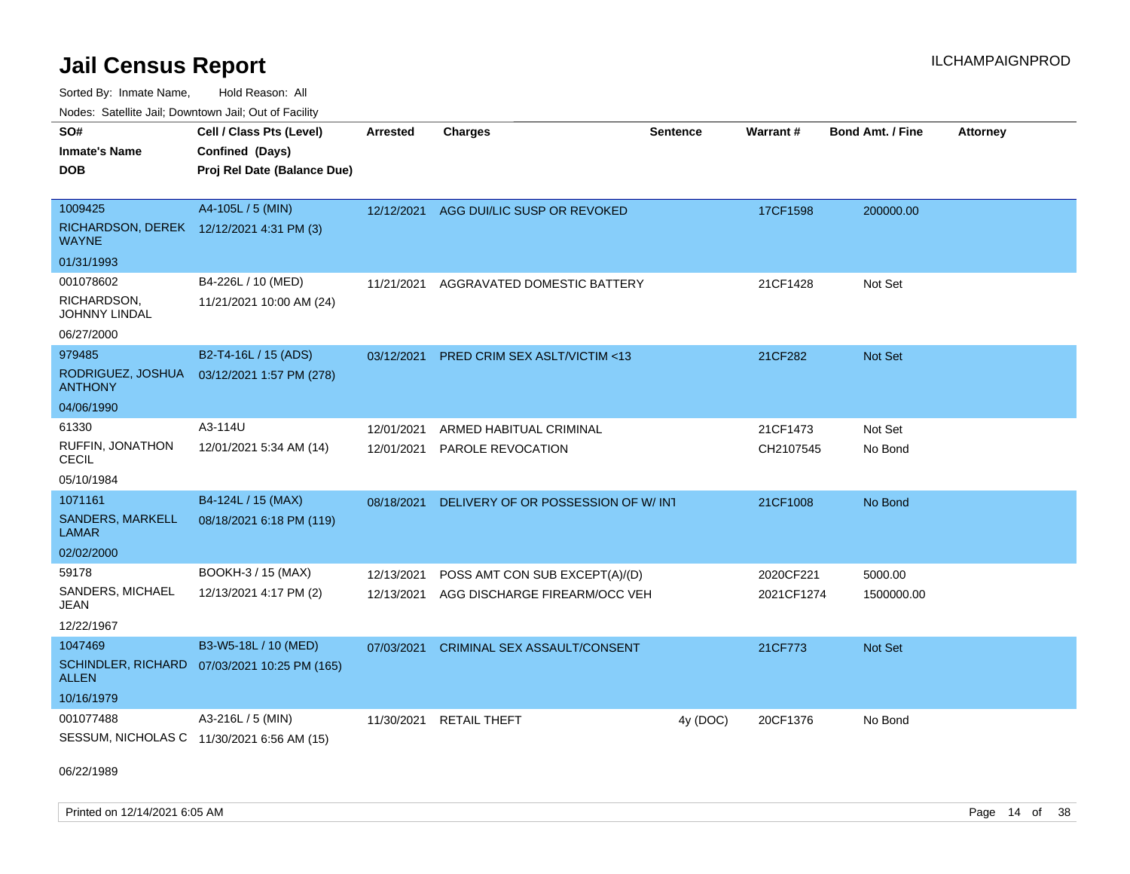Sorted By: Inmate Name, Hold Reason: All Nodes: Satellite Jail; Downtown Jail; Out of Facility

| ivuutis. Galtiillit Jall, Duwilluwii Jall, Oul of Facility |                                              |                 |                                         |                 |            |                         |                 |
|------------------------------------------------------------|----------------------------------------------|-----------------|-----------------------------------------|-----------------|------------|-------------------------|-----------------|
| SO#                                                        | Cell / Class Pts (Level)                     | <b>Arrested</b> | <b>Charges</b>                          | <b>Sentence</b> | Warrant#   | <b>Bond Amt. / Fine</b> | <b>Attorney</b> |
| <b>Inmate's Name</b>                                       | Confined (Days)                              |                 |                                         |                 |            |                         |                 |
| <b>DOB</b>                                                 | Proj Rel Date (Balance Due)                  |                 |                                         |                 |            |                         |                 |
|                                                            |                                              |                 |                                         |                 |            |                         |                 |
| 1009425                                                    | A4-105L / 5 (MIN)                            | 12/12/2021      | AGG DUI/LIC SUSP OR REVOKED             |                 | 17CF1598   | 200000.00               |                 |
| RICHARDSON, DEREK 12/12/2021 4:31 PM (3)<br><b>WAYNE</b>   |                                              |                 |                                         |                 |            |                         |                 |
| 01/31/1993                                                 |                                              |                 |                                         |                 |            |                         |                 |
| 001078602                                                  | B4-226L / 10 (MED)                           | 11/21/2021      | AGGRAVATED DOMESTIC BATTERY             |                 | 21CF1428   | Not Set                 |                 |
| RICHARDSON,<br><b>JOHNNY LINDAL</b>                        | 11/21/2021 10:00 AM (24)                     |                 |                                         |                 |            |                         |                 |
| 06/27/2000                                                 |                                              |                 |                                         |                 |            |                         |                 |
| 979485                                                     | B2-T4-16L / 15 (ADS)                         | 03/12/2021      | <b>PRED CRIM SEX ASLT/VICTIM &lt;13</b> |                 | 21CF282    | Not Set                 |                 |
| RODRIGUEZ, JOSHUA<br><b>ANTHONY</b>                        | 03/12/2021 1:57 PM (278)                     |                 |                                         |                 |            |                         |                 |
| 04/06/1990                                                 |                                              |                 |                                         |                 |            |                         |                 |
| 61330                                                      | A3-114U                                      | 12/01/2021      | ARMED HABITUAL CRIMINAL                 |                 | 21CF1473   | Not Set                 |                 |
| RUFFIN, JONATHON<br>CECIL                                  | 12/01/2021 5:34 AM (14)                      | 12/01/2021      | PAROLE REVOCATION                       |                 | CH2107545  | No Bond                 |                 |
| 05/10/1984                                                 |                                              |                 |                                         |                 |            |                         |                 |
| 1071161                                                    | B4-124L / 15 (MAX)                           | 08/18/2021      | DELIVERY OF OR POSSESSION OF W/ INT     |                 | 21CF1008   | No Bond                 |                 |
| <b>SANDERS, MARKELL</b><br><b>LAMAR</b>                    | 08/18/2021 6:18 PM (119)                     |                 |                                         |                 |            |                         |                 |
| 02/02/2000                                                 |                                              |                 |                                         |                 |            |                         |                 |
| 59178                                                      | BOOKH-3 / 15 (MAX)                           | 12/13/2021      | POSS AMT CON SUB EXCEPT(A)/(D)          |                 | 2020CF221  | 5000.00                 |                 |
| SANDERS, MICHAEL<br>JEAN                                   | 12/13/2021 4:17 PM (2)                       | 12/13/2021      | AGG DISCHARGE FIREARM/OCC VEH           |                 | 2021CF1274 | 1500000.00              |                 |
| 12/22/1967                                                 |                                              |                 |                                         |                 |            |                         |                 |
| 1047469                                                    | B3-W5-18L / 10 (MED)                         | 07/03/2021      | <b>CRIMINAL SEX ASSAULT/CONSENT</b>     |                 | 21CF773    | Not Set                 |                 |
| <b>ALLEN</b>                                               | SCHINDLER, RICHARD 07/03/2021 10:25 PM (165) |                 |                                         |                 |            |                         |                 |
| 10/16/1979                                                 |                                              |                 |                                         |                 |            |                         |                 |
| 001077488                                                  | A3-216L / 5 (MIN)                            | 11/30/2021      | <b>RETAIL THEFT</b>                     | 4y (DOC)        | 20CF1376   | No Bond                 |                 |
|                                                            | SESSUM, NICHOLAS C 11/30/2021 6:56 AM (15)   |                 |                                         |                 |            |                         |                 |

06/22/1989

Printed on  $12/14/2021$  6:05 AM Page 14 of 38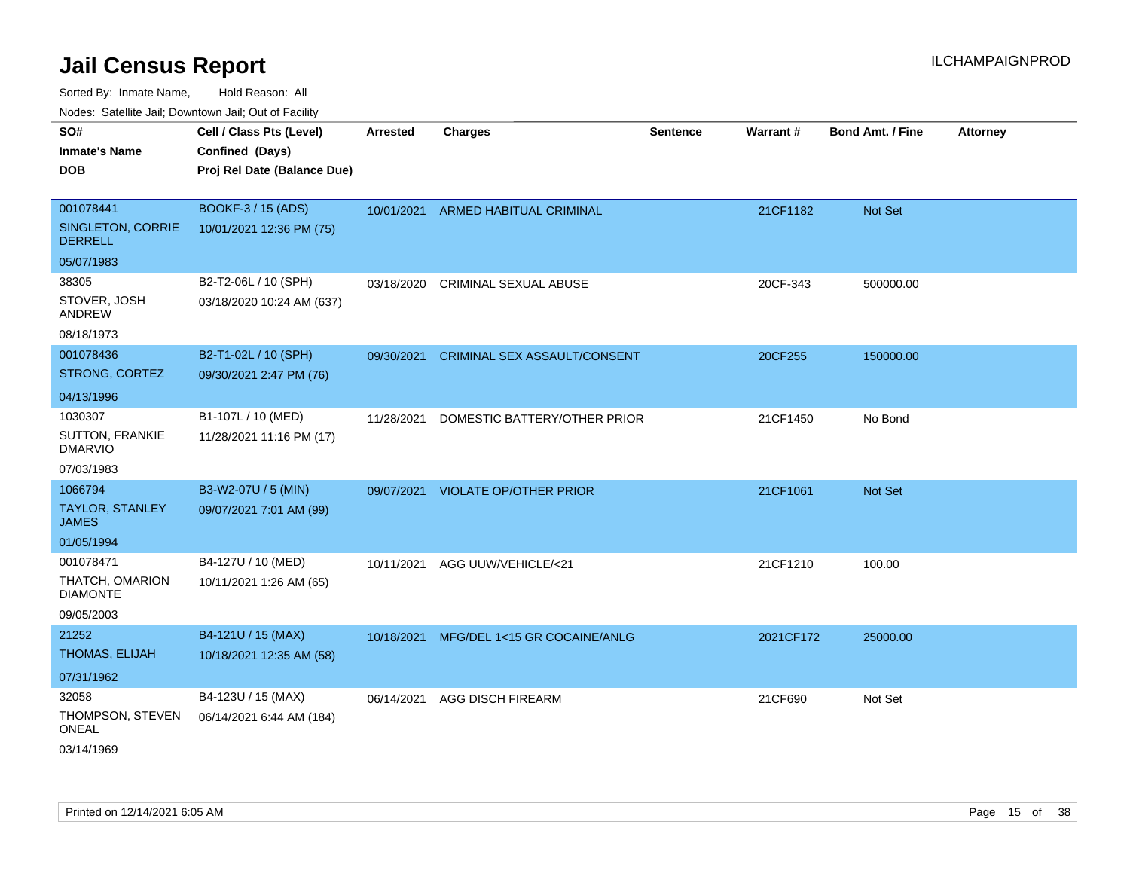Sorted By: Inmate Name, Hold Reason: All Nodes: Satellite Jail; Downtown Jail; Out of Facility

| ivouss. Saleling Jali, Downlown Jali, Out of Facility |                             |            |                                         |                 |           |                         |                 |
|-------------------------------------------------------|-----------------------------|------------|-----------------------------------------|-----------------|-----------|-------------------------|-----------------|
| SO#                                                   | Cell / Class Pts (Level)    | Arrested   | <b>Charges</b>                          | <b>Sentence</b> | Warrant#  | <b>Bond Amt. / Fine</b> | <b>Attorney</b> |
| <b>Inmate's Name</b>                                  | Confined (Days)             |            |                                         |                 |           |                         |                 |
| <b>DOB</b>                                            | Proj Rel Date (Balance Due) |            |                                         |                 |           |                         |                 |
|                                                       |                             |            |                                         |                 |           |                         |                 |
| 001078441                                             | BOOKF-3 / 15 (ADS)          |            | 10/01/2021 ARMED HABITUAL CRIMINAL      |                 | 21CF1182  | Not Set                 |                 |
| SINGLETON, CORRIE<br><b>DERRELL</b>                   | 10/01/2021 12:36 PM (75)    |            |                                         |                 |           |                         |                 |
| 05/07/1983                                            |                             |            |                                         |                 |           |                         |                 |
| 38305                                                 | B2-T2-06L / 10 (SPH)        |            | 03/18/2020 CRIMINAL SEXUAL ABUSE        |                 | 20CF-343  | 500000.00               |                 |
| STOVER, JOSH<br>ANDREW                                | 03/18/2020 10:24 AM (637)   |            |                                         |                 |           |                         |                 |
| 08/18/1973                                            |                             |            |                                         |                 |           |                         |                 |
| 001078436                                             | B2-T1-02L / 10 (SPH)        | 09/30/2021 | <b>CRIMINAL SEX ASSAULT/CONSENT</b>     |                 | 20CF255   | 150000.00               |                 |
| STRONG, CORTEZ                                        | 09/30/2021 2:47 PM (76)     |            |                                         |                 |           |                         |                 |
| 04/13/1996                                            |                             |            |                                         |                 |           |                         |                 |
| 1030307                                               | B1-107L / 10 (MED)          | 11/28/2021 | DOMESTIC BATTERY/OTHER PRIOR            |                 | 21CF1450  | No Bond                 |                 |
| <b>SUTTON, FRANKIE</b><br><b>DMARVIO</b>              | 11/28/2021 11:16 PM (17)    |            |                                         |                 |           |                         |                 |
| 07/03/1983                                            |                             |            |                                         |                 |           |                         |                 |
| 1066794                                               | B3-W2-07U / 5 (MIN)         |            | 09/07/2021 VIOLATE OP/OTHER PRIOR       |                 | 21CF1061  | Not Set                 |                 |
| TAYLOR, STANLEY<br><b>JAMES</b>                       | 09/07/2021 7:01 AM (99)     |            |                                         |                 |           |                         |                 |
| 01/05/1994                                            |                             |            |                                         |                 |           |                         |                 |
| 001078471                                             | B4-127U / 10 (MED)          | 10/11/2021 | AGG UUW/VEHICLE/<21                     |                 | 21CF1210  | 100.00                  |                 |
| THATCH, OMARION<br><b>DIAMONTE</b>                    | 10/11/2021 1:26 AM (65)     |            |                                         |                 |           |                         |                 |
| 09/05/2003                                            |                             |            |                                         |                 |           |                         |                 |
| 21252                                                 | B4-121U / 15 (MAX)          |            | 10/18/2021 MFG/DEL 1<15 GR COCAINE/ANLG |                 | 2021CF172 | 25000.00                |                 |
| THOMAS, ELIJAH                                        | 10/18/2021 12:35 AM (58)    |            |                                         |                 |           |                         |                 |
| 07/31/1962                                            |                             |            |                                         |                 |           |                         |                 |
| 32058                                                 | B4-123U / 15 (MAX)          | 06/14/2021 | <b>AGG DISCH FIREARM</b>                |                 | 21CF690   | Not Set                 |                 |
| THOMPSON, STEVEN<br><b>ONEAL</b>                      | 06/14/2021 6:44 AM (184)    |            |                                         |                 |           |                         |                 |
| 03/14/1969                                            |                             |            |                                         |                 |           |                         |                 |

Printed on  $12/14/2021$  6:05 AM Page 15 of 38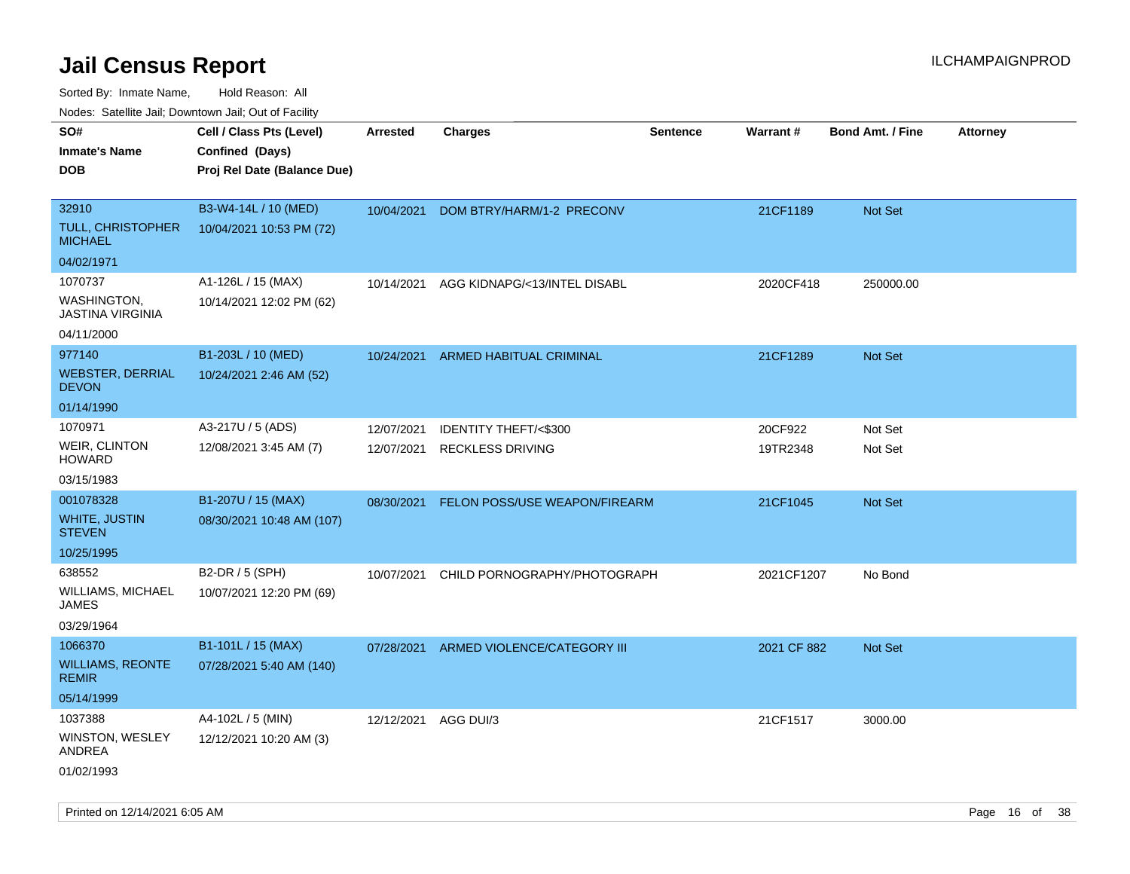Sorted By: Inmate Name, Hold Reason: All

Nodes: Satellite Jail; Downtown Jail; Out of Facility

| rougs. Calcing Jan, Downtown Jan, Out of Facility |                             |                 |                                        |                 |                 |                         |                 |
|---------------------------------------------------|-----------------------------|-----------------|----------------------------------------|-----------------|-----------------|-------------------------|-----------------|
| SO#                                               | Cell / Class Pts (Level)    | <b>Arrested</b> | <b>Charges</b>                         | <b>Sentence</b> | <b>Warrant#</b> | <b>Bond Amt. / Fine</b> | <b>Attorney</b> |
| <b>Inmate's Name</b>                              | Confined (Days)             |                 |                                        |                 |                 |                         |                 |
| <b>DOB</b>                                        | Proj Rel Date (Balance Due) |                 |                                        |                 |                 |                         |                 |
|                                                   |                             |                 |                                        |                 |                 |                         |                 |
| 32910                                             | B3-W4-14L / 10 (MED)        | 10/04/2021      | DOM BTRY/HARM/1-2 PRECONV              |                 | 21CF1189        | Not Set                 |                 |
| <b>TULL, CHRISTOPHER</b><br><b>MICHAEL</b>        | 10/04/2021 10:53 PM (72)    |                 |                                        |                 |                 |                         |                 |
| 04/02/1971                                        |                             |                 |                                        |                 |                 |                         |                 |
| 1070737                                           | A1-126L / 15 (MAX)          | 10/14/2021      | AGG KIDNAPG/<13/INTEL DISABL           |                 | 2020CF418       | 250000.00               |                 |
| <b>WASHINGTON,</b><br><b>JASTINA VIRGINIA</b>     | 10/14/2021 12:02 PM (62)    |                 |                                        |                 |                 |                         |                 |
| 04/11/2000                                        |                             |                 |                                        |                 |                 |                         |                 |
| 977140                                            | B1-203L / 10 (MED)          | 10/24/2021      | ARMED HABITUAL CRIMINAL                |                 | 21CF1289        | Not Set                 |                 |
| <b>WEBSTER, DERRIAL</b><br><b>DEVON</b>           | 10/24/2021 2:46 AM (52)     |                 |                                        |                 |                 |                         |                 |
| 01/14/1990                                        |                             |                 |                                        |                 |                 |                         |                 |
| 1070971                                           | A3-217U / 5 (ADS)           | 12/07/2021      | <b>IDENTITY THEFT/&lt;\$300</b>        |                 | 20CF922         | Not Set                 |                 |
| <b>WEIR, CLINTON</b><br><b>HOWARD</b>             | 12/08/2021 3:45 AM (7)      | 12/07/2021      | <b>RECKLESS DRIVING</b>                |                 | 19TR2348        | Not Set                 |                 |
| 03/15/1983                                        |                             |                 |                                        |                 |                 |                         |                 |
| 001078328                                         | B1-207U / 15 (MAX)          | 08/30/2021      | <b>FELON POSS/USE WEAPON/FIREARM</b>   |                 | 21CF1045        | <b>Not Set</b>          |                 |
| <b>WHITE, JUSTIN</b><br><b>STEVEN</b>             | 08/30/2021 10:48 AM (107)   |                 |                                        |                 |                 |                         |                 |
| 10/25/1995                                        |                             |                 |                                        |                 |                 |                         |                 |
| 638552                                            | B2-DR / 5 (SPH)             | 10/07/2021      | CHILD PORNOGRAPHY/PHOTOGRAPH           |                 | 2021CF1207      | No Bond                 |                 |
| WILLIAMS, MICHAEL<br><b>JAMES</b>                 | 10/07/2021 12:20 PM (69)    |                 |                                        |                 |                 |                         |                 |
| 03/29/1964                                        |                             |                 |                                        |                 |                 |                         |                 |
| 1066370                                           | B1-101L / 15 (MAX)          |                 | 07/28/2021 ARMED VIOLENCE/CATEGORY III |                 | 2021 CF 882     | Not Set                 |                 |
| <b>WILLIAMS, REONTE</b><br><b>REMIR</b>           | 07/28/2021 5:40 AM (140)    |                 |                                        |                 |                 |                         |                 |
| 05/14/1999                                        |                             |                 |                                        |                 |                 |                         |                 |
| 1037388                                           | A4-102L / 5 (MIN)           | 12/12/2021      | AGG DUI/3                              |                 | 21CF1517        | 3000.00                 |                 |
| WINSTON, WESLEY<br>ANDREA                         | 12/12/2021 10:20 AM (3)     |                 |                                        |                 |                 |                         |                 |
| 01/02/1993                                        |                             |                 |                                        |                 |                 |                         |                 |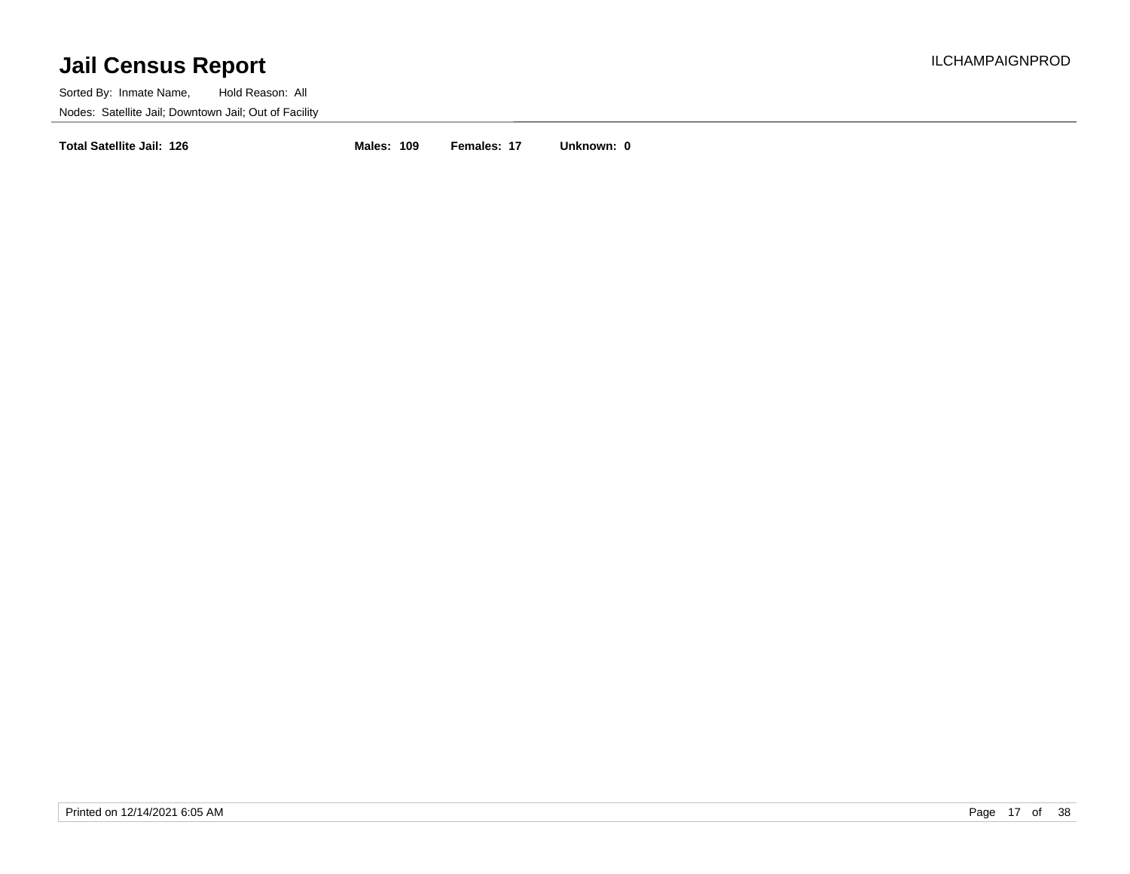Sorted By: Inmate Name, Hold Reason: All Nodes: Satellite Jail; Downtown Jail; Out of Facility

**Total Satellite Jail: 126 Males: 109 Females: 17 Unknown: 0**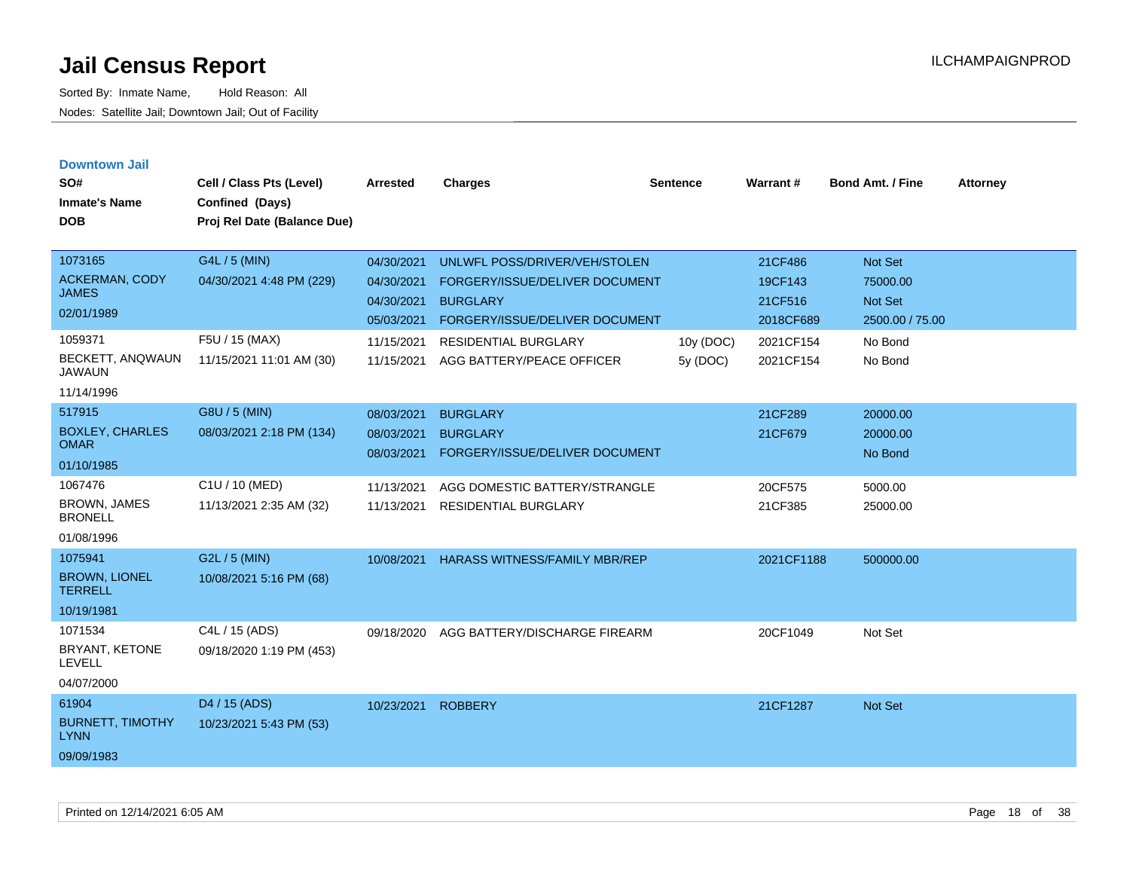| <b>Downtown Jail</b><br>SO#<br><b>Inmate's Name</b><br><b>DOB</b>                             | Cell / Class Pts (Level)<br>Confined (Days)<br>Proj Rel Date (Balance Due)              | <b>Arrested</b>                                                                  | <b>Charges</b>                                                                                                                                      | <b>Sentence</b> | Warrant#                                                | <b>Bond Amt. / Fine</b>                                      | <b>Attorney</b> |
|-----------------------------------------------------------------------------------------------|-----------------------------------------------------------------------------------------|----------------------------------------------------------------------------------|-----------------------------------------------------------------------------------------------------------------------------------------------------|-----------------|---------------------------------------------------------|--------------------------------------------------------------|-----------------|
| 1073165<br><b>ACKERMAN, CODY</b><br><b>JAMES</b><br>02/01/1989<br>1059371<br>BECKETT, ANQWAUN | G4L / 5 (MIN)<br>04/30/2021 4:48 PM (229)<br>F5U / 15 (MAX)<br>11/15/2021 11:01 AM (30) | 04/30/2021<br>04/30/2021<br>04/30/2021<br>05/03/2021<br>11/15/2021<br>11/15/2021 | UNLWFL POSS/DRIVER/VEH/STOLEN<br>FORGERY/ISSUE/DELIVER DOCUMENT<br><b>BURGLARY</b><br>FORGERY/ISSUE/DELIVER DOCUMENT<br><b>RESIDENTIAL BURGLARY</b> | 10y (DOC)       | 21CF486<br>19CF143<br>21CF516<br>2018CF689<br>2021CF154 | Not Set<br>75000.00<br>Not Set<br>2500.00 / 75.00<br>No Bond |                 |
| <b>JAWAUN</b><br>11/14/1996                                                                   |                                                                                         |                                                                                  | AGG BATTERY/PEACE OFFICER                                                                                                                           | 5y (DOC)        | 2021CF154                                               | No Bond                                                      |                 |
| 517915<br><b>BOXLEY, CHARLES</b><br><b>OMAR</b><br>01/10/1985                                 | G8U / 5 (MIN)<br>08/03/2021 2:18 PM (134)                                               | 08/03/2021<br>08/03/2021<br>08/03/2021                                           | <b>BURGLARY</b><br><b>BURGLARY</b><br>FORGERY/ISSUE/DELIVER DOCUMENT                                                                                |                 | 21CF289<br>21CF679                                      | 20000.00<br>20000.00<br>No Bond                              |                 |
| 1067476<br><b>BROWN, JAMES</b><br><b>BRONELL</b><br>01/08/1996                                | C1U / 10 (MED)<br>11/13/2021 2:35 AM (32)                                               | 11/13/2021<br>11/13/2021                                                         | AGG DOMESTIC BATTERY/STRANGLE<br><b>RESIDENTIAL BURGLARY</b>                                                                                        |                 | 20CF575<br>21CF385                                      | 5000.00<br>25000.00                                          |                 |
| 1075941<br><b>BROWN, LIONEL</b><br><b>TERRELL</b><br>10/19/1981                               | G2L / 5 (MIN)<br>10/08/2021 5:16 PM (68)                                                | 10/08/2021                                                                       | <b>HARASS WITNESS/FAMILY MBR/REP</b>                                                                                                                |                 | 2021CF1188                                              | 500000.00                                                    |                 |
| 1071534<br>BRYANT, KETONE<br><b>LEVELL</b><br>04/07/2000                                      | C4L / 15 (ADS)<br>09/18/2020 1:19 PM (453)                                              | 09/18/2020                                                                       | AGG BATTERY/DISCHARGE FIREARM                                                                                                                       |                 | 20CF1049                                                | Not Set                                                      |                 |
| 61904<br><b>BURNETT, TIMOTHY</b><br><b>LYNN</b><br>09/09/1983                                 | D <sub>4</sub> / 15 (ADS)<br>10/23/2021 5:43 PM (53)                                    | 10/23/2021                                                                       | <b>ROBBERY</b>                                                                                                                                      |                 | 21CF1287                                                | <b>Not Set</b>                                               |                 |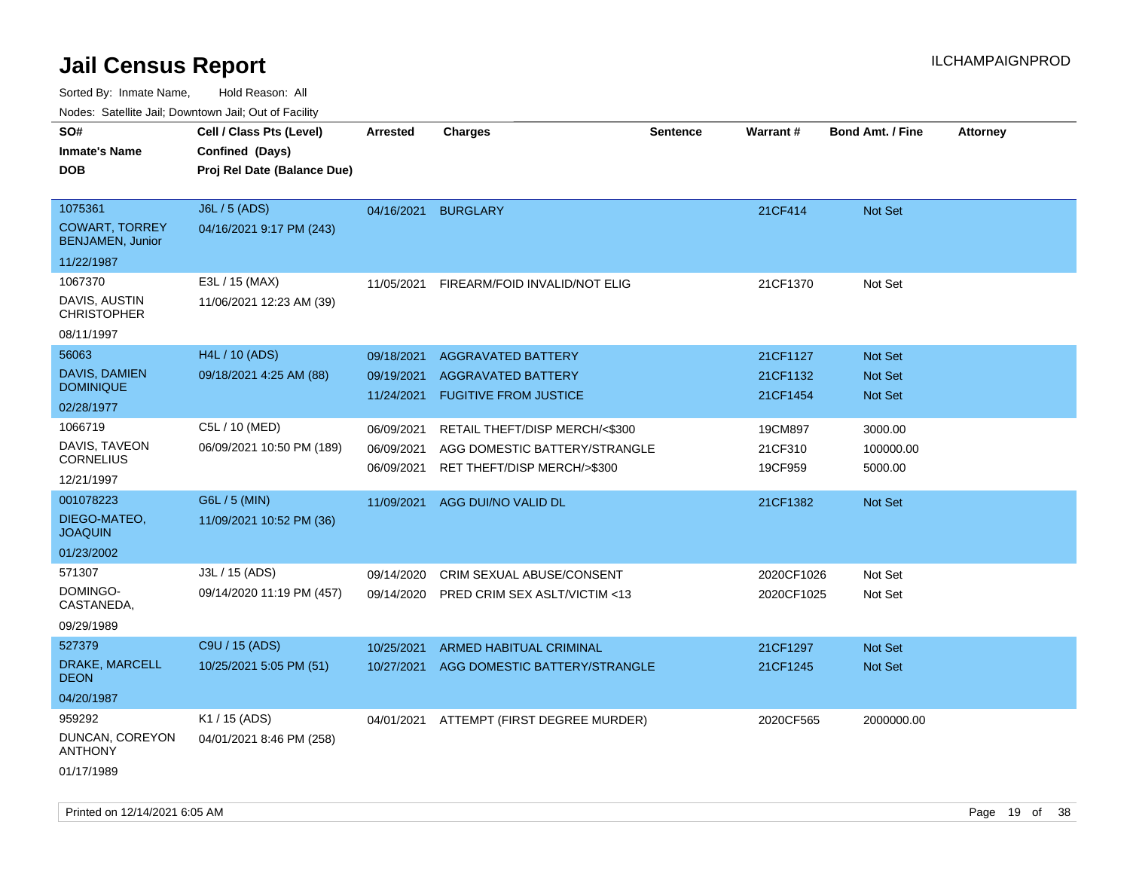Sorted By: Inmate Name, Hold Reason: All Nodes: Satellite Jail; Downtown Jail; Out of Facility

| rouce. Calcinic Jan, Downtown Jan, Out of Facility |                             |                          |                                                              |                 |                    |                         |                 |
|----------------------------------------------------|-----------------------------|--------------------------|--------------------------------------------------------------|-----------------|--------------------|-------------------------|-----------------|
| SO#                                                | Cell / Class Pts (Level)    | Arrested                 | <b>Charges</b>                                               | <b>Sentence</b> | Warrant#           | <b>Bond Amt. / Fine</b> | <b>Attorney</b> |
| <b>Inmate's Name</b>                               | Confined (Days)             |                          |                                                              |                 |                    |                         |                 |
| <b>DOB</b>                                         | Proj Rel Date (Balance Due) |                          |                                                              |                 |                    |                         |                 |
|                                                    |                             |                          |                                                              |                 |                    |                         |                 |
| 1075361                                            | J6L / 5 (ADS)               | 04/16/2021 BURGLARY      |                                                              |                 | 21CF414            | Not Set                 |                 |
| <b>COWART, TORREY</b><br><b>BENJAMEN, Junior</b>   | 04/16/2021 9:17 PM (243)    |                          |                                                              |                 |                    |                         |                 |
| 11/22/1987                                         |                             |                          |                                                              |                 |                    |                         |                 |
| 1067370                                            | E3L / 15 (MAX)              | 11/05/2021               | FIREARM/FOID INVALID/NOT ELIG                                |                 | 21CF1370           | Not Set                 |                 |
| DAVIS, AUSTIN<br><b>CHRISTOPHER</b>                | 11/06/2021 12:23 AM (39)    |                          |                                                              |                 |                    |                         |                 |
| 08/11/1997                                         |                             |                          |                                                              |                 |                    |                         |                 |
| 56063                                              | H4L / 10 (ADS)              | 09/18/2021               | <b>AGGRAVATED BATTERY</b>                                    |                 | 21CF1127           | Not Set                 |                 |
| <b>DAVIS, DAMIEN</b>                               | 09/18/2021 4:25 AM (88)     | 09/19/2021               | <b>AGGRAVATED BATTERY</b>                                    |                 | 21CF1132           | <b>Not Set</b>          |                 |
| <b>DOMINIQUE</b>                                   |                             | 11/24/2021               | <b>FUGITIVE FROM JUSTICE</b>                                 |                 | 21CF1454           | <b>Not Set</b>          |                 |
| 02/28/1977                                         |                             |                          |                                                              |                 |                    |                         |                 |
| 1066719                                            | C5L / 10 (MED)              | 06/09/2021               | RETAIL THEFT/DISP MERCH/<\$300                               |                 | 19CM897            | 3000.00                 |                 |
| DAVIS, TAVEON<br><b>CORNELIUS</b>                  | 06/09/2021 10:50 PM (189)   | 06/09/2021<br>06/09/2021 | AGG DOMESTIC BATTERY/STRANGLE<br>RET THEFT/DISP MERCH/>\$300 |                 | 21CF310<br>19CF959 | 100000.00<br>5000.00    |                 |
| 12/21/1997                                         |                             |                          |                                                              |                 |                    |                         |                 |
| 001078223                                          | G6L / 5 (MIN)               | 11/09/2021               | AGG DUI/NO VALID DL                                          |                 | 21CF1382           | <b>Not Set</b>          |                 |
| DIEGO-MATEO,<br><b>JOAQUIN</b>                     | 11/09/2021 10:52 PM (36)    |                          |                                                              |                 |                    |                         |                 |
| 01/23/2002                                         |                             |                          |                                                              |                 |                    |                         |                 |
| 571307                                             | J3L / 15 (ADS)              | 09/14/2020               | CRIM SEXUAL ABUSE/CONSENT                                    |                 | 2020CF1026         | Not Set                 |                 |
| DOMINGO-<br>CASTANEDA,                             | 09/14/2020 11:19 PM (457)   | 09/14/2020               | PRED CRIM SEX ASLT/VICTIM <13                                |                 | 2020CF1025         | Not Set                 |                 |
| 09/29/1989                                         |                             |                          |                                                              |                 |                    |                         |                 |
| 527379                                             | C9U / 15 (ADS)              | 10/25/2021               | <b>ARMED HABITUAL CRIMINAL</b>                               |                 | 21CF1297           | Not Set                 |                 |
| DRAKE, MARCELL<br><b>DEON</b>                      | 10/25/2021 5:05 PM (51)     | 10/27/2021               | AGG DOMESTIC BATTERY/STRANGLE                                |                 | 21CF1245           | Not Set                 |                 |
| 04/20/1987                                         |                             |                          |                                                              |                 |                    |                         |                 |
| 959292                                             | K1 / 15 (ADS)               |                          | 04/01/2021 ATTEMPT (FIRST DEGREE MURDER)                     |                 | 2020CF565          | 2000000.00              |                 |
| DUNCAN, COREYON<br><b>ANTHONY</b>                  | 04/01/2021 8:46 PM (258)    |                          |                                                              |                 |                    |                         |                 |
| 01/17/1989                                         |                             |                          |                                                              |                 |                    |                         |                 |

Printed on  $12/14/2021$  6:05 AM Page 19 of 38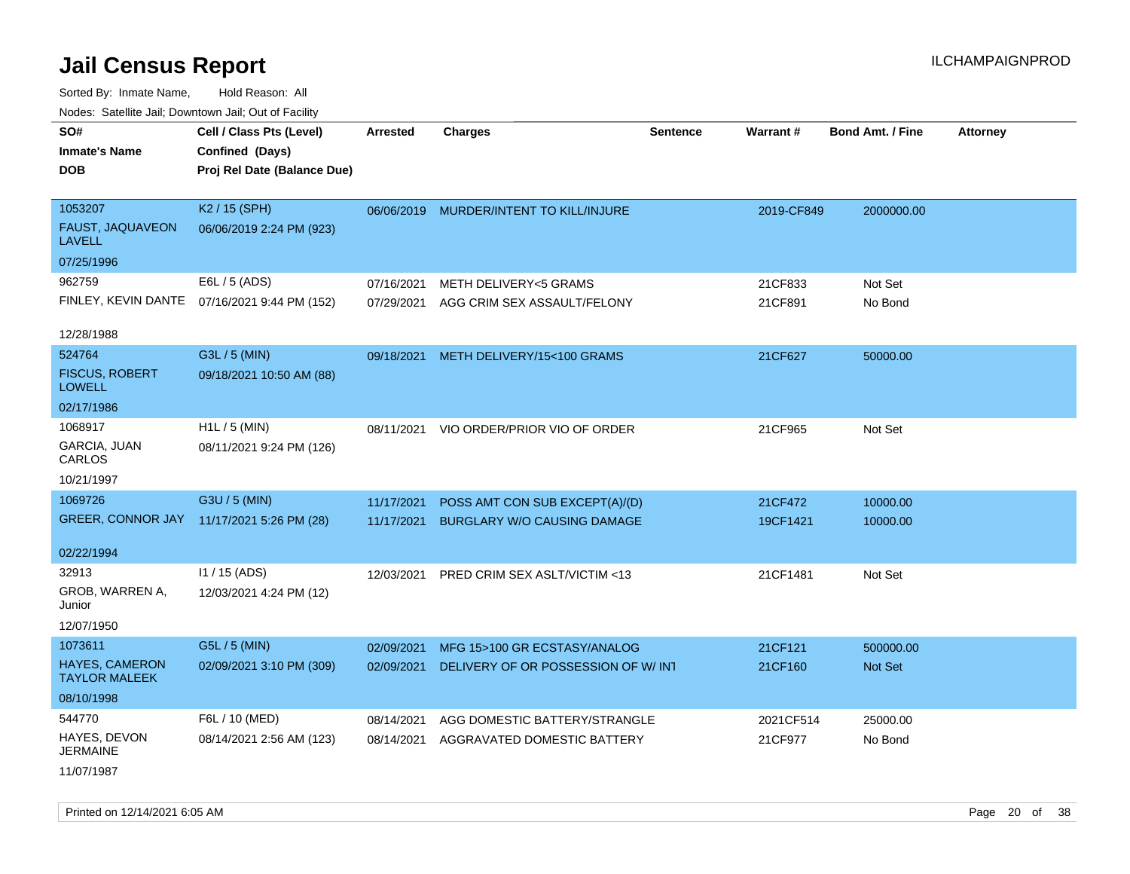Sorted By: Inmate Name, Hold Reason: All Nodes: Satellite Jail; Downtown Jail; Out of Facility

| SO#<br><b>Inmate's Name</b><br><b>DOB</b>        | Cell / Class Pts (Level)<br>Confined (Days)<br>Proj Rel Date (Balance Due) | <b>Arrested</b>          | <b>Charges</b>                                                       | <b>Sentence</b> | Warrant#            | <b>Bond Amt. / Fine</b> | <b>Attorney</b> |
|--------------------------------------------------|----------------------------------------------------------------------------|--------------------------|----------------------------------------------------------------------|-----------------|---------------------|-------------------------|-----------------|
| 1053207<br>FAUST, JAQUAVEON<br><b>LAVELL</b>     | K2 / 15 (SPH)<br>06/06/2019 2:24 PM (923)                                  |                          | 06/06/2019 MURDER/INTENT TO KILL/INJURE                              |                 | 2019-CF849          | 2000000.00              |                 |
| 07/25/1996                                       |                                                                            |                          |                                                                      |                 |                     |                         |                 |
| 962759                                           | E6L / 5 (ADS)<br>FINLEY, KEVIN DANTE 07/16/2021 9:44 PM (152)              | 07/16/2021<br>07/29/2021 | METH DELIVERY<5 GRAMS<br>AGG CRIM SEX ASSAULT/FELONY                 |                 | 21CF833<br>21CF891  | Not Set<br>No Bond      |                 |
| 12/28/1988                                       |                                                                            |                          |                                                                      |                 |                     |                         |                 |
| 524764<br><b>FISCUS, ROBERT</b><br><b>LOWELL</b> | G3L / 5 (MIN)<br>09/18/2021 10:50 AM (88)                                  |                          | 09/18/2021 METH DELIVERY/15<100 GRAMS                                |                 | 21CF627             | 50000.00                |                 |
| 02/17/1986                                       |                                                                            |                          |                                                                      |                 |                     |                         |                 |
| 1068917<br>GARCIA, JUAN<br>CARLOS                | H1L / 5 (MIN)<br>08/11/2021 9:24 PM (126)                                  | 08/11/2021               | VIO ORDER/PRIOR VIO OF ORDER                                         |                 | 21CF965             | Not Set                 |                 |
| 10/21/1997                                       |                                                                            |                          |                                                                      |                 |                     |                         |                 |
| 1069726                                          | G3U / 5 (MIN)<br>GREER, CONNOR JAY 11/17/2021 5:26 PM (28)                 | 11/17/2021<br>11/17/2021 | POSS AMT CON SUB EXCEPT(A)/(D)<br><b>BURGLARY W/O CAUSING DAMAGE</b> |                 | 21CF472<br>19CF1421 | 10000.00<br>10000.00    |                 |
| 02/22/1994                                       |                                                                            |                          |                                                                      |                 |                     |                         |                 |
| 32913<br>GROB, WARREN A,<br>Junior<br>12/07/1950 | $11 / 15$ (ADS)<br>12/03/2021 4:24 PM (12)                                 | 12/03/2021               | PRED CRIM SEX ASLT/VICTIM <13                                        |                 | 21CF1481            | Not Set                 |                 |
| 1073611                                          | G5L / 5 (MIN)                                                              | 02/09/2021               | MFG 15>100 GR ECSTASY/ANALOG                                         |                 | 21CF121             | 500000.00               |                 |
| <b>HAYES, CAMERON</b><br><b>TAYLOR MALEEK</b>    | 02/09/2021 3:10 PM (309)                                                   | 02/09/2021               | DELIVERY OF OR POSSESSION OF W/ INT                                  |                 | 21CF160             | Not Set                 |                 |
| 08/10/1998                                       |                                                                            |                          |                                                                      |                 |                     |                         |                 |
| 544770                                           | F6L / 10 (MED)                                                             | 08/14/2021               | AGG DOMESTIC BATTERY/STRANGLE                                        |                 | 2021CF514           | 25000.00                |                 |
| HAYES, DEVON<br><b>JERMAINE</b>                  | 08/14/2021 2:56 AM (123)                                                   | 08/14/2021               | AGGRAVATED DOMESTIC BATTERY                                          |                 | 21CF977             | No Bond                 |                 |
| 11/07/1987                                       |                                                                            |                          |                                                                      |                 |                     |                         |                 |

Printed on 12/14/2021 6:05 AM **Page 20 of 38**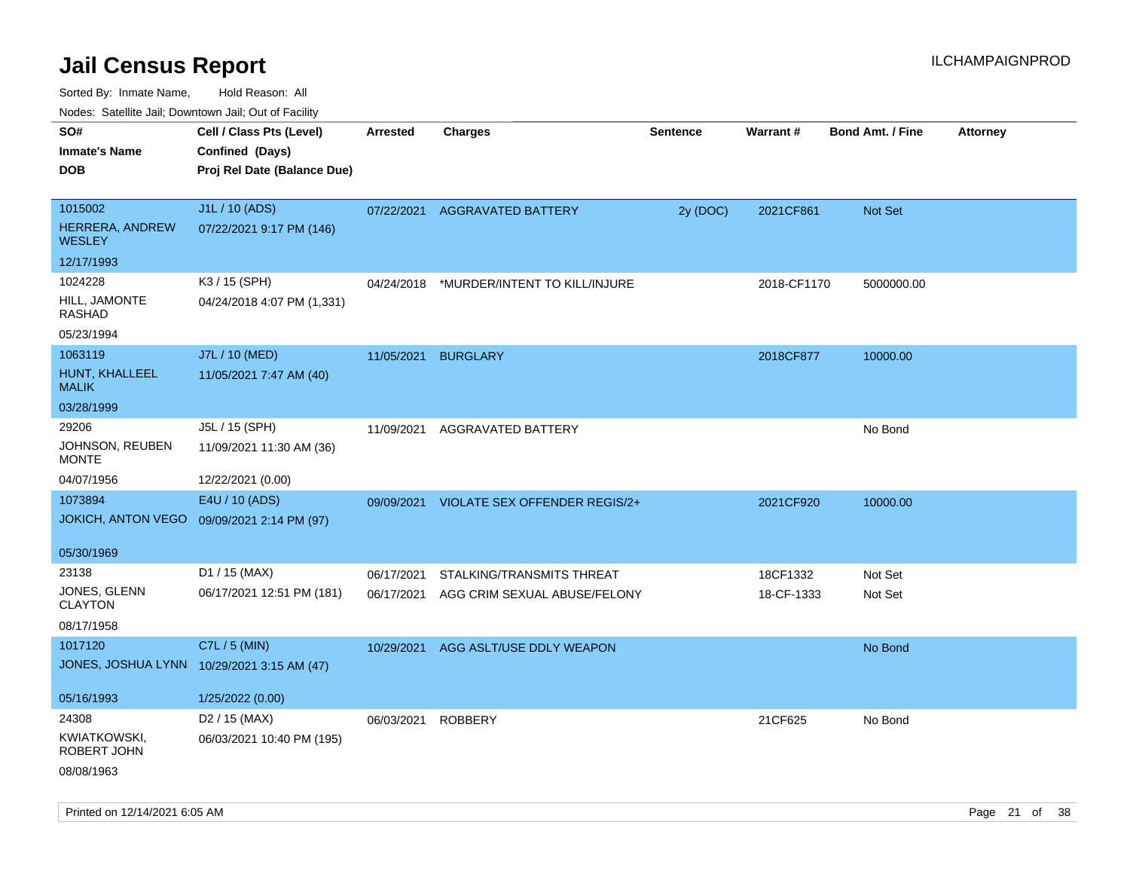| Noues. Salenne Jan, Downtown Jan, Out of Facility |                                            |            |                               |                 |             |                         |                 |
|---------------------------------------------------|--------------------------------------------|------------|-------------------------------|-----------------|-------------|-------------------------|-----------------|
| SO#                                               | Cell / Class Pts (Level)                   | Arrested   | <b>Charges</b>                | <b>Sentence</b> | Warrant#    | <b>Bond Amt. / Fine</b> | <b>Attorney</b> |
| <b>Inmate's Name</b>                              | Confined (Days)                            |            |                               |                 |             |                         |                 |
| <b>DOB</b>                                        | Proj Rel Date (Balance Due)                |            |                               |                 |             |                         |                 |
|                                                   |                                            |            |                               |                 |             |                         |                 |
| 1015002                                           | J1L / 10 (ADS)                             | 07/22/2021 | <b>AGGRAVATED BATTERY</b>     | 2y (DOC)        | 2021CF861   | Not Set                 |                 |
| HERRERA, ANDREW<br><b>WESLEY</b>                  | 07/22/2021 9:17 PM (146)                   |            |                               |                 |             |                         |                 |
| 12/17/1993                                        |                                            |            |                               |                 |             |                         |                 |
| 1024228                                           | K3 / 15 (SPH)                              | 04/24/2018 | *MURDER/INTENT TO KILL/INJURE |                 | 2018-CF1170 | 5000000.00              |                 |
| HILL, JAMONTE<br><b>RASHAD</b>                    | 04/24/2018 4:07 PM (1,331)                 |            |                               |                 |             |                         |                 |
| 05/23/1994                                        |                                            |            |                               |                 |             |                         |                 |
| 1063119                                           | J7L / 10 (MED)                             | 11/05/2021 | <b>BURGLARY</b>               |                 | 2018CF877   | 10000.00                |                 |
| HUNT, KHALLEEL<br><b>MALIK</b>                    | 11/05/2021 7:47 AM (40)                    |            |                               |                 |             |                         |                 |
| 03/28/1999                                        |                                            |            |                               |                 |             |                         |                 |
| 29206                                             | J5L / 15 (SPH)                             | 11/09/2021 | AGGRAVATED BATTERY            |                 |             | No Bond                 |                 |
| JOHNSON, REUBEN<br><b>MONTE</b>                   | 11/09/2021 11:30 AM (36)                   |            |                               |                 |             |                         |                 |
| 04/07/1956                                        | 12/22/2021 (0.00)                          |            |                               |                 |             |                         |                 |
| 1073894                                           | E4U / 10 (ADS)                             | 09/09/2021 | VIOLATE SEX OFFENDER REGIS/2+ |                 | 2021CF920   | 10000.00                |                 |
|                                                   | JOKICH, ANTON VEGO 09/09/2021 2:14 PM (97) |            |                               |                 |             |                         |                 |
|                                                   |                                            |            |                               |                 |             |                         |                 |
| 05/30/1969                                        |                                            |            |                               |                 |             |                         |                 |
| 23138                                             | D1 / 15 (MAX)                              | 06/17/2021 | STALKING/TRANSMITS THREAT     |                 | 18CF1332    | Not Set                 |                 |
| JONES, GLENN<br><b>CLAYTON</b>                    | 06/17/2021 12:51 PM (181)                  | 06/17/2021 | AGG CRIM SEXUAL ABUSE/FELONY  |                 | 18-CF-1333  | Not Set                 |                 |
| 08/17/1958                                        |                                            |            |                               |                 |             |                         |                 |
| 1017120                                           | C7L / 5 (MIN)                              | 10/29/2021 | AGG ASLT/USE DDLY WEAPON      |                 |             | No Bond                 |                 |
|                                                   | JONES, JOSHUA LYNN 10/29/2021 3:15 AM (47) |            |                               |                 |             |                         |                 |
|                                                   |                                            |            |                               |                 |             |                         |                 |
| 05/16/1993                                        | 1/25/2022 (0.00)                           |            |                               |                 |             |                         |                 |
| 24308                                             | D <sub>2</sub> / 15 (MAX)                  | 06/03/2021 | <b>ROBBERY</b>                |                 | 21CF625     | No Bond                 |                 |
| KWIATKOWSKI,<br>ROBERT JOHN                       | 06/03/2021 10:40 PM (195)                  |            |                               |                 |             |                         |                 |
| 08/08/1963                                        |                                            |            |                               |                 |             |                         |                 |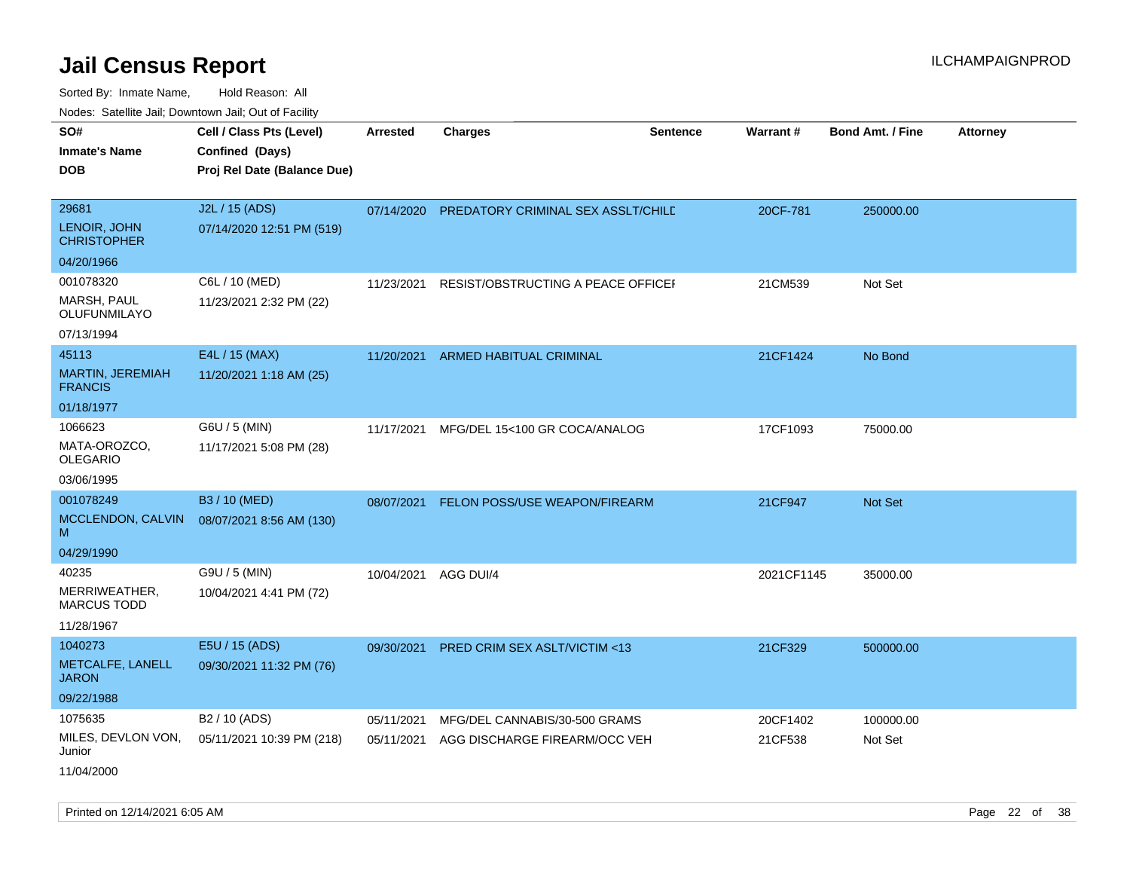| roaco. Odichile Jan, Downtown Jan, Out of Facility         |                                                                            |                          |                                                                |                 |                     |                         |                 |
|------------------------------------------------------------|----------------------------------------------------------------------------|--------------------------|----------------------------------------------------------------|-----------------|---------------------|-------------------------|-----------------|
| SO#<br><b>Inmate's Name</b><br><b>DOB</b>                  | Cell / Class Pts (Level)<br>Confined (Days)<br>Proj Rel Date (Balance Due) | <b>Arrested</b>          | <b>Charges</b>                                                 | <b>Sentence</b> | Warrant#            | <b>Bond Amt. / Fine</b> | <b>Attorney</b> |
| 29681<br>LENOIR, JOHN<br><b>CHRISTOPHER</b>                | J2L / 15 (ADS)<br>07/14/2020 12:51 PM (519)                                |                          | 07/14/2020 PREDATORY CRIMINAL SEX ASSLT/CHILE                  |                 | 20CF-781            | 250000.00               |                 |
| 04/20/1966                                                 |                                                                            |                          |                                                                |                 |                     |                         |                 |
| 001078320<br>MARSH, PAUL<br>OLUFUNMILAYO                   | C6L / 10 (MED)<br>11/23/2021 2:32 PM (22)                                  | 11/23/2021               | RESIST/OBSTRUCTING A PEACE OFFICEF                             |                 | 21CM539             | Not Set                 |                 |
| 07/13/1994                                                 |                                                                            |                          |                                                                |                 |                     |                         |                 |
| 45113<br><b>MARTIN, JEREMIAH</b><br><b>FRANCIS</b>         | E4L / 15 (MAX)<br>11/20/2021 1:18 AM (25)                                  | 11/20/2021               | <b>ARMED HABITUAL CRIMINAL</b>                                 |                 | 21CF1424            | No Bond                 |                 |
| 01/18/1977                                                 |                                                                            |                          |                                                                |                 |                     |                         |                 |
| 1066623<br>MATA-OROZCO,<br><b>OLEGARIO</b>                 | G6U / 5 (MIN)<br>11/17/2021 5:08 PM (28)                                   | 11/17/2021               | MFG/DEL 15<100 GR COCA/ANALOG                                  |                 | 17CF1093            | 75000.00                |                 |
| 03/06/1995                                                 |                                                                            |                          |                                                                |                 |                     |                         |                 |
| 001078249<br>MCCLENDON, CALVIN<br>м                        | B3 / 10 (MED)<br>08/07/2021 8:56 AM (130)                                  | 08/07/2021               | FELON POSS/USE WEAPON/FIREARM                                  |                 | 21CF947             | Not Set                 |                 |
| 04/29/1990                                                 |                                                                            |                          |                                                                |                 |                     |                         |                 |
| 40235<br>MERRIWEATHER,<br><b>MARCUS TODD</b><br>11/28/1967 | G9U / 5 (MIN)<br>10/04/2021 4:41 PM (72)                                   | 10/04/2021               | AGG DUI/4                                                      |                 | 2021CF1145          | 35000.00                |                 |
| 1040273<br>METCALFE, LANELL<br><b>JARON</b><br>09/22/1988  | E5U / 15 (ADS)<br>09/30/2021 11:32 PM (76)                                 | 09/30/2021               | PRED CRIM SEX ASLT/VICTIM <13                                  |                 | 21CF329             | 500000.00               |                 |
| 1075635<br>MILES, DEVLON VON,<br>Junior<br>11/04/2000      | B2 / 10 (ADS)<br>05/11/2021 10:39 PM (218)                                 | 05/11/2021<br>05/11/2021 | MFG/DEL CANNABIS/30-500 GRAMS<br>AGG DISCHARGE FIREARM/OCC VEH |                 | 20CF1402<br>21CF538 | 100000.00<br>Not Set    |                 |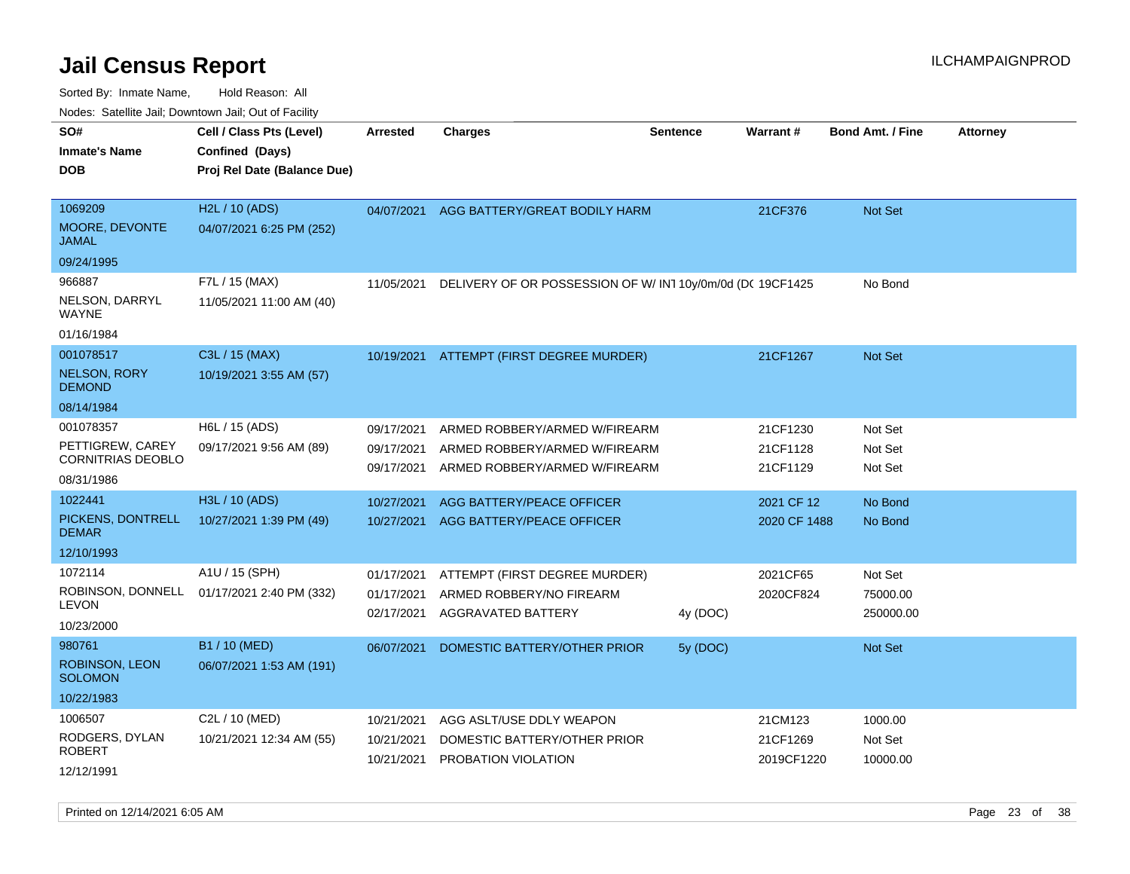| SO#<br><b>Inmate's Name</b><br><b>DOB</b>    | Cell / Class Pts (Level)<br>Confined (Days)<br>Proj Rel Date (Balance Due) | <b>Arrested</b>          | <b>Charges</b>                                           | <b>Sentence</b> | Warrant#               | <b>Bond Amt. / Fine</b> | <b>Attorney</b> |
|----------------------------------------------|----------------------------------------------------------------------------|--------------------------|----------------------------------------------------------|-----------------|------------------------|-------------------------|-----------------|
| 1069209<br>MOORE, DEVONTE<br>JAMAL           | H2L / 10 (ADS)<br>04/07/2021 6:25 PM (252)                                 | 04/07/2021               | AGG BATTERY/GREAT BODILY HARM                            |                 | 21CF376                | Not Set                 |                 |
| 09/24/1995                                   |                                                                            |                          |                                                          |                 |                        |                         |                 |
| 966887<br>NELSON, DARRYL<br>WAYNE            | F7L / 15 (MAX)<br>11/05/2021 11:00 AM (40)                                 | 11/05/2021               | DELIVERY OF OR POSSESSION OF W/IN110y/0m/0d (DC 19CF1425 |                 |                        | No Bond                 |                 |
| 01/16/1984                                   |                                                                            |                          |                                                          |                 |                        |                         |                 |
| 001078517<br><b>NELSON, RORY</b>             | C3L / 15 (MAX)<br>10/19/2021 3:55 AM (57)                                  |                          | 10/19/2021 ATTEMPT (FIRST DEGREE MURDER)                 |                 | 21CF1267               | <b>Not Set</b>          |                 |
| <b>DEMOND</b><br>08/14/1984                  |                                                                            |                          |                                                          |                 |                        |                         |                 |
| 001078357                                    | $H6L / 15$ (ADS)                                                           | 09/17/2021               | ARMED ROBBERY/ARMED W/FIREARM                            |                 | 21CF1230               | Not Set                 |                 |
| PETTIGREW, CAREY<br><b>CORNITRIAS DEOBLO</b> | 09/17/2021 9:56 AM (89)                                                    | 09/17/2021               | ARMED ROBBERY/ARMED W/FIREARM                            |                 | 21CF1128               | Not Set                 |                 |
| 08/31/1986                                   |                                                                            | 09/17/2021               | ARMED ROBBERY/ARMED W/FIREARM                            |                 | 21CF1129               | Not Set                 |                 |
| 1022441                                      | H3L / 10 (ADS)                                                             | 10/27/2021               | AGG BATTERY/PEACE OFFICER                                |                 | 2021 CF 12             | No Bond                 |                 |
| PICKENS, DONTRELL<br><b>DEMAR</b>            | 10/27/2021 1:39 PM (49)                                                    | 10/27/2021               | AGG BATTERY/PEACE OFFICER                                |                 | 2020 CF 1488           | No Bond                 |                 |
| 12/10/1993                                   |                                                                            |                          |                                                          |                 |                        |                         |                 |
| 1072114                                      | A1U / 15 (SPH)                                                             | 01/17/2021               | ATTEMPT (FIRST DEGREE MURDER)                            |                 | 2021CF65               | Not Set                 |                 |
|                                              | ROBINSON, DONNELL 01/17/2021 2:40 PM (332)                                 | 01/17/2021               | ARMED ROBBERY/NO FIREARM                                 |                 | 2020CF824              | 75000.00                |                 |
| <b>LEVON</b><br>10/23/2000                   |                                                                            | 02/17/2021               | AGGRAVATED BATTERY                                       | 4y (DOC)        |                        | 250000.00               |                 |
| 980761                                       | B1 / 10 (MED)                                                              | 06/07/2021               | DOMESTIC BATTERY/OTHER PRIOR                             | 5y (DOC)        |                        | <b>Not Set</b>          |                 |
| ROBINSON, LEON<br><b>SOLOMON</b>             | 06/07/2021 1:53 AM (191)                                                   |                          |                                                          |                 |                        |                         |                 |
| 10/22/1983                                   |                                                                            |                          |                                                          |                 |                        |                         |                 |
| 1006507                                      | C2L / 10 (MED)                                                             | 10/21/2021               | AGG ASLT/USE DDLY WEAPON                                 |                 | 21CM123                | 1000.00                 |                 |
| RODGERS, DYLAN<br>ROBERT                     | 10/21/2021 12:34 AM (55)                                                   | 10/21/2021<br>10/21/2021 | DOMESTIC BATTERY/OTHER PRIOR<br>PROBATION VIOLATION      |                 | 21CF1269<br>2019CF1220 | Not Set<br>10000.00     |                 |
| 12/12/1991                                   |                                                                            |                          |                                                          |                 |                        |                         |                 |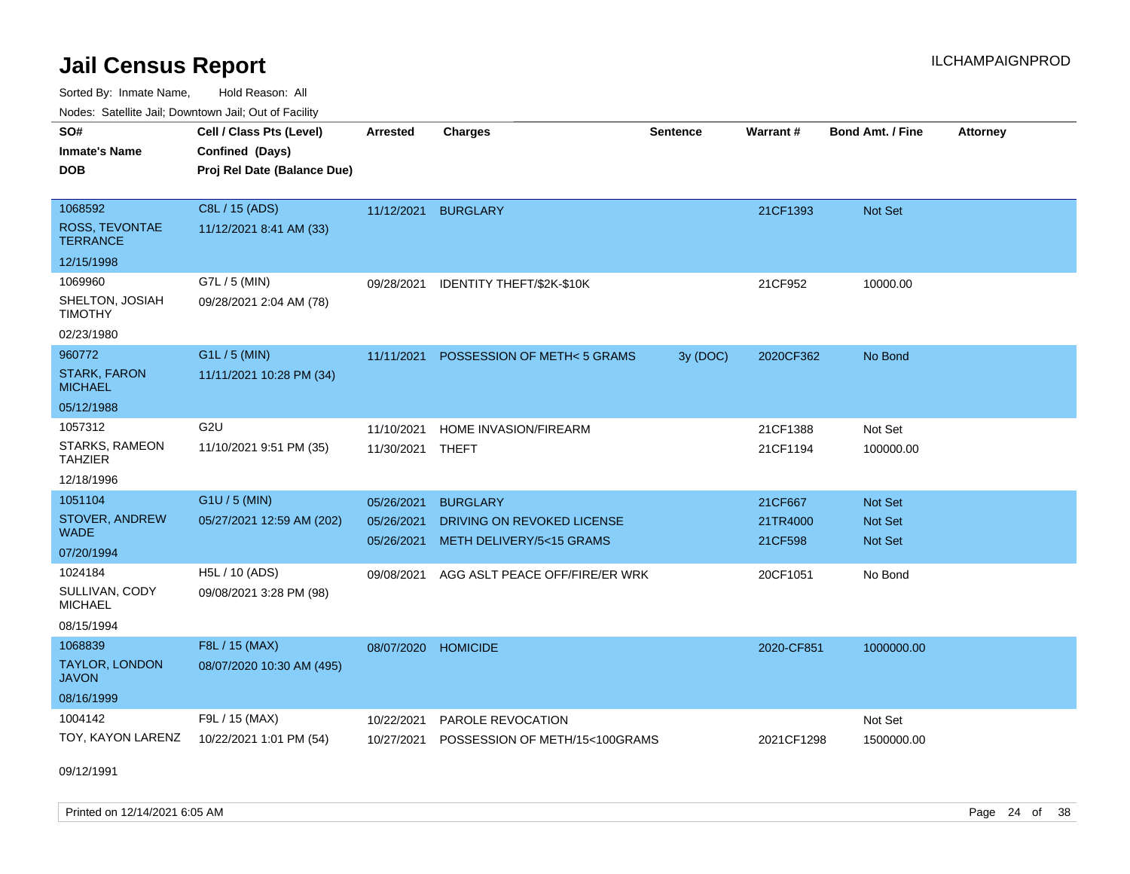Sorted By: Inmate Name, Hold Reason: All Nodes: Satellite Jail; Downtown Jail; Out of Facility

| roaco. Odichile Jan, Downtown Jan, Out of Facility             |                                                                            |                                        |                                                                           |                 |                                |                                             |                 |
|----------------------------------------------------------------|----------------------------------------------------------------------------|----------------------------------------|---------------------------------------------------------------------------|-----------------|--------------------------------|---------------------------------------------|-----------------|
| SO#<br><b>Inmate's Name</b><br><b>DOB</b>                      | Cell / Class Pts (Level)<br>Confined (Days)<br>Proj Rel Date (Balance Due) | <b>Arrested</b>                        | <b>Charges</b>                                                            | <b>Sentence</b> | Warrant#                       | <b>Bond Amt. / Fine</b>                     | <b>Attorney</b> |
| 1068592<br><b>ROSS, TEVONTAE</b><br><b>TERRANCE</b>            | C8L / 15 (ADS)<br>11/12/2021 8:41 AM (33)                                  | 11/12/2021 BURGLARY                    |                                                                           |                 | 21CF1393                       | Not Set                                     |                 |
| 12/15/1998                                                     |                                                                            |                                        |                                                                           |                 |                                |                                             |                 |
| 1069960<br>SHELTON, JOSIAH<br><b>TIMOTHY</b><br>02/23/1980     | G7L / 5 (MIN)<br>09/28/2021 2:04 AM (78)                                   | 09/28/2021                             | IDENTITY THEFT/\$2K-\$10K                                                 |                 | 21CF952                        | 10000.00                                    |                 |
| 960772<br><b>STARK, FARON</b><br><b>MICHAEL</b><br>05/12/1988  | G1L / 5 (MIN)<br>11/11/2021 10:28 PM (34)                                  | 11/11/2021                             | POSSESSION OF METH<5 GRAMS                                                | 3y (DOC)        | 2020CF362                      | No Bond                                     |                 |
| 1057312<br>STARKS, RAMEON<br><b>TAHZIER</b><br>12/18/1996      | G <sub>2U</sub><br>11/10/2021 9:51 PM (35)                                 | 11/10/2021<br>11/30/2021               | HOME INVASION/FIREARM<br>THEFT                                            |                 | 21CF1388<br>21CF1194           | Not Set<br>100000.00                        |                 |
| 1051104<br>STOVER, ANDREW<br><b>WADE</b><br>07/20/1994         | G1U / 5 (MIN)<br>05/27/2021 12:59 AM (202)                                 | 05/26/2021<br>05/26/2021<br>05/26/2021 | <b>BURGLARY</b><br>DRIVING ON REVOKED LICENSE<br>METH DELIVERY/5<15 GRAMS |                 | 21CF667<br>21TR4000<br>21CF598 | Not Set<br><b>Not Set</b><br><b>Not Set</b> |                 |
| 1024184<br>SULLIVAN, CODY<br><b>MICHAEL</b><br>08/15/1994      | H5L / 10 (ADS)<br>09/08/2021 3:28 PM (98)                                  | 09/08/2021                             | AGG ASLT PEACE OFF/FIRE/ER WRK                                            |                 | 20CF1051                       | No Bond                                     |                 |
| 1068839<br><b>TAYLOR, LONDON</b><br><b>JAVON</b><br>08/16/1999 | F8L / 15 (MAX)<br>08/07/2020 10:30 AM (495)                                | 08/07/2020                             | <b>HOMICIDE</b>                                                           |                 | 2020-CF851                     | 1000000.00                                  |                 |
| 1004142<br>TOY, KAYON LARENZ                                   | F9L / 15 (MAX)<br>10/22/2021 1:01 PM (54)                                  | 10/22/2021<br>10/27/2021               | PAROLE REVOCATION<br>POSSESSION OF METH/15<100GRAMS                       |                 | 2021CF1298                     | Not Set<br>1500000.00                       |                 |

09/12/1991

Printed on  $12/14/2021$  6:05 AM Page 24 of 38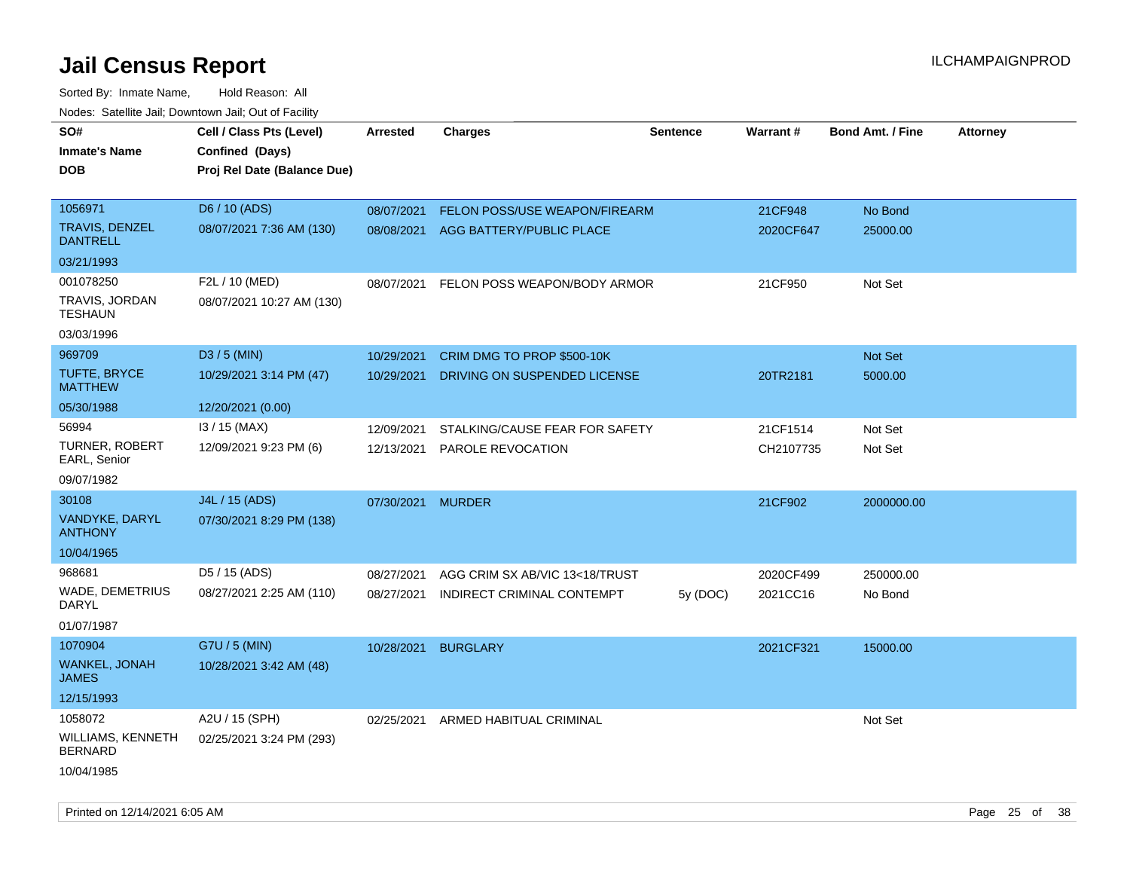| Hougo. Catolino can, Bowmown can, Cat or Fagint<br>SO#<br><b>Inmate's Name</b><br><b>DOB</b> | Cell / Class Pts (Level)<br>Confined (Days)<br>Proj Rel Date (Balance Due) | Arrested                 | <b>Charges</b>                                                   | <b>Sentence</b> | <b>Warrant#</b>       | <b>Bond Amt. / Fine</b> | <b>Attorney</b> |
|----------------------------------------------------------------------------------------------|----------------------------------------------------------------------------|--------------------------|------------------------------------------------------------------|-----------------|-----------------------|-------------------------|-----------------|
| 1056971<br><b>TRAVIS, DENZEL</b><br><b>DANTRELL</b><br>03/21/1993                            | D6 / 10 (ADS)<br>08/07/2021 7:36 AM (130)                                  | 08/07/2021<br>08/08/2021 | <b>FELON POSS/USE WEAPON/FIREARM</b><br>AGG BATTERY/PUBLIC PLACE |                 | 21CF948<br>2020CF647  | No Bond<br>25000.00     |                 |
| 001078250<br>TRAVIS, JORDAN<br><b>TESHAUN</b><br>03/03/1996                                  | F2L / 10 (MED)<br>08/07/2021 10:27 AM (130)                                | 08/07/2021               | FELON POSS WEAPON/BODY ARMOR                                     |                 | 21CF950               | Not Set                 |                 |
| 969709<br><b>TUFTE, BRYCE</b><br><b>MATTHEW</b><br>05/30/1988                                | D3 / 5 (MIN)<br>10/29/2021 3:14 PM (47)<br>12/20/2021 (0.00)               | 10/29/2021<br>10/29/2021 | CRIM DMG TO PROP \$500-10K<br>DRIVING ON SUSPENDED LICENSE       |                 | 20TR2181              | Not Set<br>5000.00      |                 |
| 56994<br>TURNER, ROBERT<br>EARL, Senior<br>09/07/1982                                        | I3 / 15 (MAX)<br>12/09/2021 9:23 PM (6)                                    | 12/09/2021<br>12/13/2021 | STALKING/CAUSE FEAR FOR SAFETY<br>PAROLE REVOCATION              |                 | 21CF1514<br>CH2107735 | Not Set<br>Not Set      |                 |
| 30108<br>VANDYKE, DARYL<br><b>ANTHONY</b><br>10/04/1965                                      | J4L / 15 (ADS)<br>07/30/2021 8:29 PM (138)                                 | 07/30/2021 MURDER        |                                                                  |                 | 21CF902               | 2000000.00              |                 |
| 968681<br>WADE, DEMETRIUS<br>DARYL<br>01/07/1987                                             | D5 / 15 (ADS)<br>08/27/2021 2:25 AM (110)                                  | 08/27/2021<br>08/27/2021 | AGG CRIM SX AB/VIC 13<18/TRUST<br>INDIRECT CRIMINAL CONTEMPT     | 5y (DOC)        | 2020CF499<br>2021CC16 | 250000.00<br>No Bond    |                 |
| 1070904<br><b>WANKEL, JONAH</b><br><b>JAMES</b><br>12/15/1993                                | G7U / 5 (MIN)<br>10/28/2021 3:42 AM (48)                                   | 10/28/2021               | <b>BURGLARY</b>                                                  |                 | 2021CF321             | 15000.00                |                 |
| 1058072<br>WILLIAMS, KENNETH<br><b>BERNARD</b><br>10/04/1985                                 | A2U / 15 (SPH)<br>02/25/2021 3:24 PM (293)                                 | 02/25/2021               | ARMED HABITUAL CRIMINAL                                          |                 |                       | Not Set                 |                 |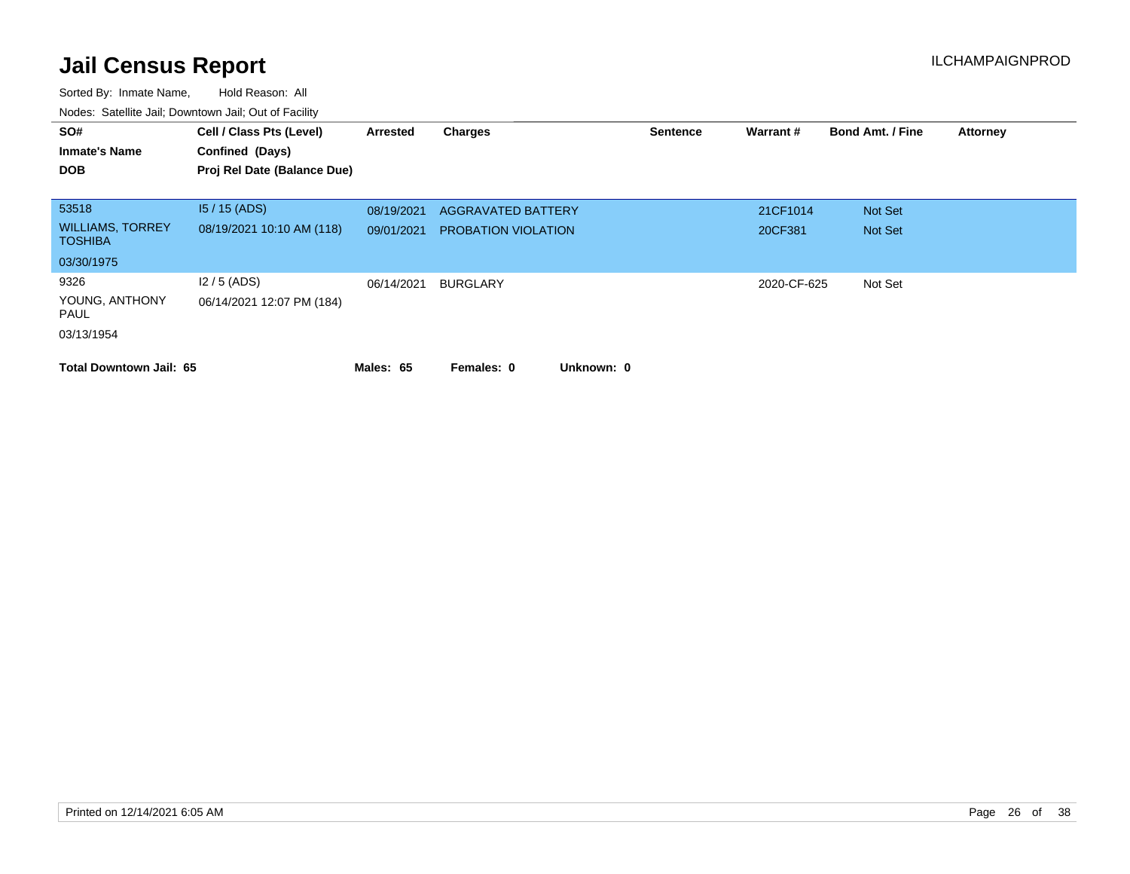| SO#<br><b>Inmate's Name</b><br><b>DOB</b> | Cell / Class Pts (Level)<br>Confined (Days)<br>Proj Rel Date (Balance Due) | Arrested   | <b>Charges</b>             | <b>Sentence</b> | Warrant#    | <b>Bond Amt. / Fine</b> | <b>Attorney</b> |
|-------------------------------------------|----------------------------------------------------------------------------|------------|----------------------------|-----------------|-------------|-------------------------|-----------------|
| 53518                                     | $15/15$ (ADS)                                                              | 08/19/2021 | <b>AGGRAVATED BATTERY</b>  |                 | 21CF1014    | Not Set                 |                 |
| <b>WILLIAMS, TORREY</b><br><b>TOSHIBA</b> | 08/19/2021 10:10 AM (118)                                                  | 09/01/2021 | <b>PROBATION VIOLATION</b> |                 | 20CF381     | Not Set                 |                 |
| 03/30/1975                                |                                                                            |            |                            |                 |             |                         |                 |
| 9326                                      | $12/5$ (ADS)                                                               | 06/14/2021 | BURGLARY                   |                 | 2020-CF-625 | Not Set                 |                 |
| YOUNG, ANTHONY<br>PAUL                    | 06/14/2021 12:07 PM (184)                                                  |            |                            |                 |             |                         |                 |
| 03/13/1954                                |                                                                            |            |                            |                 |             |                         |                 |
| <b>Total Downtown Jail: 65</b>            |                                                                            | Males: 65  | Unknown: 0<br>Females: 0   |                 |             |                         |                 |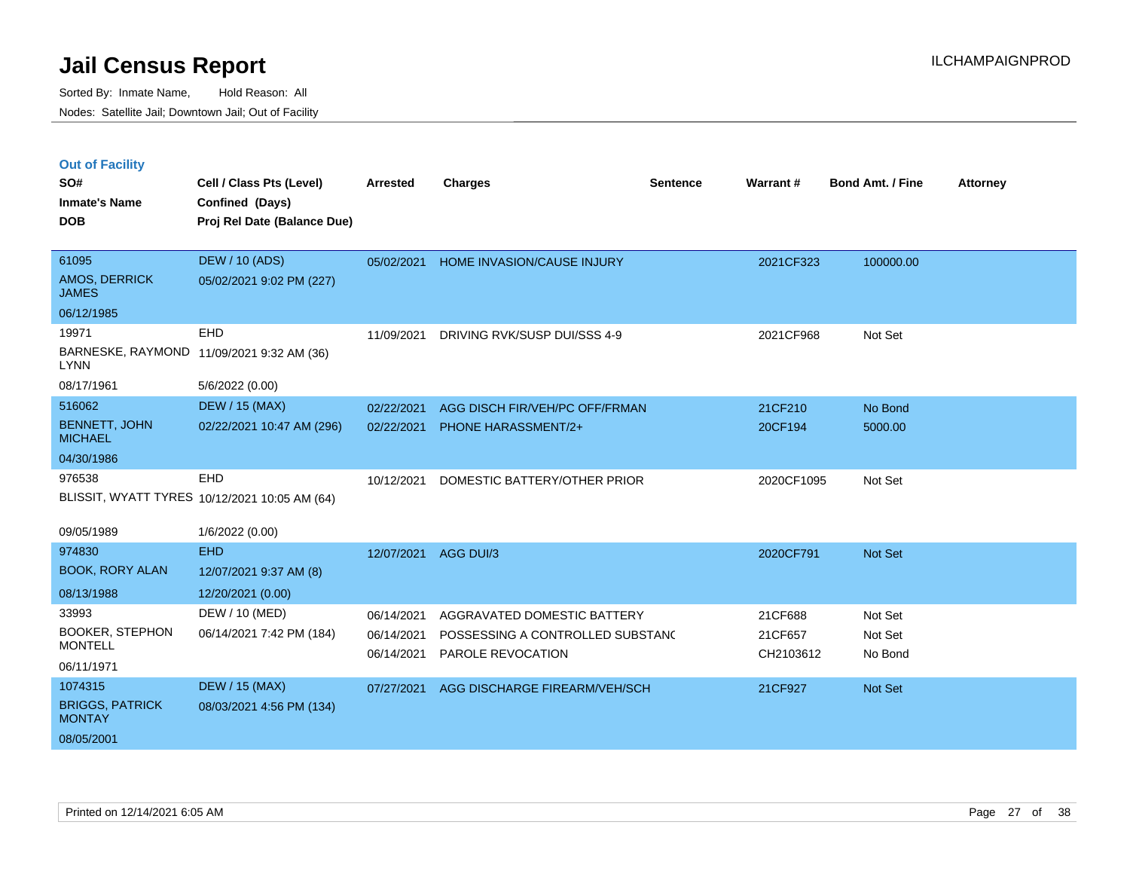|  | <b>Out of Facility</b> |  |
|--|------------------------|--|
|  |                        |  |
|  |                        |  |

| SO#<br><b>Inmate's Name</b>             | Cell / Class Pts (Level)<br>Confined (Days)   | Arrested   | <b>Charges</b>                   | <b>Sentence</b> | Warrant#   | <b>Bond Amt. / Fine</b> | <b>Attorney</b> |
|-----------------------------------------|-----------------------------------------------|------------|----------------------------------|-----------------|------------|-------------------------|-----------------|
| <b>DOB</b>                              | Proj Rel Date (Balance Due)                   |            |                                  |                 |            |                         |                 |
| 61095                                   | <b>DEW / 10 (ADS)</b>                         | 05/02/2021 | HOME INVASION/CAUSE INJURY       |                 | 2021CF323  | 100000.00               |                 |
| AMOS, DERRICK<br><b>JAMES</b>           | 05/02/2021 9:02 PM (227)                      |            |                                  |                 |            |                         |                 |
| 06/12/1985                              |                                               |            |                                  |                 |            |                         |                 |
| 19971                                   | EHD                                           | 11/09/2021 | DRIVING RVK/SUSP DUI/SSS 4-9     |                 | 2021CF968  | Not Set                 |                 |
| <b>LYNN</b>                             | BARNESKE, RAYMOND 11/09/2021 9:32 AM (36)     |            |                                  |                 |            |                         |                 |
| 08/17/1961                              | 5/6/2022 (0.00)                               |            |                                  |                 |            |                         |                 |
| 516062                                  | <b>DEW / 15 (MAX)</b>                         | 02/22/2021 | AGG DISCH FIR/VEH/PC OFF/FRMAN   |                 | 21CF210    | No Bond                 |                 |
| <b>BENNETT, JOHN</b><br><b>MICHAEL</b>  | 02/22/2021 10:47 AM (296)                     | 02/22/2021 | <b>PHONE HARASSMENT/2+</b>       |                 | 20CF194    | 5000.00                 |                 |
| 04/30/1986                              |                                               |            |                                  |                 |            |                         |                 |
| 976538                                  | EHD                                           | 10/12/2021 | DOMESTIC BATTERY/OTHER PRIOR     |                 | 2020CF1095 | Not Set                 |                 |
|                                         | BLISSIT, WYATT TYRES 10/12/2021 10:05 AM (64) |            |                                  |                 |            |                         |                 |
| 09/05/1989                              | 1/6/2022 (0.00)                               |            |                                  |                 |            |                         |                 |
| 974830                                  | <b>EHD</b>                                    | 12/07/2021 | AGG DUI/3                        |                 | 2020CF791  | Not Set                 |                 |
| <b>BOOK, RORY ALAN</b>                  | 12/07/2021 9:37 AM (8)                        |            |                                  |                 |            |                         |                 |
| 08/13/1988                              | 12/20/2021 (0.00)                             |            |                                  |                 |            |                         |                 |
| 33993                                   | DEW / 10 (MED)                                | 06/14/2021 | AGGRAVATED DOMESTIC BATTERY      |                 | 21CF688    | Not Set                 |                 |
| <b>BOOKER, STEPHON</b>                  | 06/14/2021 7:42 PM (184)                      | 06/14/2021 | POSSESSING A CONTROLLED SUBSTANC |                 | 21CF657    | Not Set                 |                 |
| <b>MONTELL</b>                          |                                               | 06/14/2021 | PAROLE REVOCATION                |                 | CH2103612  | No Bond                 |                 |
| 06/11/1971                              |                                               |            |                                  |                 |            |                         |                 |
| 1074315                                 | <b>DEW / 15 (MAX)</b>                         | 07/27/2021 | AGG DISCHARGE FIREARM/VEH/SCH    |                 | 21CF927    | Not Set                 |                 |
| <b>BRIGGS, PATRICK</b><br><b>MONTAY</b> | 08/03/2021 4:56 PM (134)                      |            |                                  |                 |            |                         |                 |
| 08/05/2001                              |                                               |            |                                  |                 |            |                         |                 |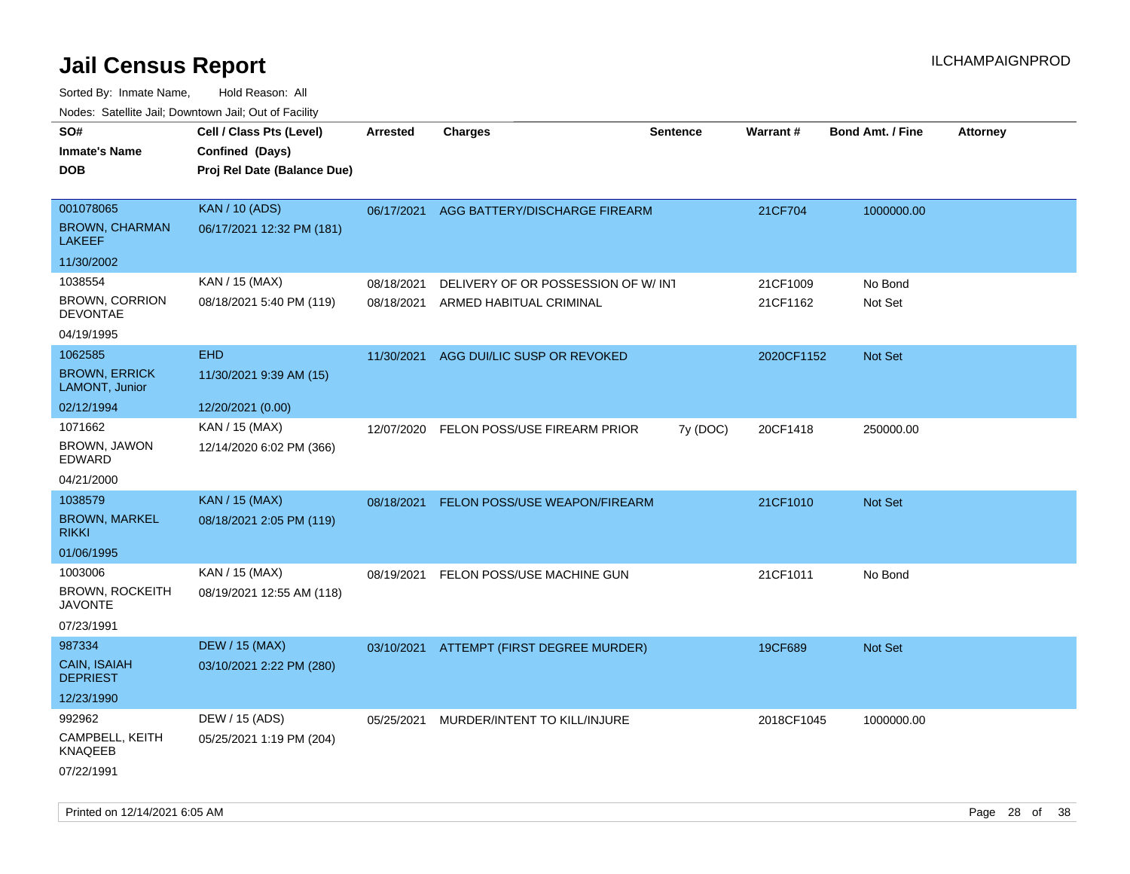| roaco. Calcinio dan, Downtown dan, Cal or Fability |                             |            |                                          |                 |                 |                         |                 |
|----------------------------------------------------|-----------------------------|------------|------------------------------------------|-----------------|-----------------|-------------------------|-----------------|
| SO#                                                | Cell / Class Pts (Level)    | Arrested   | Charges                                  | <b>Sentence</b> | <b>Warrant#</b> | <b>Bond Amt. / Fine</b> | <b>Attorney</b> |
| Inmate's Name                                      | Confined (Days)             |            |                                          |                 |                 |                         |                 |
| DOB                                                | Proj Rel Date (Balance Due) |            |                                          |                 |                 |                         |                 |
|                                                    |                             |            |                                          |                 |                 |                         |                 |
| 001078065                                          | <b>KAN / 10 (ADS)</b>       | 06/17/2021 | AGG BATTERY/DISCHARGE FIREARM            |                 | 21CF704         | 1000000.00              |                 |
| <b>BROWN, CHARMAN</b><br>LAKEEF                    | 06/17/2021 12:32 PM (181)   |            |                                          |                 |                 |                         |                 |
| 11/30/2002                                         |                             |            |                                          |                 |                 |                         |                 |
| 1038554                                            | KAN / 15 (MAX)              | 08/18/2021 | DELIVERY OF OR POSSESSION OF W/ INT      |                 | 21CF1009        | No Bond                 |                 |
| <b>BROWN, CORRION</b><br><b>DEVONTAE</b>           | 08/18/2021 5:40 PM (119)    | 08/18/2021 | ARMED HABITUAL CRIMINAL                  |                 | 21CF1162        | Not Set                 |                 |
| 04/19/1995                                         |                             |            |                                          |                 |                 |                         |                 |
| 1062585                                            | <b>EHD</b>                  | 11/30/2021 | AGG DUI/LIC SUSP OR REVOKED              |                 | 2020CF1152      | <b>Not Set</b>          |                 |
| <b>BROWN, ERRICK</b><br>LAMONT, Junior             | 11/30/2021 9:39 AM (15)     |            |                                          |                 |                 |                         |                 |
| 02/12/1994                                         | 12/20/2021 (0.00)           |            |                                          |                 |                 |                         |                 |
| 1071662                                            | KAN / 15 (MAX)              | 12/07/2020 | FELON POSS/USE FIREARM PRIOR             | 7y (DOC)        | 20CF1418        | 250000.00               |                 |
| BROWN, JAWON<br>EDWARD                             | 12/14/2020 6:02 PM (366)    |            |                                          |                 |                 |                         |                 |
| 04/21/2000                                         |                             |            |                                          |                 |                 |                         |                 |
| 1038579                                            | <b>KAN / 15 (MAX)</b>       | 08/18/2021 | FELON POSS/USE WEAPON/FIREARM            |                 | 21CF1010        | Not Set                 |                 |
| <b>BROWN, MARKEL</b><br>rikki                      | 08/18/2021 2:05 PM (119)    |            |                                          |                 |                 |                         |                 |
| 01/06/1995                                         |                             |            |                                          |                 |                 |                         |                 |
| 1003006                                            | KAN / 15 (MAX)              | 08/19/2021 | FELON POSS/USE MACHINE GUN               |                 | 21CF1011        | No Bond                 |                 |
| BROWN, ROCKEITH<br>JAVONTE                         | 08/19/2021 12:55 AM (118)   |            |                                          |                 |                 |                         |                 |
| 07/23/1991                                         |                             |            |                                          |                 |                 |                         |                 |
| 987334                                             | <b>DEW / 15 (MAX)</b>       |            | 03/10/2021 ATTEMPT (FIRST DEGREE MURDER) |                 | 19CF689         | <b>Not Set</b>          |                 |
| CAIN, ISAIAH<br>DEPRIEST                           | 03/10/2021 2:22 PM (280)    |            |                                          |                 |                 |                         |                 |
| 12/23/1990                                         |                             |            |                                          |                 |                 |                         |                 |
| 992962                                             | DEW / 15 (ADS)              | 05/25/2021 | MURDER/INTENT TO KILL/INJURE             |                 | 2018CF1045      | 1000000.00              |                 |
| CAMPBELL, KEITH<br>KNAQEEB                         | 05/25/2021 1:19 PM (204)    |            |                                          |                 |                 |                         |                 |
| 07/22/1991                                         |                             |            |                                          |                 |                 |                         |                 |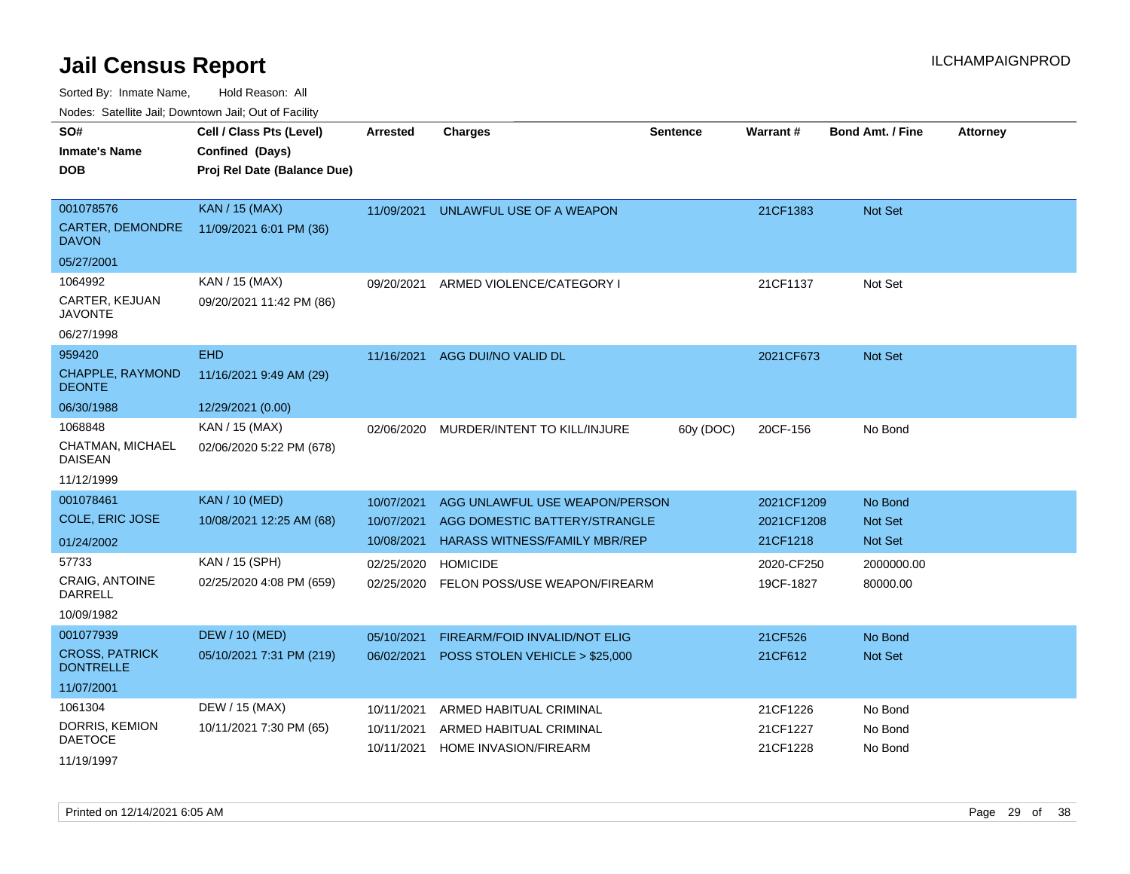Sorted By: Inmate Name, Hold Reason: All

Nodes: Satellite Jail; Downtown Jail; Out of Facility

| SO#                                | Cell / Class Pts (Level)    | <b>Arrested</b> | <b>Charges</b>                       | <b>Sentence</b> | <b>Warrant#</b> | <b>Bond Amt. / Fine</b> | <b>Attorney</b> |
|------------------------------------|-----------------------------|-----------------|--------------------------------------|-----------------|-----------------|-------------------------|-----------------|
| <b>Inmate's Name</b>               | Confined (Days)             |                 |                                      |                 |                 |                         |                 |
| <b>DOB</b>                         | Proj Rel Date (Balance Due) |                 |                                      |                 |                 |                         |                 |
|                                    |                             |                 |                                      |                 |                 |                         |                 |
| 001078576                          | <b>KAN / 15 (MAX)</b>       | 11/09/2021      | UNLAWFUL USE OF A WEAPON             |                 | 21CF1383        | <b>Not Set</b>          |                 |
| CARTER, DEMONDRE<br><b>DAVON</b>   | 11/09/2021 6:01 PM (36)     |                 |                                      |                 |                 |                         |                 |
| 05/27/2001                         |                             |                 |                                      |                 |                 |                         |                 |
| 1064992                            | KAN / 15 (MAX)              | 09/20/2021      | ARMED VIOLENCE/CATEGORY I            |                 | 21CF1137        | Not Set                 |                 |
| CARTER, KEJUAN<br><b>JAVONTE</b>   | 09/20/2021 11:42 PM (86)    |                 |                                      |                 |                 |                         |                 |
| 06/27/1998                         |                             |                 |                                      |                 |                 |                         |                 |
| 959420                             | <b>EHD</b>                  | 11/16/2021      | AGG DUI/NO VALID DL                  |                 | 2021CF673       | Not Set                 |                 |
| CHAPPLE, RAYMOND<br><b>DEONTE</b>  | 11/16/2021 9:49 AM (29)     |                 |                                      |                 |                 |                         |                 |
| 06/30/1988                         | 12/29/2021 (0.00)           |                 |                                      |                 |                 |                         |                 |
| 1068848                            | KAN / 15 (MAX)              | 02/06/2020      | MURDER/INTENT TO KILL/INJURE         | 60y (DOC)       | 20CF-156        | No Bond                 |                 |
| CHATMAN, MICHAEL<br><b>DAISEAN</b> | 02/06/2020 5:22 PM (678)    |                 |                                      |                 |                 |                         |                 |
| 11/12/1999                         |                             |                 |                                      |                 |                 |                         |                 |
| 001078461                          | <b>KAN / 10 (MED)</b>       | 10/07/2021      | AGG UNLAWFUL USE WEAPON/PERSON       |                 | 2021CF1209      | No Bond                 |                 |
| COLE, ERIC JOSE                    | 10/08/2021 12:25 AM (68)    | 10/07/2021      | AGG DOMESTIC BATTERY/STRANGLE        |                 | 2021CF1208      | <b>Not Set</b>          |                 |
| 01/24/2002                         |                             | 10/08/2021      | <b>HARASS WITNESS/FAMILY MBR/REP</b> |                 | 21CF1218        | <b>Not Set</b>          |                 |
| 57733                              | KAN / 15 (SPH)              | 02/25/2020      | <b>HOMICIDE</b>                      |                 | 2020-CF250      | 2000000.00              |                 |
| <b>CRAIG, ANTOINE</b><br>DARRELL   | 02/25/2020 4:08 PM (659)    | 02/25/2020      | FELON POSS/USE WEAPON/FIREARM        |                 | 19CF-1827       | 80000.00                |                 |
| 10/09/1982                         |                             |                 |                                      |                 |                 |                         |                 |
| 001077939                          | <b>DEW / 10 (MED)</b>       | 05/10/2021      | FIREARM/FOID INVALID/NOT ELIG        |                 | 21CF526         | No Bond                 |                 |
| <b>CROSS, PATRICK</b>              | 05/10/2021 7:31 PM (219)    | 06/02/2021      | POSS STOLEN VEHICLE > \$25,000       |                 | 21CF612         | <b>Not Set</b>          |                 |
| <b>DONTRELLE</b>                   |                             |                 |                                      |                 |                 |                         |                 |
| 11/07/2001                         |                             |                 |                                      |                 |                 |                         |                 |
| 1061304                            | DEW / 15 (MAX)              | 10/11/2021      | ARMED HABITUAL CRIMINAL              |                 | 21CF1226        | No Bond                 |                 |
| DORRIS, KEMION                     | 10/11/2021 7:30 PM (65)     | 10/11/2021      | ARMED HABITUAL CRIMINAL              |                 | 21CF1227        | No Bond                 |                 |
| <b>DAETOCE</b>                     |                             | 10/11/2021      | <b>HOME INVASION/FIREARM</b>         |                 | 21CF1228        | No Bond                 |                 |
| 11/19/1997                         |                             |                 |                                      |                 |                 |                         |                 |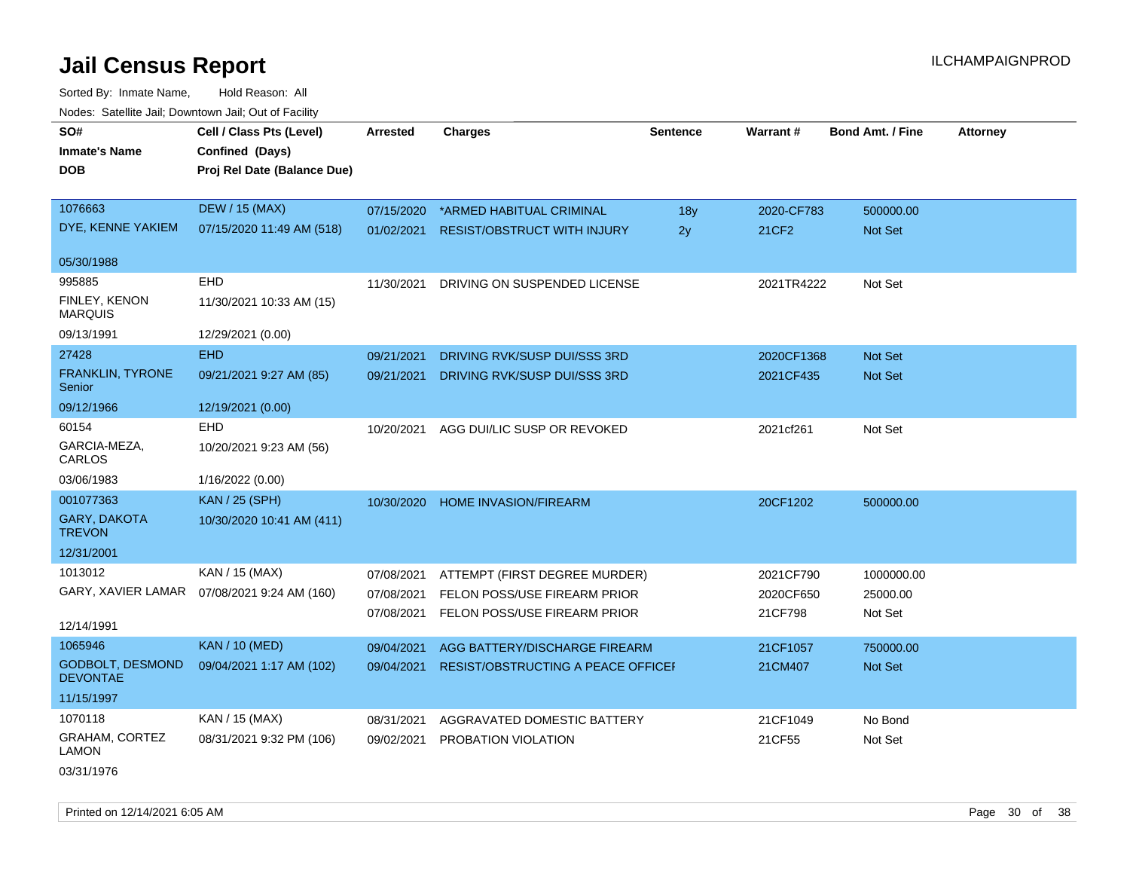Sorted By: Inmate Name, Hold Reason: All Nodes: Satellite Jail; Downtown Jail; Out of Facility

| roaco. Calcinio dan, Domntonn dan, Out or Fability |                                              |            |                                           |                 |            |                         |                 |
|----------------------------------------------------|----------------------------------------------|------------|-------------------------------------------|-----------------|------------|-------------------------|-----------------|
| SO#                                                | Cell / Class Pts (Level)                     | Arrested   | <b>Charges</b>                            | <b>Sentence</b> | Warrant#   | <b>Bond Amt. / Fine</b> | <b>Attorney</b> |
| <b>Inmate's Name</b>                               | Confined (Days)                              |            |                                           |                 |            |                         |                 |
| DOB                                                | Proj Rel Date (Balance Due)                  |            |                                           |                 |            |                         |                 |
|                                                    |                                              |            |                                           |                 |            |                         |                 |
| 1076663                                            | <b>DEW / 15 (MAX)</b>                        | 07/15/2020 | *ARMED HABITUAL CRIMINAL                  | 18y             | 2020-CF783 | 500000.00               |                 |
| DYE, KENNE YAKIEM                                  | 07/15/2020 11:49 AM (518)                    | 01/02/2021 | <b>RESIST/OBSTRUCT WITH INJURY</b>        | 2y              | 21CF2      | <b>Not Set</b>          |                 |
| 05/30/1988                                         |                                              |            |                                           |                 |            |                         |                 |
| 995885                                             | <b>EHD</b>                                   | 11/30/2021 | DRIVING ON SUSPENDED LICENSE              |                 | 2021TR4222 | Not Set                 |                 |
| FINLEY, KENON                                      |                                              |            |                                           |                 |            |                         |                 |
| <b>MARQUIS</b>                                     | 11/30/2021 10:33 AM (15)                     |            |                                           |                 |            |                         |                 |
| 09/13/1991                                         | 12/29/2021 (0.00)                            |            |                                           |                 |            |                         |                 |
| 27428                                              | <b>EHD</b>                                   | 09/21/2021 | DRIVING RVK/SUSP DUI/SSS 3RD              |                 | 2020CF1368 | <b>Not Set</b>          |                 |
| <b>FRANKLIN, TYRONE</b>                            | 09/21/2021 9:27 AM (85)                      | 09/21/2021 | DRIVING RVK/SUSP DUI/SSS 3RD              |                 | 2021CF435  | <b>Not Set</b>          |                 |
| Senior                                             |                                              |            |                                           |                 |            |                         |                 |
| 09/12/1966                                         | 12/19/2021 (0.00)                            |            |                                           |                 |            |                         |                 |
| 60154                                              | <b>EHD</b>                                   | 10/20/2021 | AGG DUI/LIC SUSP OR REVOKED               |                 | 2021cf261  | Not Set                 |                 |
| GARCIA-MEZA,<br>CARLOS                             | 10/20/2021 9:23 AM (56)                      |            |                                           |                 |            |                         |                 |
| 03/06/1983                                         | 1/16/2022 (0.00)                             |            |                                           |                 |            |                         |                 |
| 001077363                                          | <b>KAN / 25 (SPH)</b>                        | 10/30/2020 | <b>HOME INVASION/FIREARM</b>              |                 | 20CF1202   | 500000.00               |                 |
| GARY, DAKOTA<br><b>TREVON</b>                      | 10/30/2020 10:41 AM (411)                    |            |                                           |                 |            |                         |                 |
| 12/31/2001                                         |                                              |            |                                           |                 |            |                         |                 |
| 1013012                                            | KAN / 15 (MAX)                               | 07/08/2021 | ATTEMPT (FIRST DEGREE MURDER)             |                 | 2021CF790  | 1000000.00              |                 |
|                                                    | GARY, XAVIER LAMAR  07/08/2021 9:24 AM (160) | 07/08/2021 | FELON POSS/USE FIREARM PRIOR              |                 | 2020CF650  | 25000.00                |                 |
|                                                    |                                              |            |                                           |                 |            |                         |                 |
| 12/14/1991                                         |                                              | 07/08/2021 | FELON POSS/USE FIREARM PRIOR              |                 | 21CF798    | Not Set                 |                 |
| 1065946                                            | <b>KAN / 10 (MED)</b>                        | 09/04/2021 | AGG BATTERY/DISCHARGE FIREARM             |                 | 21CF1057   | 750000.00               |                 |
| <b>GODBOLT, DESMOND</b><br><b>DEVONTAE</b>         | 09/04/2021 1:17 AM (102)                     | 09/04/2021 | <b>RESIST/OBSTRUCTING A PEACE OFFICEF</b> |                 | 21CM407    | Not Set                 |                 |
| 11/15/1997                                         |                                              |            |                                           |                 |            |                         |                 |
| 1070118                                            | KAN / 15 (MAX)                               | 08/31/2021 | AGGRAVATED DOMESTIC BATTERY               |                 | 21CF1049   | No Bond                 |                 |
| GRAHAM, CORTEZ                                     | 08/31/2021 9:32 PM (106)                     | 09/02/2021 | PROBATION VIOLATION                       |                 | 21CF55     | Not Set                 |                 |
| <b>LAMON</b>                                       |                                              |            |                                           |                 |            |                         |                 |

03/31/1976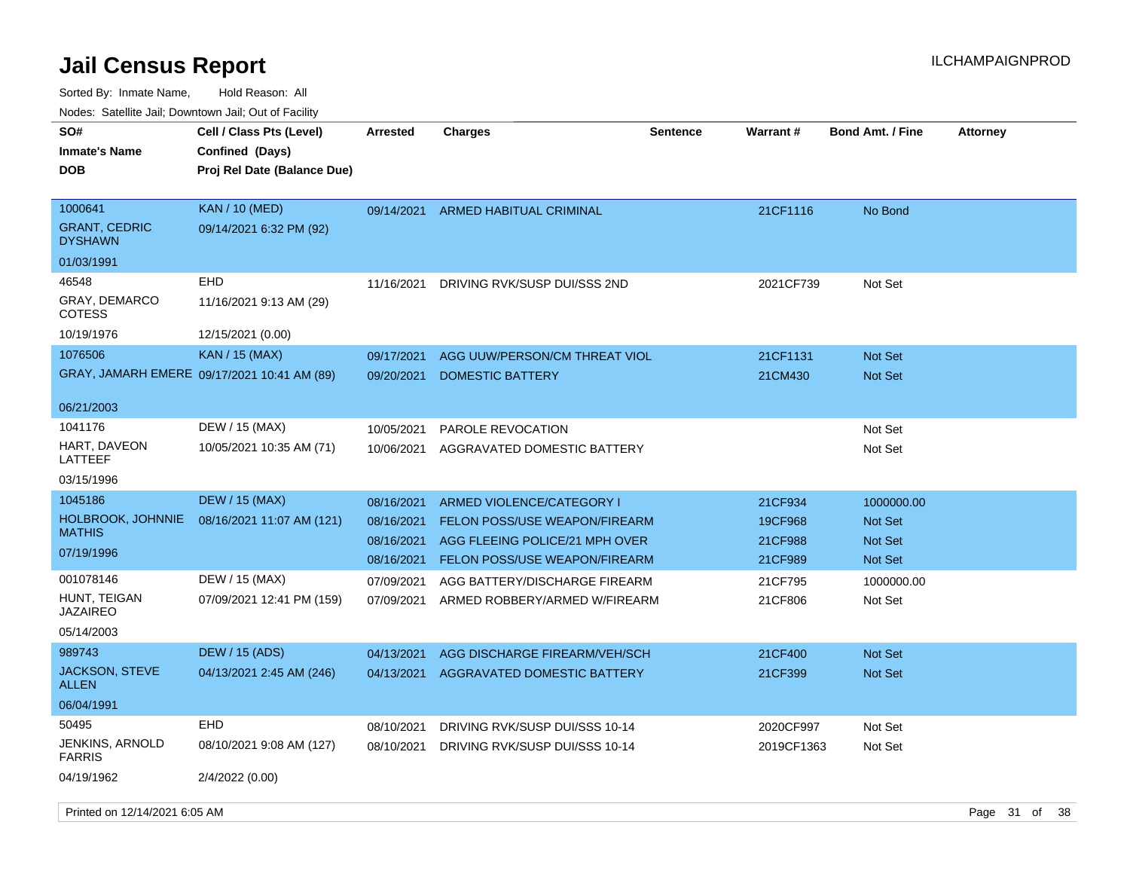| rougs. Calcinic Jan, Downtown Jan, Out of Facility |                                                                            |                 |                                |                 |                 |                         |                 |
|----------------------------------------------------|----------------------------------------------------------------------------|-----------------|--------------------------------|-----------------|-----------------|-------------------------|-----------------|
| SO#<br><b>Inmate's Name</b><br><b>DOB</b>          | Cell / Class Pts (Level)<br>Confined (Days)<br>Proj Rel Date (Balance Due) | <b>Arrested</b> | <b>Charges</b>                 | <b>Sentence</b> | <b>Warrant#</b> | <b>Bond Amt. / Fine</b> | <b>Attorney</b> |
| 1000641<br><b>GRANT, CEDRIC</b><br><b>DYSHAWN</b>  | <b>KAN / 10 (MED)</b><br>09/14/2021 6:32 PM (92)                           | 09/14/2021      | ARMED HABITUAL CRIMINAL        |                 | 21CF1116        | No Bond                 |                 |
| 01/03/1991                                         |                                                                            |                 |                                |                 |                 |                         |                 |
| 46548                                              | EHD                                                                        | 11/16/2021      | DRIVING RVK/SUSP DUI/SSS 2ND   |                 | 2021CF739       | Not Set                 |                 |
| <b>GRAY, DEMARCO</b><br><b>COTESS</b>              | 11/16/2021 9:13 AM (29)                                                    |                 |                                |                 |                 |                         |                 |
| 10/19/1976                                         | 12/15/2021 (0.00)                                                          |                 |                                |                 |                 |                         |                 |
| 1076506                                            | KAN / 15 (MAX)                                                             | 09/17/2021      | AGG UUW/PERSON/CM THREAT VIOL  |                 | 21CF1131        | <b>Not Set</b>          |                 |
|                                                    | GRAY, JAMARH EMERE 09/17/2021 10:41 AM (89)                                | 09/20/2021      | <b>DOMESTIC BATTERY</b>        |                 | 21CM430         | <b>Not Set</b>          |                 |
| 06/21/2003                                         |                                                                            |                 |                                |                 |                 |                         |                 |
| 1041176                                            | DEW / 15 (MAX)                                                             | 10/05/2021      | PAROLE REVOCATION              |                 |                 | Not Set                 |                 |
| HART, DAVEON<br>LATTEEF                            | 10/05/2021 10:35 AM (71)                                                   | 10/06/2021      | AGGRAVATED DOMESTIC BATTERY    |                 |                 | Not Set                 |                 |
| 03/15/1996                                         |                                                                            |                 |                                |                 |                 |                         |                 |
| 1045186                                            | <b>DEW / 15 (MAX)</b>                                                      | 08/16/2021      | ARMED VIOLENCE/CATEGORY I      |                 | 21CF934         | 1000000.00              |                 |
| <b>HOLBROOK, JOHNNIE</b>                           | 08/16/2021 11:07 AM (121)                                                  | 08/16/2021      | FELON POSS/USE WEAPON/FIREARM  |                 | 19CF968         | <b>Not Set</b>          |                 |
| <b>MATHIS</b>                                      |                                                                            | 08/16/2021      | AGG FLEEING POLICE/21 MPH OVER |                 | 21CF988         | <b>Not Set</b>          |                 |
| 07/19/1996                                         |                                                                            | 08/16/2021      | FELON POSS/USE WEAPON/FIREARM  |                 | 21CF989         | <b>Not Set</b>          |                 |
| 001078146                                          | DEW / 15 (MAX)                                                             | 07/09/2021      | AGG BATTERY/DISCHARGE FIREARM  |                 | 21CF795         | 1000000.00              |                 |
| HUNT, TEIGAN<br><b>JAZAIREO</b>                    | 07/09/2021 12:41 PM (159)                                                  | 07/09/2021      | ARMED ROBBERY/ARMED W/FIREARM  |                 | 21CF806         | Not Set                 |                 |
| 05/14/2003                                         |                                                                            |                 |                                |                 |                 |                         |                 |
| 989743                                             | <b>DEW / 15 (ADS)</b>                                                      | 04/13/2021      | AGG DISCHARGE FIREARM/VEH/SCH  |                 | 21CF400         | <b>Not Set</b>          |                 |
| <b>JACKSON, STEVE</b><br>ALLEN                     | 04/13/2021 2:45 AM (246)                                                   | 04/13/2021      | AGGRAVATED DOMESTIC BATTERY    |                 | 21CF399         | <b>Not Set</b>          |                 |
| 06/04/1991                                         |                                                                            |                 |                                |                 |                 |                         |                 |
| 50495                                              | EHD                                                                        | 08/10/2021      | DRIVING RVK/SUSP DUI/SSS 10-14 |                 | 2020CF997       | Not Set                 |                 |
| JENKINS, ARNOLD<br><b>FARRIS</b>                   | 08/10/2021 9:08 AM (127)                                                   | 08/10/2021      | DRIVING RVK/SUSP DUI/SSS 10-14 |                 | 2019CF1363      | Not Set                 |                 |
| 04/19/1962                                         | 2/4/2022 (0.00)                                                            |                 |                                |                 |                 |                         |                 |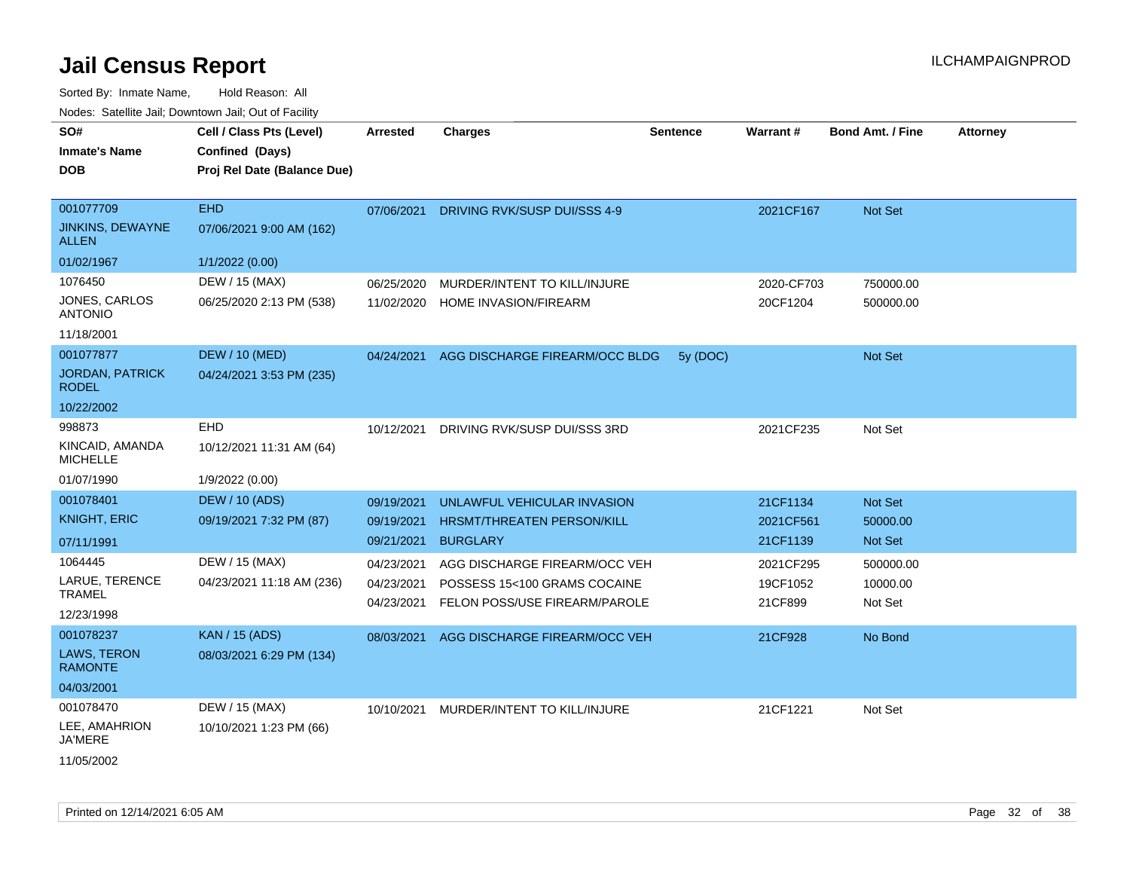Sorted By: Inmate Name, Hold Reason: All

| Nodes: Satellite Jail: Downtown Jail: Out of Facility |                             |                 |                                |                 |            |                         |                 |  |  |
|-------------------------------------------------------|-----------------------------|-----------------|--------------------------------|-----------------|------------|-------------------------|-----------------|--|--|
| SO#                                                   | Cell / Class Pts (Level)    | <b>Arrested</b> | <b>Charges</b>                 | <b>Sentence</b> | Warrant #  | <b>Bond Amt. / Fine</b> | <b>Attorney</b> |  |  |
| <b>Inmate's Name</b>                                  | Confined (Days)             |                 |                                |                 |            |                         |                 |  |  |
| <b>DOB</b>                                            | Proj Rel Date (Balance Due) |                 |                                |                 |            |                         |                 |  |  |
|                                                       |                             |                 |                                |                 |            |                         |                 |  |  |
| 001077709                                             | EHD                         | 07/06/2021      | DRIVING RVK/SUSP DUI/SSS 4-9   |                 | 2021CF167  | Not Set                 |                 |  |  |
| <b>JINKINS, DEWAYNE</b><br><b>ALLEN</b>               | 07/06/2021 9:00 AM (162)    |                 |                                |                 |            |                         |                 |  |  |
| 01/02/1967                                            | 1/1/2022(0.00)              |                 |                                |                 |            |                         |                 |  |  |
| 1076450                                               | DEW / 15 (MAX)              | 06/25/2020      | MURDER/INTENT TO KILL/INJURE   |                 | 2020-CF703 | 750000.00               |                 |  |  |
| JONES, CARLOS<br><b>ANTONIO</b>                       | 06/25/2020 2:13 PM (538)    | 11/02/2020      | HOME INVASION/FIREARM          |                 | 20CF1204   | 500000.00               |                 |  |  |
| 11/18/2001                                            |                             |                 |                                |                 |            |                         |                 |  |  |
| 001077877                                             | DEW / 10 (MED)              | 04/24/2021      | AGG DISCHARGE FIREARM/OCC BLDG | 5y (DOC)        |            | Not Set                 |                 |  |  |
| <b>JORDAN, PATRICK</b><br><b>RODEL</b>                | 04/24/2021 3:53 PM (235)    |                 |                                |                 |            |                         |                 |  |  |

| 10/22/2002 |  |
|------------|--|
| ------     |  |

| <b>NUDEL</b>                         |                           |            |                                   |           |           |
|--------------------------------------|---------------------------|------------|-----------------------------------|-----------|-----------|
| 10/22/2002                           |                           |            |                                   |           |           |
| 998873                               | <b>EHD</b>                | 10/12/2021 | DRIVING RVK/SUSP DUI/SSS 3RD      | 2021CF235 | Not Set   |
| KINCAID, AMANDA<br>MICHELLE          | 10/12/2021 11:31 AM (64)  |            |                                   |           |           |
| 01/07/1990                           | 1/9/2022 (0.00)           |            |                                   |           |           |
| 001078401                            | DEW / 10 (ADS)            | 09/19/2021 | UNLAWFUL VEHICULAR INVASION       | 21CF1134  | Not Set   |
| KNIGHT, ERIC                         | 09/19/2021 7:32 PM (87)   | 09/19/2021 | <b>HRSMT/THREATEN PERSON/KILL</b> | 2021CF561 | 50000.00  |
| 07/11/1991                           |                           | 09/21/2021 | <b>BURGLARY</b>                   | 21CF1139  | Not Set   |
| 1064445                              | DEW / 15 (MAX)            | 04/23/2021 | AGG DISCHARGE FIREARM/OCC VEH     | 2021CF295 | 500000.00 |
| LARUE, TERENCE                       | 04/23/2021 11:18 AM (236) | 04/23/2021 | POSSESS 15<100 GRAMS COCAINE      | 19CF1052  | 10000.00  |
| TRAMEL                               |                           | 04/23/2021 | FELON POSS/USE FIREARM/PAROLE     | 21CF899   | Not Set   |
| 12/23/1998                           |                           |            |                                   |           |           |
| 001078237                            | <b>KAN / 15 (ADS)</b>     | 08/03/2021 | AGG DISCHARGE FIREARM/OCC VEH     | 21CF928   | No Bond   |
| <b>LAWS, TERON</b><br><b>RAMONTE</b> | 08/03/2021 6:29 PM (134)  |            |                                   |           |           |
| 04/03/2001                           |                           |            |                                   |           |           |
| 001078470                            | DEW / 15 (MAX)            | 10/10/2021 | MURDER/INTENT TO KILL/INJURE      | 21CF1221  | Not Set   |
| $F = 111110001$                      | . <i>.</i>                |            |                                   |           |           |

LEE, AMAHRION JA'MERE 10/10/2021 1:23 PM (66)

11/05/2002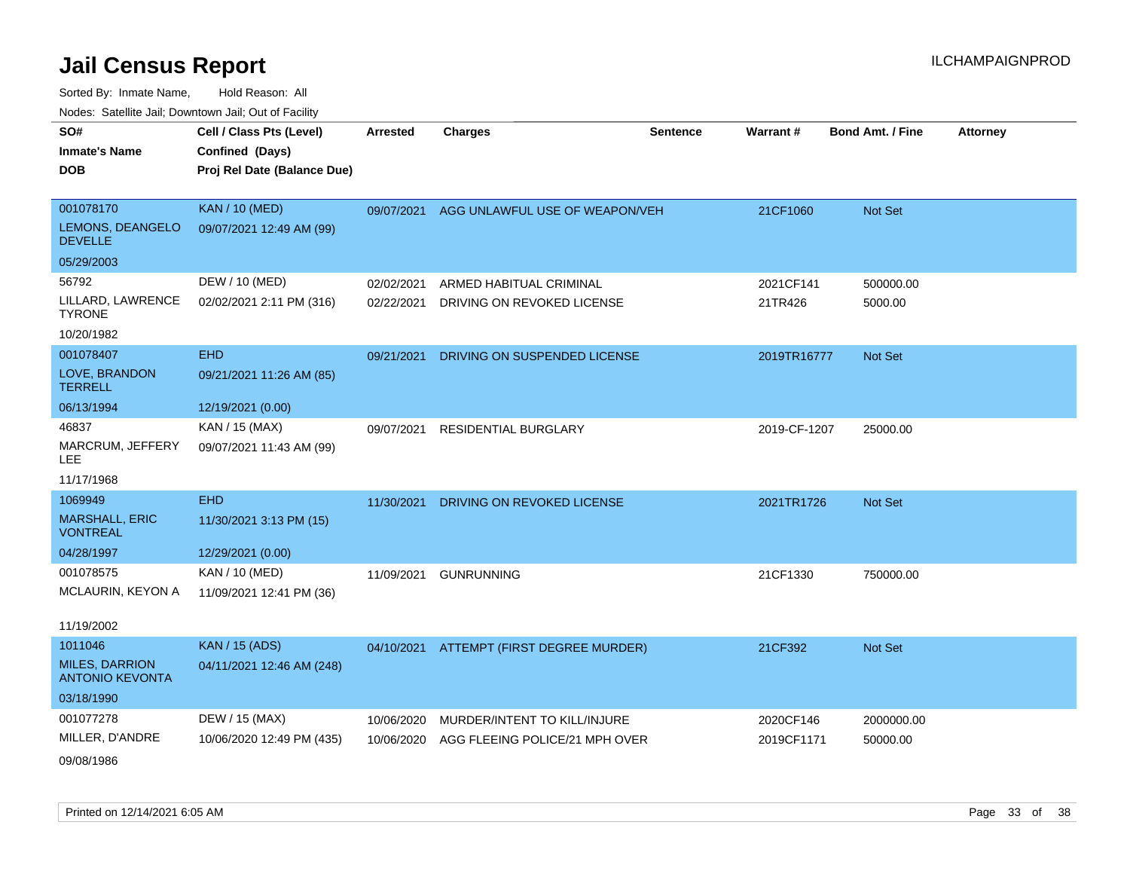| SO#                                             | Cell / Class Pts (Level)    | <b>Arrested</b> | <b>Charges</b>                           | <b>Sentence</b> | Warrant#     | <b>Bond Amt. / Fine</b> | <b>Attorney</b> |
|-------------------------------------------------|-----------------------------|-----------------|------------------------------------------|-----------------|--------------|-------------------------|-----------------|
| <b>Inmate's Name</b>                            | Confined (Days)             |                 |                                          |                 |              |                         |                 |
| <b>DOB</b>                                      | Proj Rel Date (Balance Due) |                 |                                          |                 |              |                         |                 |
|                                                 |                             |                 |                                          |                 |              |                         |                 |
| 001078170                                       | <b>KAN / 10 (MED)</b>       | 09/07/2021      | AGG UNLAWFUL USE OF WEAPON/VEH           |                 | 21CF1060     | Not Set                 |                 |
| LEMONS, DEANGELO<br><b>DEVELLE</b>              | 09/07/2021 12:49 AM (99)    |                 |                                          |                 |              |                         |                 |
| 05/29/2003                                      |                             |                 |                                          |                 |              |                         |                 |
| 56792                                           | DEW / 10 (MED)              | 02/02/2021      | ARMED HABITUAL CRIMINAL                  |                 | 2021CF141    | 500000.00               |                 |
| LILLARD, LAWRENCE<br><b>TYRONE</b>              | 02/02/2021 2:11 PM (316)    | 02/22/2021      | DRIVING ON REVOKED LICENSE               |                 | 21TR426      | 5000.00                 |                 |
| 10/20/1982                                      |                             |                 |                                          |                 |              |                         |                 |
| 001078407                                       | <b>EHD</b>                  | 09/21/2021      | DRIVING ON SUSPENDED LICENSE             |                 | 2019TR16777  | Not Set                 |                 |
| LOVE, BRANDON<br><b>TERRELL</b>                 | 09/21/2021 11:26 AM (85)    |                 |                                          |                 |              |                         |                 |
| 06/13/1994                                      | 12/19/2021 (0.00)           |                 |                                          |                 |              |                         |                 |
| 46837                                           | KAN / 15 (MAX)              | 09/07/2021      | <b>RESIDENTIAL BURGLARY</b>              |                 | 2019-CF-1207 | 25000.00                |                 |
| MARCRUM, JEFFERY<br><b>LEE</b>                  | 09/07/2021 11:43 AM (99)    |                 |                                          |                 |              |                         |                 |
| 11/17/1968                                      |                             |                 |                                          |                 |              |                         |                 |
| 1069949                                         | <b>EHD</b>                  | 11/30/2021      | DRIVING ON REVOKED LICENSE               |                 | 2021TR1726   | Not Set                 |                 |
| <b>MARSHALL, ERIC</b><br><b>VONTREAL</b>        | 11/30/2021 3:13 PM (15)     |                 |                                          |                 |              |                         |                 |
| 04/28/1997                                      | 12/29/2021 (0.00)           |                 |                                          |                 |              |                         |                 |
| 001078575                                       | KAN / 10 (MED)              | 11/09/2021      | <b>GUNRUNNING</b>                        |                 | 21CF1330     | 750000.00               |                 |
| MCLAURIN, KEYON A                               | 11/09/2021 12:41 PM (36)    |                 |                                          |                 |              |                         |                 |
| 11/19/2002                                      |                             |                 |                                          |                 |              |                         |                 |
| 1011046                                         | <b>KAN / 15 (ADS)</b>       |                 | 04/10/2021 ATTEMPT (FIRST DEGREE MURDER) |                 | 21CF392      | Not Set                 |                 |
| <b>MILES, DARRION</b><br><b>ANTONIO KEVONTA</b> | 04/11/2021 12:46 AM (248)   |                 |                                          |                 |              |                         |                 |
| 03/18/1990                                      |                             |                 |                                          |                 |              |                         |                 |
| 001077278                                       | DEW / 15 (MAX)              | 10/06/2020      | MURDER/INTENT TO KILL/INJURE             |                 | 2020CF146    | 2000000.00              |                 |
| MILLER, D'ANDRE                                 | 10/06/2020 12:49 PM (435)   | 10/06/2020      | AGG FLEEING POLICE/21 MPH OVER           |                 | 2019CF1171   | 50000.00                |                 |
| 09/08/1986                                      |                             |                 |                                          |                 |              |                         |                 |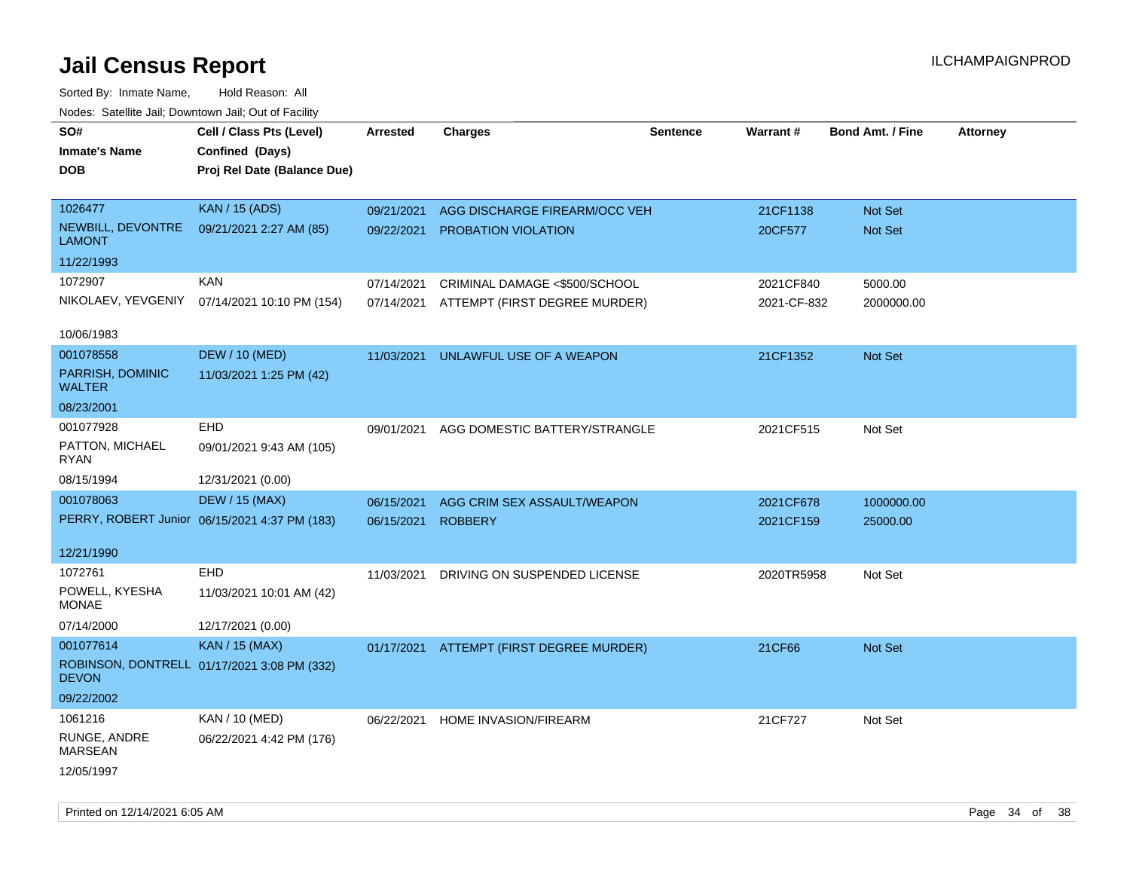| rouco. Calcinic Jan, Downtown Jan, Out of Facility |                                               |                 |                                          |                 |             |                         |                 |
|----------------------------------------------------|-----------------------------------------------|-----------------|------------------------------------------|-----------------|-------------|-------------------------|-----------------|
| SO#<br><b>Inmate's Name</b>                        | Cell / Class Pts (Level)<br>Confined (Days)   | <b>Arrested</b> | <b>Charges</b>                           | <b>Sentence</b> | Warrant#    | <b>Bond Amt. / Fine</b> | <b>Attorney</b> |
| <b>DOB</b>                                         | Proj Rel Date (Balance Due)                   |                 |                                          |                 |             |                         |                 |
| 1026477                                            | <b>KAN / 15 (ADS)</b>                         | 09/21/2021      | AGG DISCHARGE FIREARM/OCC VEH            |                 | 21CF1138    | <b>Not Set</b>          |                 |
| NEWBILL, DEVONTRE<br><b>LAMONT</b>                 | 09/21/2021 2:27 AM (85)                       | 09/22/2021      | PROBATION VIOLATION                      |                 | 20CF577     | <b>Not Set</b>          |                 |
| 11/22/1993                                         |                                               |                 |                                          |                 |             |                         |                 |
| 1072907                                            | <b>KAN</b>                                    | 07/14/2021      | CRIMINAL DAMAGE <\$500/SCHOOL            |                 | 2021CF840   | 5000.00                 |                 |
| NIKOLAEV, YEVGENIY                                 | 07/14/2021 10:10 PM (154)                     | 07/14/2021      | ATTEMPT (FIRST DEGREE MURDER)            |                 | 2021-CF-832 | 2000000.00              |                 |
| 10/06/1983                                         |                                               |                 |                                          |                 |             |                         |                 |
| 001078558                                          | <b>DEW / 10 (MED)</b>                         | 11/03/2021      | UNLAWFUL USE OF A WEAPON                 |                 | 21CF1352    | Not Set                 |                 |
| PARRISH, DOMINIC<br><b>WALTER</b>                  | 11/03/2021 1:25 PM (42)                       |                 |                                          |                 |             |                         |                 |
| 08/23/2001                                         |                                               |                 |                                          |                 |             |                         |                 |
| 001077928                                          | <b>EHD</b>                                    | 09/01/2021      | AGG DOMESTIC BATTERY/STRANGLE            |                 | 2021CF515   | Not Set                 |                 |
| PATTON, MICHAEL<br>RYAN                            | 09/01/2021 9:43 AM (105)                      |                 |                                          |                 |             |                         |                 |
| 08/15/1994                                         | 12/31/2021 (0.00)                             |                 |                                          |                 |             |                         |                 |
| 001078063                                          | <b>DEW / 15 (MAX)</b>                         | 06/15/2021      | AGG CRIM SEX ASSAULT/WEAPON              |                 | 2021CF678   | 1000000.00              |                 |
|                                                    | PERRY, ROBERT Junior 06/15/2021 4:37 PM (183) | 06/15/2021      | <b>ROBBERY</b>                           |                 | 2021CF159   | 25000.00                |                 |
| 12/21/1990                                         |                                               |                 |                                          |                 |             |                         |                 |
| 1072761                                            | EHD                                           | 11/03/2021      | DRIVING ON SUSPENDED LICENSE             |                 | 2020TR5958  | Not Set                 |                 |
| POWELL, KYESHA<br><b>MONAE</b>                     | 11/03/2021 10:01 AM (42)                      |                 |                                          |                 |             |                         |                 |
| 07/14/2000                                         | 12/17/2021 (0.00)                             |                 |                                          |                 |             |                         |                 |
| 001077614                                          | <b>KAN / 15 (MAX)</b>                         |                 | 01/17/2021 ATTEMPT (FIRST DEGREE MURDER) |                 | 21CF66      | <b>Not Set</b>          |                 |
| <b>DEVON</b>                                       | ROBINSON, DONTRELL 01/17/2021 3:08 PM (332)   |                 |                                          |                 |             |                         |                 |
| 09/22/2002                                         |                                               |                 |                                          |                 |             |                         |                 |
| 1061216                                            | KAN / 10 (MED)                                | 06/22/2021      | <b>HOME INVASION/FIREARM</b>             |                 | 21CF727     | Not Set                 |                 |
| RUNGE, ANDRE<br><b>MARSEAN</b>                     | 06/22/2021 4:42 PM (176)                      |                 |                                          |                 |             |                         |                 |
| 12/05/1997                                         |                                               |                 |                                          |                 |             |                         |                 |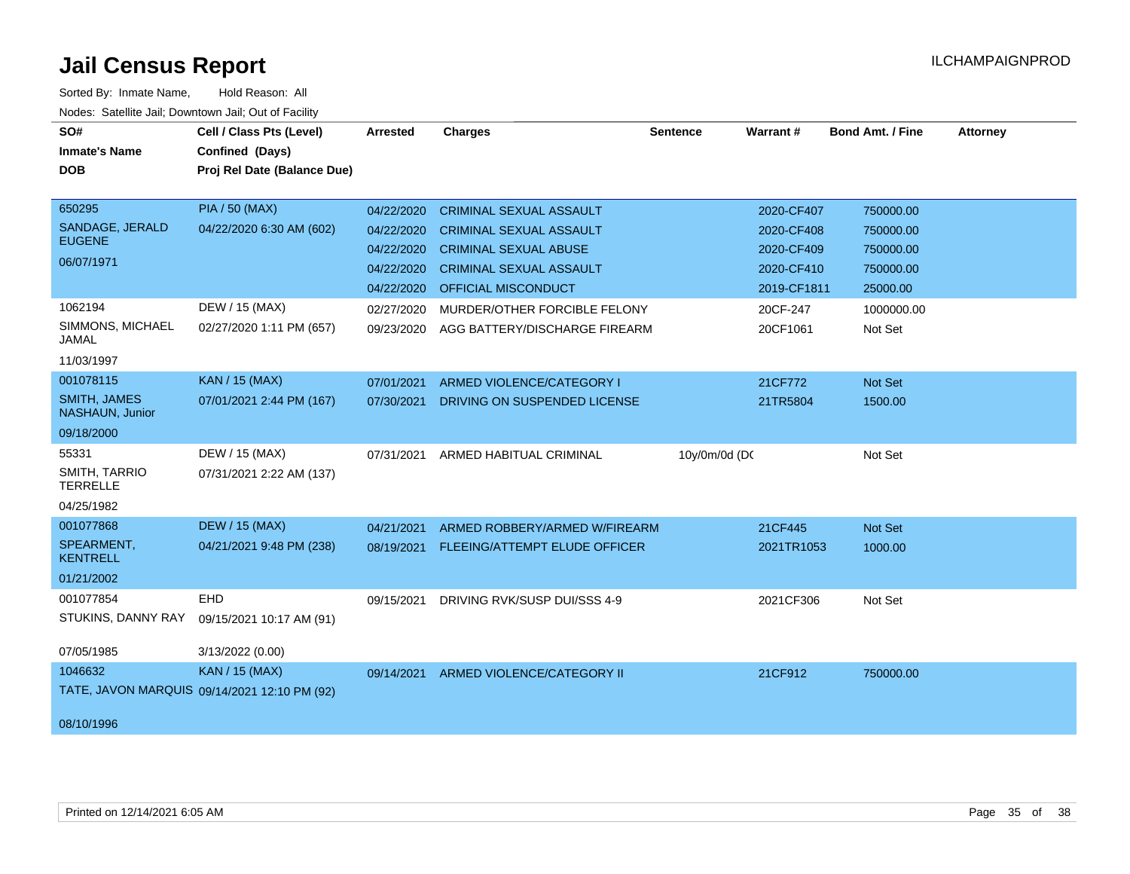| SO#<br><b>Inmate's Name</b><br><b>DOB</b>                                                        | Cell / Class Pts (Level)<br>Confined (Days)<br>Proj Rel Date (Balance Due)                      | <b>Arrested</b>                                                                                | <b>Charges</b>                                                                                                                                                                                                                    | <b>Sentence</b> | Warrant#                                                                                    | <b>Bond Amt. / Fine</b>                                                               | <b>Attorney</b> |
|--------------------------------------------------------------------------------------------------|-------------------------------------------------------------------------------------------------|------------------------------------------------------------------------------------------------|-----------------------------------------------------------------------------------------------------------------------------------------------------------------------------------------------------------------------------------|-----------------|---------------------------------------------------------------------------------------------|---------------------------------------------------------------------------------------|-----------------|
| 650295<br>SANDAGE, JERALD<br><b>EUGENE</b><br>06/07/1971<br>1062194<br>SIMMONS, MICHAEL<br>JAMAL | <b>PIA / 50 (MAX)</b><br>04/22/2020 6:30 AM (602)<br>DEW / 15 (MAX)<br>02/27/2020 1:11 PM (657) | 04/22/2020<br>04/22/2020<br>04/22/2020<br>04/22/2020<br>04/22/2020<br>02/27/2020<br>09/23/2020 | <b>CRIMINAL SEXUAL ASSAULT</b><br><b>CRIMINAL SEXUAL ASSAULT</b><br><b>CRIMINAL SEXUAL ABUSE</b><br><b>CRIMINAL SEXUAL ASSAULT</b><br><b>OFFICIAL MISCONDUCT</b><br>MURDER/OTHER FORCIBLE FELONY<br>AGG BATTERY/DISCHARGE FIREARM |                 | 2020-CF407<br>2020-CF408<br>2020-CF409<br>2020-CF410<br>2019-CF1811<br>20CF-247<br>20CF1061 | 750000.00<br>750000.00<br>750000.00<br>750000.00<br>25000.00<br>1000000.00<br>Not Set |                 |
| 11/03/1997<br>001078115<br>SMITH, JAMES<br>NASHAUN, Junior<br>09/18/2000                         | <b>KAN / 15 (MAX)</b><br>07/01/2021 2:44 PM (167)                                               | 07/01/2021<br>07/30/2021                                                                       | ARMED VIOLENCE/CATEGORY I<br>DRIVING ON SUSPENDED LICENSE                                                                                                                                                                         |                 | 21CF772<br>21TR5804                                                                         | Not Set<br>1500.00                                                                    |                 |
| 55331<br>SMITH, TARRIO<br><b>TERRELLE</b><br>04/25/1982                                          | DEW / 15 (MAX)<br>07/31/2021 2:22 AM (137)                                                      | 07/31/2021                                                                                     | ARMED HABITUAL CRIMINAL                                                                                                                                                                                                           | 10y/0m/0d (DC   |                                                                                             | Not Set                                                                               |                 |
| 001077868<br>SPEARMENT,<br><b>KENTRELL</b><br>01/21/2002                                         | <b>DEW / 15 (MAX)</b><br>04/21/2021 9:48 PM (238)                                               | 04/21/2021<br>08/19/2021                                                                       | ARMED ROBBERY/ARMED W/FIREARM<br><b>FLEEING/ATTEMPT ELUDE OFFICER</b>                                                                                                                                                             |                 | 21CF445<br>2021TR1053                                                                       | Not Set<br>1000.00                                                                    |                 |
| 001077854<br>STUKINS, DANNY RAY<br>07/05/1985                                                    | EHD<br>09/15/2021 10:17 AM (91)<br>3/13/2022 (0.00)                                             | 09/15/2021                                                                                     | DRIVING RVK/SUSP DUI/SSS 4-9                                                                                                                                                                                                      |                 | 2021CF306                                                                                   | Not Set                                                                               |                 |
| 1046632<br>08/10/1996                                                                            | <b>KAN / 15 (MAX)</b><br>TATE, JAVON MARQUIS 09/14/2021 12:10 PM (92)                           | 09/14/2021                                                                                     | ARMED VIOLENCE/CATEGORY II                                                                                                                                                                                                        |                 | 21CF912                                                                                     | 750000.00                                                                             |                 |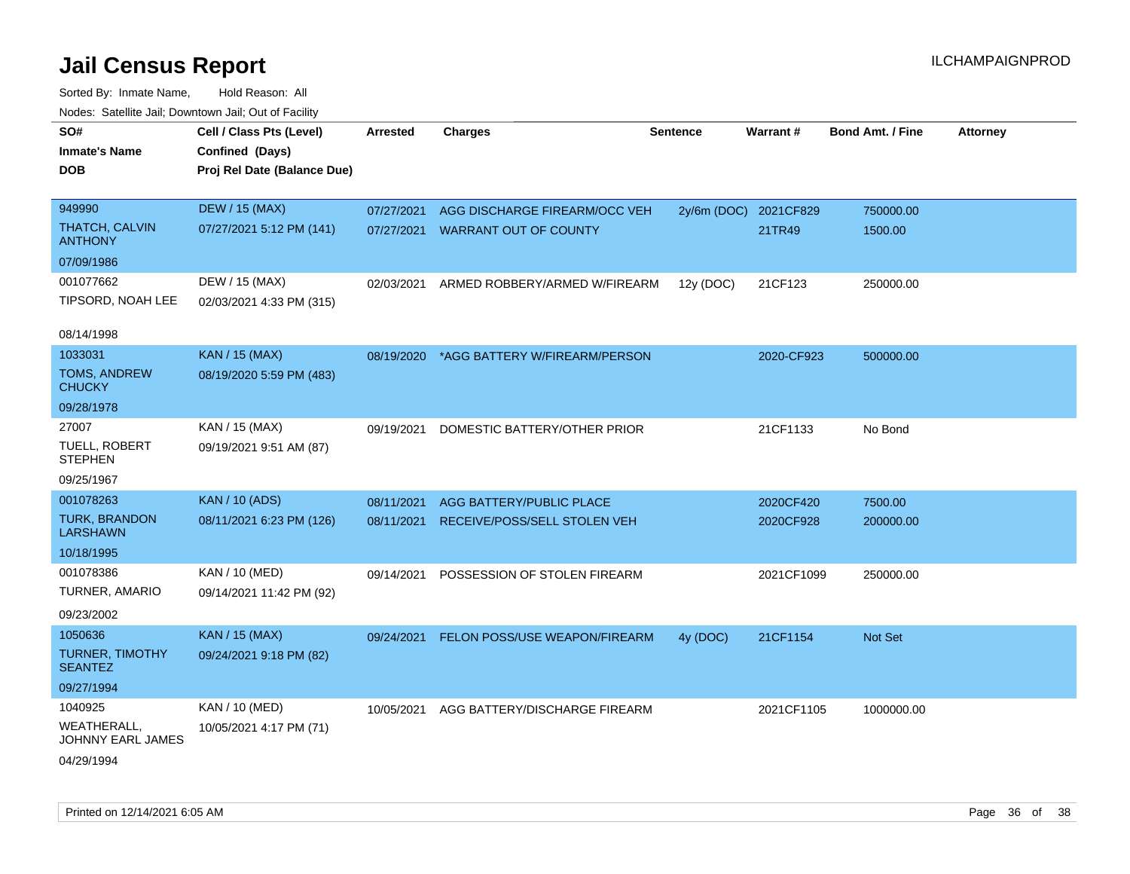| roaco. Oatomto dan, Downtown dan, Oat or Fability |                                                                            |            |                                          |                 |            |                         |                 |
|---------------------------------------------------|----------------------------------------------------------------------------|------------|------------------------------------------|-----------------|------------|-------------------------|-----------------|
| SO#<br><b>Inmate's Name</b><br><b>DOB</b>         | Cell / Class Pts (Level)<br>Confined (Days)<br>Proj Rel Date (Balance Due) | Arrested   | <b>Charges</b>                           | <b>Sentence</b> | Warrant#   | <b>Bond Amt. / Fine</b> | <b>Attorney</b> |
|                                                   |                                                                            |            |                                          |                 |            |                         |                 |
| 949990                                            | <b>DEW / 15 (MAX)</b>                                                      | 07/27/2021 | AGG DISCHARGE FIREARM/OCC VEH            | 2y/6m (DOC)     | 2021CF829  | 750000.00               |                 |
| THATCH, CALVIN<br><b>ANTHONY</b>                  | 07/27/2021 5:12 PM (141)                                                   | 07/27/2021 | <b>WARRANT OUT OF COUNTY</b>             |                 | 21TR49     | 1500.00                 |                 |
| 07/09/1986                                        |                                                                            |            |                                          |                 |            |                         |                 |
| 001077662                                         | DEW / 15 (MAX)                                                             |            | 02/03/2021 ARMED ROBBERY/ARMED W/FIREARM | 12y (DOC)       | 21CF123    | 250000.00               |                 |
| TIPSORD, NOAH LEE                                 | 02/03/2021 4:33 PM (315)                                                   |            |                                          |                 |            |                         |                 |
| 08/14/1998                                        |                                                                            |            |                                          |                 |            |                         |                 |
| 1033031                                           | KAN / 15 (MAX)                                                             | 08/19/2020 | *AGG BATTERY W/FIREARM/PERSON            |                 | 2020-CF923 | 500000.00               |                 |
| <b>TOMS, ANDREW</b><br><b>CHUCKY</b>              | 08/19/2020 5:59 PM (483)                                                   |            |                                          |                 |            |                         |                 |
| 09/28/1978                                        |                                                                            |            |                                          |                 |            |                         |                 |
| 27007                                             | KAN / 15 (MAX)                                                             | 09/19/2021 | DOMESTIC BATTERY/OTHER PRIOR             |                 | 21CF1133   | No Bond                 |                 |
| TUELL, ROBERT<br><b>STEPHEN</b>                   | 09/19/2021 9:51 AM (87)                                                    |            |                                          |                 |            |                         |                 |
| 09/25/1967                                        |                                                                            |            |                                          |                 |            |                         |                 |
| 001078263                                         | <b>KAN / 10 (ADS)</b>                                                      | 08/11/2021 | AGG BATTERY/PUBLIC PLACE                 |                 | 2020CF420  | 7500.00                 |                 |
| <b>TURK, BRANDON</b><br><b>LARSHAWN</b>           | 08/11/2021 6:23 PM (126)                                                   | 08/11/2021 | RECEIVE/POSS/SELL STOLEN VEH             |                 | 2020CF928  | 200000.00               |                 |
| 10/18/1995                                        |                                                                            |            |                                          |                 |            |                         |                 |
| 001078386                                         | KAN / 10 (MED)                                                             | 09/14/2021 | POSSESSION OF STOLEN FIREARM             |                 | 2021CF1099 | 250000.00               |                 |
| <b>TURNER, AMARIO</b>                             | 09/14/2021 11:42 PM (92)                                                   |            |                                          |                 |            |                         |                 |
| 09/23/2002                                        |                                                                            |            |                                          |                 |            |                         |                 |
| 1050636                                           | KAN / 15 (MAX)                                                             |            | 09/24/2021 FELON POSS/USE WEAPON/FIREARM | 4y (DOC)        | 21CF1154   | Not Set                 |                 |
| TURNER, TIMOTHY<br><b>SEANTEZ</b>                 | 09/24/2021 9:18 PM (82)                                                    |            |                                          |                 |            |                         |                 |
| 09/27/1994                                        |                                                                            |            |                                          |                 |            |                         |                 |
| 1040925                                           | KAN / 10 (MED)                                                             | 10/05/2021 | AGG BATTERY/DISCHARGE FIREARM            |                 | 2021CF1105 | 1000000.00              |                 |
| <b>WEATHERALL,</b><br>JOHNNY EARL JAMES           | 10/05/2021 4:17 PM (71)                                                    |            |                                          |                 |            |                         |                 |
| 04/29/1994                                        |                                                                            |            |                                          |                 |            |                         |                 |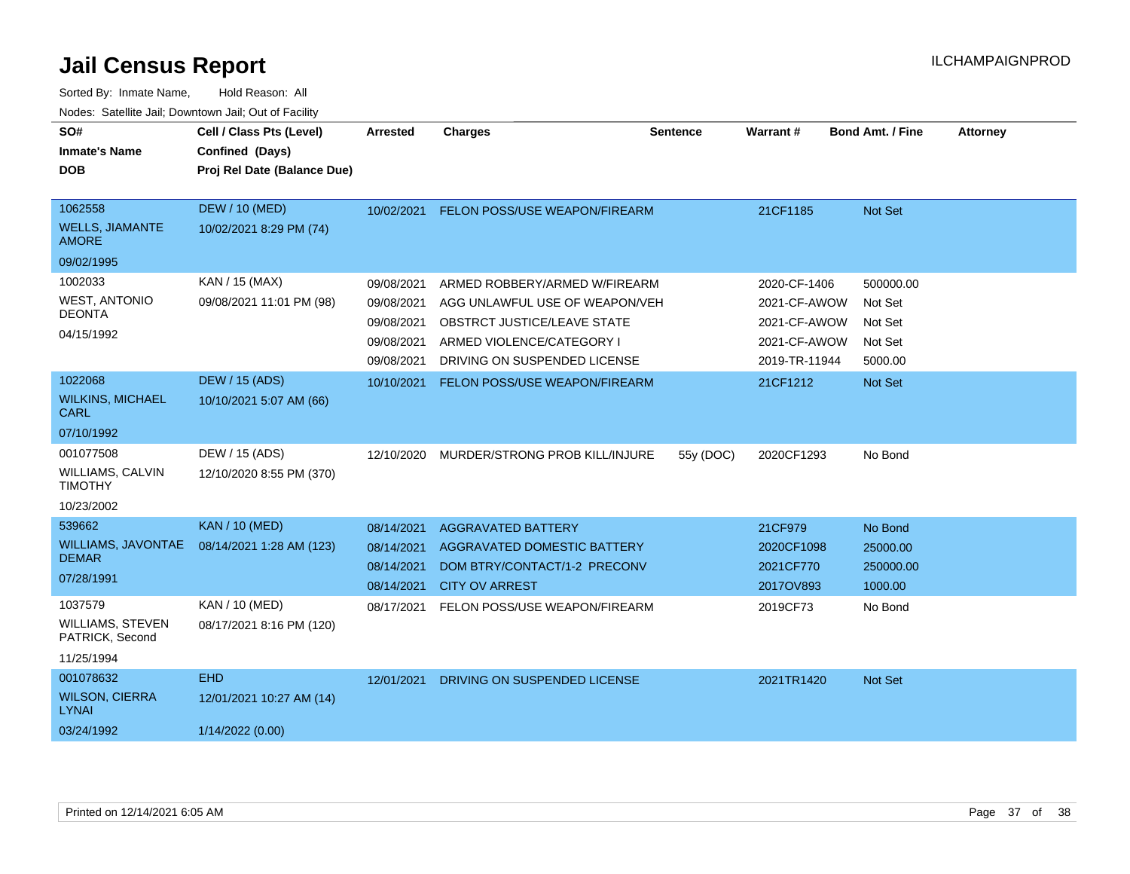| SO#<br><b>Inmate's Name</b><br><b>DOB</b>                            | Cell / Class Pts (Level)<br>Confined (Days)<br>Proj Rel Date (Balance Due) | Arrested                                                           | <b>Charges</b>                                                                                                                                              | <b>Sentence</b> | Warrant#                                                                      | <b>Bond Amt. / Fine</b>                               | <b>Attorney</b> |
|----------------------------------------------------------------------|----------------------------------------------------------------------------|--------------------------------------------------------------------|-------------------------------------------------------------------------------------------------------------------------------------------------------------|-----------------|-------------------------------------------------------------------------------|-------------------------------------------------------|-----------------|
| 1062558<br><b>WELLS, JIAMANTE</b><br><b>AMORE</b>                    | <b>DEW / 10 (MED)</b><br>10/02/2021 8:29 PM (74)                           | 10/02/2021                                                         | FELON POSS/USE WEAPON/FIREARM                                                                                                                               |                 | 21CF1185                                                                      | Not Set                                               |                 |
| 09/02/1995                                                           |                                                                            |                                                                    |                                                                                                                                                             |                 |                                                                               |                                                       |                 |
| 1002033<br><b>WEST, ANTONIO</b><br><b>DEONTA</b><br>04/15/1992       | KAN / 15 (MAX)<br>09/08/2021 11:01 PM (98)                                 | 09/08/2021<br>09/08/2021<br>09/08/2021<br>09/08/2021<br>09/08/2021 | ARMED ROBBERY/ARMED W/FIREARM<br>AGG UNLAWFUL USE OF WEAPON/VEH<br>OBSTRCT JUSTICE/LEAVE STATE<br>ARMED VIOLENCE/CATEGORY I<br>DRIVING ON SUSPENDED LICENSE |                 | 2020-CF-1406<br>2021-CF-AWOW<br>2021-CF-AWOW<br>2021-CF-AWOW<br>2019-TR-11944 | 500000.00<br>Not Set<br>Not Set<br>Not Set<br>5000.00 |                 |
| 1022068                                                              | <b>DEW / 15 (ADS)</b>                                                      | 10/10/2021                                                         | FELON POSS/USE WEAPON/FIREARM                                                                                                                               |                 | 21CF1212                                                                      | Not Set                                               |                 |
| <b>WILKINS, MICHAEL</b><br><b>CARL</b>                               | 10/10/2021 5:07 AM (66)                                                    |                                                                    |                                                                                                                                                             |                 |                                                                               |                                                       |                 |
| 07/10/1992                                                           |                                                                            |                                                                    |                                                                                                                                                             |                 |                                                                               |                                                       |                 |
| 001077508<br><b>WILLIAMS, CALVIN</b><br><b>TIMOTHY</b><br>10/23/2002 | DEW / 15 (ADS)<br>12/10/2020 8:55 PM (370)                                 | 12/10/2020                                                         | MURDER/STRONG PROB KILL/INJURE                                                                                                                              | 55y (DOC)       | 2020CF1293                                                                    | No Bond                                               |                 |
| 539662                                                               | <b>KAN / 10 (MED)</b>                                                      | 08/14/2021                                                         | <b>AGGRAVATED BATTERY</b>                                                                                                                                   |                 | 21CF979                                                                       | No Bond                                               |                 |
| <b>WILLIAMS, JAVONTAE</b><br><b>DEMAR</b><br>07/28/1991              | 08/14/2021 1:28 AM (123)                                                   | 08/14/2021<br>08/14/2021<br>08/14/2021                             | AGGRAVATED DOMESTIC BATTERY<br>DOM BTRY/CONTACT/1-2 PRECONV<br><b>CITY OV ARREST</b>                                                                        |                 | 2020CF1098<br>2021CF770<br>2017OV893                                          | 25000.00<br>250000.00<br>1000.00                      |                 |
| 1037579<br><b>WILLIAMS, STEVEN</b><br>PATRICK, Second<br>11/25/1994  | KAN / 10 (MED)<br>08/17/2021 8:16 PM (120)                                 | 08/17/2021                                                         | FELON POSS/USE WEAPON/FIREARM                                                                                                                               |                 | 2019CF73                                                                      | No Bond                                               |                 |
| 001078632                                                            | <b>EHD</b>                                                                 | 12/01/2021                                                         | DRIVING ON SUSPENDED LICENSE                                                                                                                                |                 | 2021TR1420                                                                    | Not Set                                               |                 |
| <b>WILSON, CIERRA</b><br><b>LYNAI</b>                                | 12/01/2021 10:27 AM (14)                                                   |                                                                    |                                                                                                                                                             |                 |                                                                               |                                                       |                 |
| 03/24/1992                                                           | 1/14/2022 (0.00)                                                           |                                                                    |                                                                                                                                                             |                 |                                                                               |                                                       |                 |